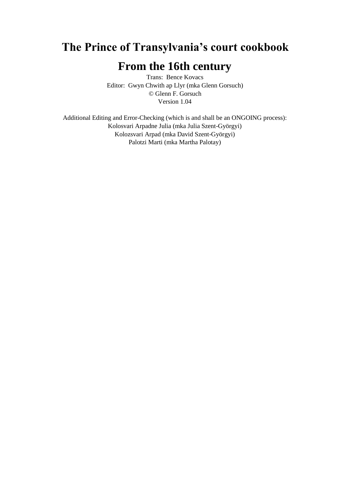## **The Prince of Transylvania's court cookbook**

## **From the 16th century**

Trans: Bence Kovacs Editor: Gwyn Chwith ap Llyr (mka Glenn Gorsuch) © Glenn F. Gorsuch Version 1.04

Additional Editing and Error-Checking (which is and shall be an ONGOING process): Kolosvari Arpadne Julia (mka Julia Szent-Györgyi) Kolozsvari Arpad (mka David Szent-Györgyi) Palotzi Marti (mka Martha Palotay)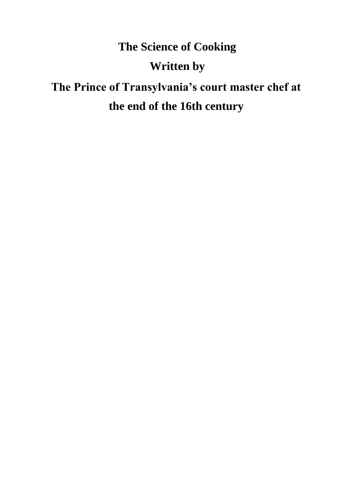# **The Science of Cooking**

## **Written by**

# **The Prince of Transylvania's court master chef at the end of the 16th century**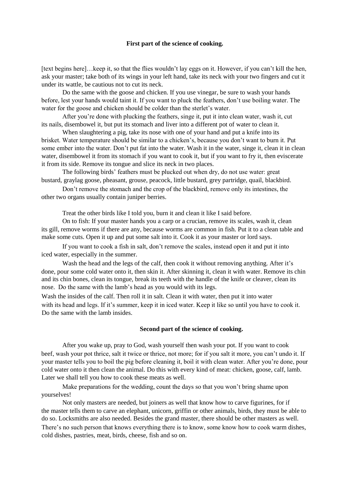#### **First part of the science of cooking.**

[text begins here]…keep it, so that the flies wouldn't lay eggs on it. However, if you can't kill the hen, ask your master; take both of its wings in your left hand, take its neck with your two fingers and cut it under its wattle, be cautious not to cut its neck.

Do the same with the goose and chicken. If you use vinegar, be sure to wash your hands before, lest your hands would taint it. If you want to pluck the feathers, don't use boiling water. The water for the goose and chicken should be colder than the sterlet's water.

After you're done with plucking the feathers, singe it, put it into clean water, wash it, cut its nails, disembowel it, but put its stomach and liver into a different pot of water to clean it.

When slaughtering a pig, take its nose with one of your hand and put a knife into its brisket. Water temperature should be similar to a chicken's, because you don't want to burn it. Put some ember into the water. Don't put fat into the water. Wash it in the water, singe it, clean it in clean water, disembowel it from its stomach if you want to cook it, but if you want to fry it, then eviscerate it from its side. Remove its tongue and slice its neck in two places.

The following birds' feathers must be plucked out when dry, do not use water: great bustard, graylag goose, pheasant, grouse, peacock, little bustard, grey partridge, quail, blackbird.

Don't remove the stomach and the crop of the blackbird, remove only its intestines, the other two organs usually contain juniper berries.

Treat the other birds like I told you, burn it and clean it like I said before.

On to fish: If your master hands you a carp or a crucian, remove its scales, wash it, clean its gill, remove worms if there are any, because worms are common in fish. Put it to a clean table and make some cuts. Open it up and put some salt into it. Cook it as your master or lord says.

If you want to cook a fish in salt, don't remove the scales, instead open it and put it into iced water, especially in the summer.

Wash the head and the legs of the calf, then cook it without removing anything. After it's done, pour some cold water onto it, then skin it. After skinning it, clean it with water. Remove its chin and its chin bones, clean its tongue, break its teeth with the handle of the knife or cleaver, clean its nose. Do the same with the lamb's head as you would with its legs.

Wash the insides of the calf. Then roll it in salt. Clean it with water, then put it into water with its head and legs. If it's summer, keep it in iced water. Keep it like so until you have to cook it. Do the same with the lamb insides.

#### **Second part of the science of cooking.**

After you wake up, pray to God, wash yourself then wash your pot. If you want to cook beef, wash your pot thrice, salt it twice or thrice, not more; for if you salt it more, you can't undo it. If your master tells you to boil the pig before cleaning it, boil it with clean water. After you're done, pour cold water onto it then clean the animal. Do this with every kind of meat: chicken, goose, calf, lamb. Later we shall tell you how to cook these meats as well.

Make preparations for the wedding, count the days so that you won't bring shame upon yourselves!

Not only masters are needed, but joiners as well that know how to carve figurines, for if the master tells them to carve an elephant, unicorn, griffin or other animals, birds, they must be able to do so. Locksmiths are also needed. Besides the grand master, there should be other masters as well.

There's no such person that knows everything there is to know, some know how to cook warm dishes, cold dishes, pastries, meat, birds, cheese, fish and so on.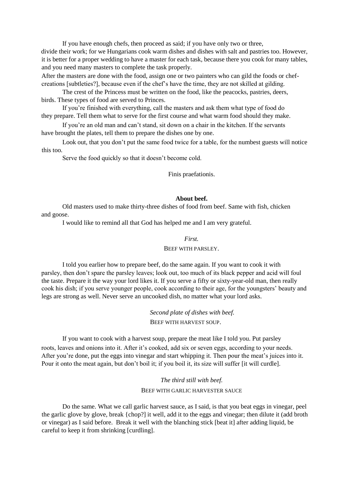If you have enough chefs, then proceed as said; if you have only two or three, divide their work; for we Hungarians cook warm dishes and dishes with salt and pastries too. However, it is better for a proper wedding to have a master for each task, because there you cook for many tables, and you need many masters to complete the task properly.

After the masters are done with the food, assign one or two painters who can gild the foods or chefcreations [subtleties?], because even if the chef's have the time, they are not skilled at gilding.

The crest of the Princess must be written on the food, like the peacocks, pastries, deers, birds. These types of food are served to Princes.

If you're finished with everything, call the masters and ask them what type of food do they prepare. Tell them what to serve for the first course and what warm food should they make.

If you're an old man and can't stand, sit down on a chair in the kitchen. If the servants have brought the plates, tell them to prepare the dishes one by one.

Look out, that you don't put the same food twice for a table, for the numbest guests will notice this too.

Serve the food quickly so that it doesn't become cold.

Finis praefationis.

#### **About beef.**

Old masters used to make thirty-three dishes of food from beef. Same with fish, chicken and goose.

I would like to remind all that God has helped me and I am very grateful.

#### *First.*

#### BEEF WITH PARSLEY.

I told you earlier how to prepare beef, do the same again. If you want to cook it with parsley, then don't spare the parsley leaves; look out, too much of its black pepper and acid will foul the taste. Prepare it the way your lord likes it. If you serve a fifty or sixty-year-old man, then really cook his dish; if you serve younger people, cook according to their age, for the youngsters' beauty and legs are strong as well. Never serve an uncooked dish, no matter what your lord asks.

> *Second plate of dishes with beef.*  BEEF WITH HARVEST SOUP.

If you want to cook with a harvest soup, prepare the meat like I told you. Put parsley roots, leaves and onions into it. After it's cooked, add six or seven eggs, according to your needs. After you're done, put the eggs into vinegar and start whipping it. Then pour the meat's juices into it. Pour it onto the meat again, but don't boil it; if you boil it, its size will suffer [it will curdle].

> *The third still with beef.*  BEEF WITH GARLIC HARVESTER SAUCE

Do the same. What we call garlic harvest sauce, as I said, is that you beat eggs in vinegar, peel the garlic glove by glove, break {chop?] it well, add it to the eggs and vinegar; then dilute it (add broth or vinegar) as I said before. Break it well with the blanching stick [beat it] after adding liquid, be careful to keep it from shrinking [curdling].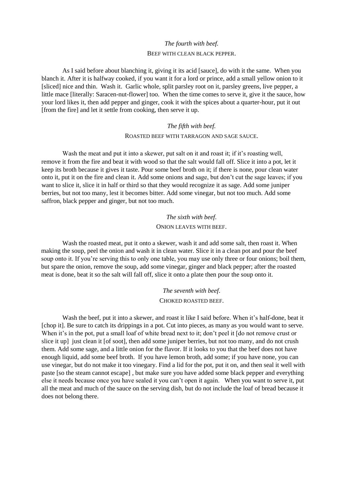## *The fourth with beef.*  BEEF WITH CLEAN BLACK PEPPER.

As I said before about blanching it, giving it its acid [sauce], do with it the same. When you blanch it. After it is halfway cooked, if you want it for a lord or prince, add a small yellow onion to it [sliced] nice and thin. Wash it. Garlic whole, split parsley root on it, parsley greens, live pepper, a little mace [literally: Saracen-nut-flower] too. When the time comes to serve it, give it the sauce, how your lord likes it, then add pepper and ginger, cook it with the spices about a quarter-hour, put it out [from the fire] and let it settle from cooking, then serve it up.

## *The fifth with beef.*

#### ROASTED BEEF WITH TARRAGON AND SAGE SAUCE.

Wash the meat and put it into a skewer, put salt on it and roast it; if it's roasting well, remove it from the fire and beat it with wood so that the salt would fall off. Slice it into a pot, let it keep its broth because it gives it taste. Pour some beef broth on it; if there is none, pour clean water onto it, put it on the fire and clean it. Add some onions and sage, but don't cut the sage leaves; if you want to slice it, slice it in half or third so that they would recognize it as sage. Add some juniper berries, but not too many, lest it becomes bitter. Add some vinegar, but not too much. Add some saffron, black pepper and ginger, but not too much.

## *The sixth with beef*. ONION LEAVES WITH BEEF.

Wash the roasted meat, put it onto a skewer, wash it and add some salt, then roast it. When making the soup, peel the onion and wash it in clean water. Slice it in a clean pot and pour the beef soup onto it. If you're serving this to only one table, you may use only three or four onions; boil them, but spare the onion, remove the soup, add some vinegar, ginger and black pepper; after the roasted meat is done, beat it so the salt will fall off, slice it onto a plate then pour the soup onto it.

> *The seventh with beef*. CHOKED ROASTED BEEF.

Wash the beef, put it into a skewer, and roast it like I said before. When it's half-done, beat it [chop it]. Be sure to catch its drippings in a pot. Cut into pieces, as many as you would want to serve. When it's in the pot, put a small loaf of white bread next to it; don't peel it [do not remove crust or slice it up] just clean it [of soot], then add some juniper berries, but not too many, and do not crush them. Add some sage, and a little onion for the flavor. If it looks to you that the beef does not have enough liquid, add some beef broth. If you have lemon broth, add some; if you have none, you can use vinegar, but do not make it too vinegary. Find a lid for the pot, put it on, and then seal it well with paste [so the steam cannot escape] , but make sure you have added some black pepper and everything else it needs because once you have sealed it you can't open it again. When you want to serve it, put all the meat and much of the sauce on the serving dish, but do not include the loaf of bread because it does not belong there.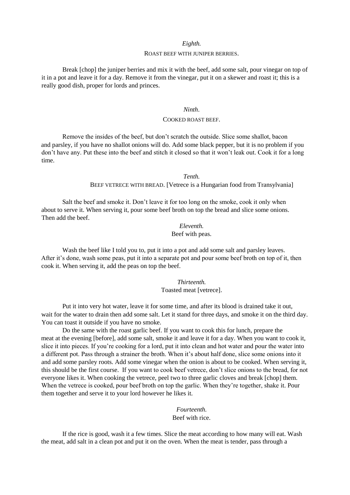#### *Eighth.*

#### ROAST BEEF WITH JUNIPER BERRIES.

Break [chop] the juniper berries and mix it with the beef, add some salt, pour vinegar on top of it in a pot and leave it for a day. Remove it from the vinegar, put it on a skewer and roast it; this is a really good dish, proper for lords and princes.

#### *Ninth*.

#### COOKED ROAST BEEF.

Remove the insides of the beef, but don't scratch the outside. Slice some shallot, bacon and parsley, if you have no shallot onions will do. Add some black pepper, but it is no problem if you don't have any. Put these into the beef and stitch it closed so that it won't leak out. Cook it for a long time.

*Tenth.* 

BEEF VETRECE WITH BREAD. [Vetrece is a Hungarian food from Transylvania]

Salt the beef and smoke it. Don't leave it for too long on the smoke, cook it only when about to serve it. When serving it, pour some beef broth on top the bread and slice some onions. Then add the beef.

#### *Eleventh.*

#### Beef with peas.

Wash the beef like I told you to, put it into a pot and add some salt and parsley leaves. After it's done, wash some peas, put it into a separate pot and pour some beef broth on top of it, then cook it. When serving it, add the peas on top the beef.

> *Thirteenth.*  Toasted meat [vetrece].

Put it into very hot water, leave it for some time, and after its blood is drained take it out, wait for the water to drain then add some salt. Let it stand for three days, and smoke it on the third day. You can toast it outside if you have no smoke.

Do the same with the roast garlic beef. If you want to cook this for lunch, prepare the meat at the evening [before], add some salt, smoke it and leave it for a day. When you want to cook it, slice it into pieces. If you're cooking for a lord, put it into clean and hot water and pour the water into a different pot. Pass through a strainer the broth. When it's about half done, slice some onions into it and add some parsley roots. Add some vinegar when the onion is about to be cooked. When serving it, this should be the first course. If you want to cook beef vetrece, don't slice onions to the bread, for not everyone likes it. When cooking the vetrece, peel two to three garlic cloves and break [chop] them. When the vetrece is cooked, pour beef broth on top the garlic. When they're together, shake it. Pour them together and serve it to your lord however he likes it.

> *Fourteenth.*  Beef with rice.

If the rice is good, wash it a few times. Slice the meat according to how many will eat. Wash

the meat, add salt in a clean pot and put it on the oven. When the meat is tender, pass through a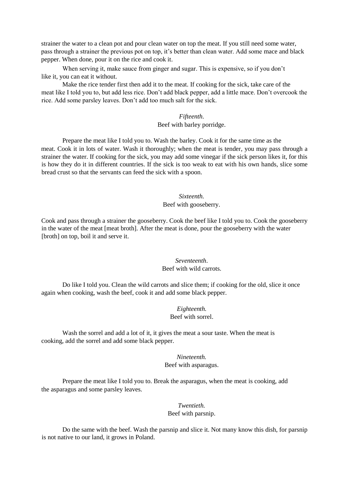strainer the water to a clean pot and pour clean water on top the meat. If you still need some water, pass through a strainer the previous pot on top, it's better than clean water. Add some mace and black pepper. When done, pour it on the rice and cook it.

When serving it, make sauce from ginger and sugar. This is expensive, so if you don't like it, you can eat it without.

Make the rice tender first then add it to the meat. If cooking for the sick, take care of the meat like I told you to, but add less rice. Don't add black pepper, add a little mace. Don't overcook the rice. Add some parsley leaves. Don't add too much salt for the sick.

#### *Fifteenth*. Beef with barley porridge.

Prepare the meat like I told you to. Wash the barley. Cook it for the same time as the meat. Cook it in lots of water. Wash it thoroughly; when the meat is tender, you may pass through a strainer the water. If cooking for the sick, you may add some vinegar if the sick person likes it, for this is how they do it in different countries. If the sick is too weak to eat with his own hands, slice some bread crust so that the servants can feed the sick with a spoon.

## *Sixteenth.*  Beef with gooseberry.

Cook and pass through a strainer the gooseberry. Cook the beef like I told you to. Cook the gooseberry in the water of the meat [meat broth]. After the meat is done, pour the gooseberry with the water [broth] on top, boil it and serve it.

## *Seventeenth*.

## Beef with wild carrots.

Do like I told you. Clean the wild carrots and slice them; if cooking for the old, slice it once again when cooking, wash the beef, cook it and add some black pepper.

## *Eighteenth.*

#### Beef with sorrel.

Wash the sorrel and add a lot of it, it gives the meat a sour taste. When the meat is cooking, add the sorrel and add some black pepper.

## *Nineteenth.*  Beef with asparagus.

Prepare the meat like I told you to. Break the asparagus, when the meat is cooking, add the asparagus and some parsley leaves.

## *Twentieth.*  Beef with parsnip.

Do the same with the beef. Wash the parsnip and slice it. Not many know this dish, for parsnip is not native to our land, it grows in Poland.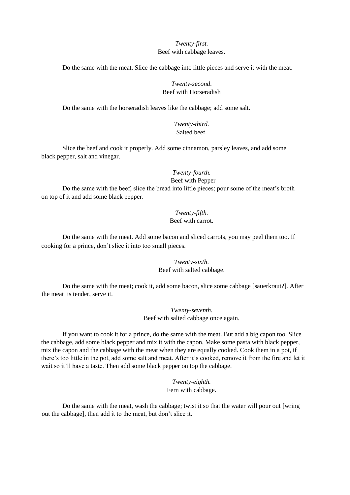## *Twenty-first.*  Beef with cabbage leaves.

Do the same with the meat. Slice the cabbage into little pieces and serve it with the meat.

## *Twenty-second*. Beef with Horseradish

Do the same with the horseradish leaves like the cabbage; add some salt.

*Twenty-third.*  Salted beef.

Slice the beef and cook it properly. Add some cinnamon, parsley leaves, and add some black pepper, salt and vinegar.

## *Twenty-fourth.*  Beef with Pepper

Do the same with the beef, slice the bread into little pieces; pour some of the meat's broth on top of it and add some black pepper.

## *Twenty-fifth.*  Beef with carrot.

Do the same with the meat. Add some bacon and sliced carrots, you may peel them too. If cooking for a prince, don't slice it into too small pieces.

## *Twenty-sixth*. Beef with salted cabbage.

Do the same with the meat; cook it, add some bacon, slice some cabbage [sauerkraut?]. After the meat is tender, serve it.

> *Twenty-seventh.*  Beef with salted cabbage once again.

If you want to cook it for a prince, do the same with the meat. But add a big capon too. Slice the cabbage, add some black pepper and mix it with the capon. Make some pasta with black pepper, mix the capon and the cabbage with the meat when they are equally cooked. Cook them in a pot, if there's too little in the pot, add some salt and meat. After it's cooked, remove it from the fire and let it wait so it'll have a taste. Then add some black pepper on top the cabbage.

## *Twenty-eighth.*  Fern with cabbage.

Do the same with the meat, wash the cabbage; twist it so that the water will pour out [wring out the cabbage], then add it to the meat, but don't slice it.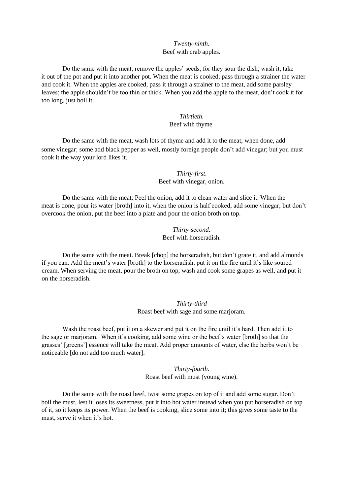#### *Twenty-ninth.*  Beef with crab apples.

Do the same with the meat, remove the apples' seeds, for they sour the dish; wash it, take it out of the pot and put it into another pot. When the meat is cooked, pass through a strainer the water and cook it. When the apples are cooked, pass it through a strainer to the meat, add some parsley leaves; the apple shouldn't be too thin or thick. When you add the apple to the meat, don't cook it for too long, just boil it.

#### *Thirtieth.*  Beef with thyme.

Do the same with the meat, wash lots of thyme and add it to the meat; when done, add some vinegar; some add black pepper as well, mostly foreign people don't add vinegar; but you must cook it the way your lord likes it.

> *Thirty-first*. Beef with vinegar, onion.

Do the same with the meat; Peel the onion, add it to clean water and slice it. When the meat is done, pour its water [broth] into it, when the onion is half cooked, add some vinegar; but don't overcook the onion, put the beef into a plate and pour the onion broth on top.

> *Thirty-second*. Beef with horseradish.

Do the same with the meat. Break [chop] the horseradish, but don't grate it, and add almonds if you can. Add the meat's water [broth] to the horseradish, put it on the fire until it's like soured cream. When serving the meat, pour the broth on top; wash and cook some grapes as well, and put it on the horseradish.

> *Thirty-third*  Roast beef with sage and some marjoram.

Wash the roast beef, put it on a skewer and put it on the fire until it's hard. Then add it to the sage or marjoram. When it's cooking, add some wine or the beef's water [broth] so that the grasses' [greens'] essence will take the meat. Add proper amounts of water, else the herbs won't be noticeable [do not add too much water].

> *Thirty-fourth.*  Roast beef with must (young wine).

Do the same with the roast beef, twist some grapes on top of it and add some sugar. Don't boil the must, lest it loses its sweetness, put it into hot water instead when you put horseradish on top of it, so it keeps its power. When the beef is cooking, slice some into it; this gives some taste to the must, serve it when it's hot.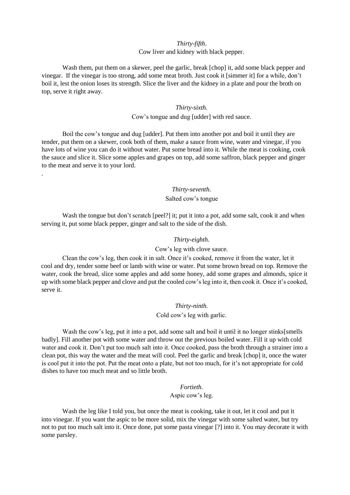## *Thirty-fifth*. Cow liver and kidney with black pepper.

Wash them, put them on a skewer, peel the garlic, break [chop] it, add some black pepper and vinegar. If the vinegar is too strong, add some meat broth. Just cook it [simmer it] for a while, don't boil it, lest the onion loses its strength. Slice the liver and the kidney in a plate and pour the broth on top, serve it right away.

#### *Thirty-sixth.*

#### Cow's tongue and dug [udder] with red sauce.

Boil the cow's tongue and dug [udder]. Put them into another pot and boil it until they are tender, put them on a skewer, cook both of them, make a sauce from wine, water and vinegar, if you have lots of wine you can do it without water. Put some bread into it. While the meat is cooking, cook the sauce and slice it. Slice some apples and grapes on top, add some saffron, black pepper and ginger to the meat and serve it to your lord.

.

#### *Thirty-seventh*.

## Salted cow's tongue

Wash the tongue but don't scratch [peel?] it; put it into a pot, add some salt, cook it and when serving it, put some black pepper, ginger and salt to the side of the dish.

#### *Thirty-eighth*.

#### Cow's leg with clove sauce.

Clean the cow's leg, then cook it in salt. Once it's cooked, remove it from the water, let it cool and dry, tender some beef or lamb with wine or water. Put some brown bread on top. Remove the water, cook the bread, slice some apples and add some honey, add some grapes and almonds, spice it up with some black pepper and clove and put the cooled cow's leg into it, then cook it. Once it's cooked, serve it.

#### *Thirty-ninth.*

Cold cow's leg with garlic.

Wash the cow's leg, put it into a pot, add some salt and boil it until it no longer stinks [smells] badly]. Fill another pot with some water and throw out the previous boiled water. Fill it up with cold water and cook it. Don't put too much salt into it. Once cooked, pass the broth through a strainer into a clean pot, this way the water and the meat will cool. Peel the garlic and break [chop] it, once the water is cool put it into the pot. Put the meat onto a plate, but not too much, for it's not appropriate for cold dishes to have too much meat and so little broth.

#### *Fortieth.*  Aspic cow's leg.

Wash the leg like I told you, but once the meat is cooking, take it out, let it cool and put it into vinegar. If you want the aspic to be more solid, mix the vinegar with some salted water, but try not to put too much salt into it. Once done, put some pasta vinegar [?] into it. You may decorate it with some parsley.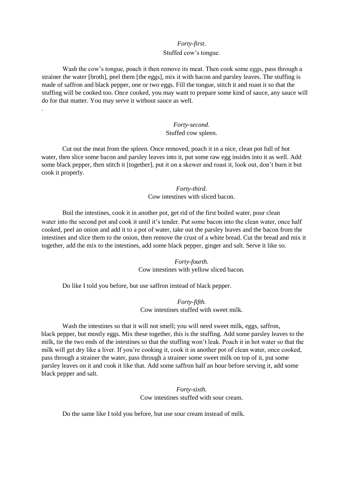#### *Forty-first*.

#### Stuffed cow's tongue.

Wash the cow's tongue, poach it then remove its meat. Then cook some eggs, pass through a strainer the water [broth], peel them [the eggs], mix it with bacon and parsley leaves. The stuffing is made of saffron and black pepper, one or two eggs. Fill the tongue, stitch it and roast it so that the stuffing will be cooked too. Once cooked, you may want to prepare some kind of sauce, any sauce will do for that matter. You may serve it without sauce as well.

.

## *Forty-second.*  Stuffed cow spleen.

Cut out the meat from the spleen. Once removed, poach it in a nice, clean pot full of hot water, then slice some bacon and parsley leaves into it, put some raw egg insides into it as well. Add some black pepper, then stitch it [together], put it on a skewer and roast it, look out, don't burn it but cook it properly.

> *Forty-third*. Cow intestines with sliced bacon.

Boil the intestines, cook it in another pot, get rid of the first boiled water, pour clean water into the second pot and cook it until it's tender. Put some bacon into the clean water, once half cooked, peel an onion and add it to a pot of water, take out the parsley leaves and the bacon from the intestines and slice them to the onion, then remove the crust of a white bread. Cut the bread and mix it together, add the mix to the intestines, add some black pepper, ginger and salt. Serve it like so.

## *Forty-fourth.*  Cow intestines with yellow sliced bacon.

Do like I told you before, but use saffron instead of black pepper.

*Forty-fifth.*  Cow intestines stuffed with sweet milk.

Wash the intestines so that it will not smell; you will need sweet milk, eggs, saffron, black pepper, but mostly eggs. Mix these together, this is the stuffing. Add some parsley leaves to the milk, tie the two ends of the intestines so that the stuffing won't leak. Poach it in hot water so that the milk will get dry like a liver. If you're cooking it, cook it in another pot of clean water, once cooked, pass through a strainer the water, pass through a strainer some sweet milk on top of it, put some parsley leaves on it and cook it like that. Add some saffron half an hour before serving it, add some black pepper and salt.

> *Forty-sixth.*  Cow intestines stuffed with sour cream.

Do the same like I told you before, but use sour cream instead of milk.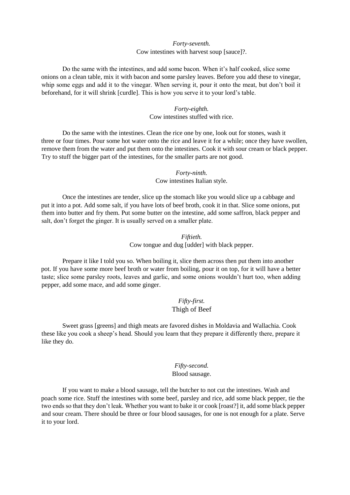## *Forty-seventh.*  Cow intestines with harvest soup [sauce]?.

Do the same with the intestines, and add some bacon. When it's half cooked, slice some onions on a clean table, mix it with bacon and some parsley leaves. Before you add these to vinegar, whip some eggs and add it to the vinegar. When serving it, pour it onto the meat, but don't boil it beforehand, for it will shrink [curdle]. This is how you serve it to your lord's table.

## *Forty-eighth.*  Cow intestines stuffed with rice.

Do the same with the intestines. Clean the rice one by one, look out for stones, wash it three or four times. Pour some hot water onto the rice and leave it for a while; once they have swollen, remove them from the water and put them onto the intestines. Cook it with sour cream or black pepper. Try to stuff the bigger part of the intestines, for the smaller parts are not good.

> *Forty-ninth.*  Cow intestines Italian style.

Once the intestines are tender, slice up the stomach like you would slice up a cabbage and put it into a pot. Add some salt, if you have lots of beef broth, cook it in that. Slice some onions, put them into butter and fry them. Put some butter on the intestine, add some saffron, black pepper and salt, don't forget the ginger. It is usually served on a smaller plate.

> *Fiftieth.*  Cow tongue and dug [udder] with black pepper.

Prepare it like I told you so. When boiling it, slice them across then put them into another pot. If you have some more beef broth or water from boiling, pour it on top, for it will have a better taste; slice some parsley roots, leaves and garlic, and some onions wouldn't hurt too, when adding pepper, add some mace, and add some ginger.

## *Fifty-first.*  Thigh of Beef

Sweet grass [greens] and thigh meats are favored dishes in Moldavia and Wallachia. Cook these like you cook a sheep's head. Should you learn that they prepare it differently there, prepare it like they do.

## *Fifty-second.* Blood sausage.

If you want to make a blood sausage, tell the butcher to not cut the intestines. Wash and poach some rice. Stuff the intestines with some beef, parsley and rice, add some black pepper, tie the two ends so that they don't leak. Whether you want to bake it or cook [roast?] it, add some black pepper and sour cream. There should be three or four blood sausages, for one is not enough for a plate. Serve it to your lord.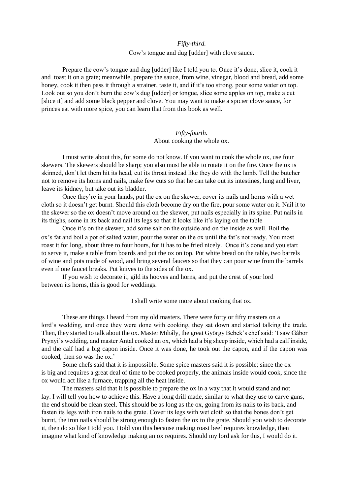#### *Fifty-third.*

#### Cow's tongue and dug [udder] with clove sauce.

Prepare the cow's tongue and dug [udder] like I told you to. Once it's done, slice it, cook it and toast it on a grate; meanwhile, prepare the sauce, from wine, vinegar, blood and bread, add some honey, cook it then pass it through a strainer, taste it, and if it's too strong, pour some water on top. Look out so you don't burn the cow's dug [udder] or tongue, slice some apples on top, make a cut [slice it] and add some black pepper and clove. You may want to make a spicier clove sauce, for princes eat with more spice, you can learn that from this book as well.

#### *Fifty-fourth.* About cooking the whole ox.

I must write about this, for some do not know. If you want to cook the whole ox, use four skewers. The skewers should be sharp; you also must be able to rotate it on the fire. Once the ox is skinned, don't let them hit its head, cut its throat instead like they do with the lamb. Tell the butcher not to remove its horns and nails, make few cuts so that he can take out its intestines, lung and liver, leave its kidney, but take out its bladder.

Once they're in your hands, put the ox on the skewer, cover its nails and horns with a wet cloth so it doesn't get burnt. Should this cloth become dry on the fire, pour some water on it. Nail it to the skewer so the ox doesn't move around on the skewer, put nails especially in its spine. Put nails in its thighs, some in its back and nail its legs so that it looks like it's laying on the table

Once it's on the skewer, add some salt on the outside and on the inside as well. Boil the ox's fat and boil a pot of salted water, pour the water on the ox until the fat's not ready. You most roast it for long, about three to four hours, for it has to be fried nicely. Once it's done and you start to serve it, make a table from boards and put the ox on top. Put white bread on the table, two barrels of wine and pots made of wood, and bring several faucets so that they can pour wine from the barrels even if one faucet breaks. Put knives to the sides of the ox.

If you wish to decorate it, gild its hooves and horns, and put the crest of your lord between its horns, this is good for weddings.

I shall write some more about cooking that ox.

These are things I heard from my old masters. There were forty or fifty masters on a lord's wedding, and once they were done with cooking, they sat down and started talking the trade. Then, they started to talk about the ox. Master Mihály, the great György Bebek's chef said: 'I saw Gábor Prynyi's wedding, and master Antal cooked an ox, which had a big sheep inside, which had a calf inside, and the calf had a big capon inside. Once it was done, he took out the capon, and if the capon was cooked, then so was the ox.'

Some chefs said that it is impossible. Some spice masters said it is possible; since the ox is big and requires a great deal of time to be cooked properly, the animals inside would cook, since the ox would act like a furnace, trapping all the heat inside.

The masters said that it is possible to prepare the ox in a way that it would stand and not lay. I will tell you how to achieve this. Have a long drill made, similar to what they use to carve guns, the end should be clean steel. This should be as long as the ox, going from its nails to its back, and fasten its legs with iron nails to the grate. Cover its legs with wet cloth so that the bones don't get burnt, the iron nails should be strong enough to fasten the ox to the grate. Should you wish to decorate it, then do so like I told you. I told you this because making roast beef requires knowledge, then imagine what kind of knowledge making an ox requires. Should my lord ask for this, I would do it.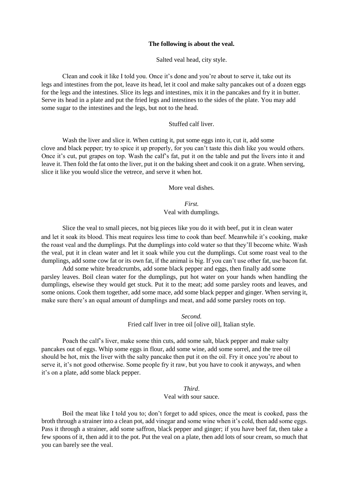#### **The following is about the veal.**

Salted veal head, city style.

Clean and cook it like I told you. Once it's done and you're about to serve it, take out its legs and intestines from the pot, leave its head, let it cool and make salty pancakes out of a dozen eggs for the legs and the intestines. Slice its legs and intestines, mix it in the pancakes and fry it in butter. Serve its head in a plate and put the fried legs and intestines to the sides of the plate. You may add some sugar to the intestines and the legs, but not to the head.

#### Stuffed calf liver.

Wash the liver and slice it. When cutting it, put some eggs into it, cut it, add some clove and black pepper; try to spice it up properly, for you can't taste this dish like you would others. Once it's cut, put grapes on top. Wash the calf's fat, put it on the table and put the livers into it and leave it. Then fold the fat onto the liver, put it on the baking sheet and cook it on a grate. When serving, slice it like you would slice the vetrece, and serve it when hot.

More veal dishes.

*First.* Veal with dumplings.

Slice the veal to small pieces, not big pieces like you do it with beef, put it in clean water and let it soak its blood. This meat requires less time to cook than beef. Meanwhile it's cooking, make the roast veal and the dumplings. Put the dumplings into cold water so that they'll become white. Wash the veal, put it in clean water and let it soak while you cut the dumplings. Cut some roast veal to the dumplings, add some cow fat or its own fat, if the animal is big. If you can't use other fat, use bacon fat.

Add some white breadcrumbs, add some black pepper and eggs, then finally add some parsley leaves. Boil clean water for the dumplings, put hot water on your hands when handling the dumplings, elsewise they would get stuck. Put it to the meat; add some parsley roots and leaves, and some onions. Cook them together, add some mace, add some black pepper and ginger. When serving it, make sure there's an equal amount of dumplings and meat, and add some parsley roots on top.

> *Second.* Fried calf liver in tree oil [olive oil], Italian style.

Poach the calf's liver, make some thin cuts, add some salt, black pepper and make salty pancakes out of eggs. Whip some eggs in flour, add some wine, add some sorrel, and the tree oil should be hot, mix the liver with the salty pancake then put it on the oil. Fry it once you're about to serve it, it's not good otherwise. Some people fry it raw, but you have to cook it anyways, and when it's on a plate, add some black pepper.

#### *Third*. Veal with sour sauce.

Boil the meat like I told you to; don't forget to add spices, once the meat is cooked, pass the broth through a strainer into a clean pot, add vinegar and some wine when it's cold, then add some eggs. Pass it through a strainer, add some saffron, black pepper and ginger; if you have beef fat, then take a few spoons of it, then add it to the pot. Put the veal on a plate, then add lots of sour cream, so much that you can barely see the veal.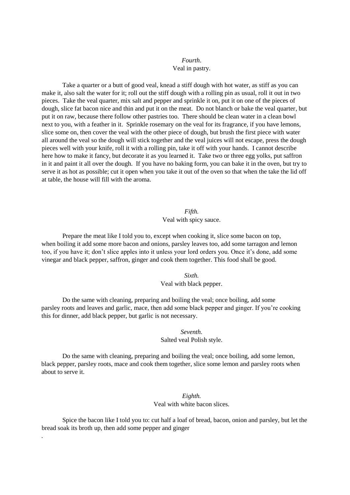## *Fourth*. Veal in pastry.

Take a quarter or a butt of good veal, knead a stiff dough with hot water, as stiff as you can make it, also salt the water for it; roll out the stiff dough with a rolling pin as usual, roll it out in two pieces. Take the veal quarter, mix salt and pepper and sprinkle it on, put it on one of the pieces of dough, slice fat bacon nice and thin and put it on the meat. Do not blanch or bake the veal quarter, but put it on raw, because there follow other pastries too. There should be clean water in a clean bowl next to you, with a feather in it. Sprinkle rosemary on the veal for its fragrance, if you have lemons, slice some on, then cover the veal with the other piece of dough, but brush the first piece with water all around the veal so the dough will stick together and the veal juices will not escape, press the dough pieces well with your knife, roll it with a rolling pin, take it off with your hands. I cannot describe here how to make it fancy, but decorate it as you learned it. Take two or three egg yolks, put saffron in it and paint it all over the dough. If you have no baking form, you can bake it in the oven, but try to serve it as hot as possible; cut it open when you take it out of the oven so that when the take the lid off at table, the house will fill with the aroma.

## *Fifth.* Veal with spicy sauce.

Prepare the meat like I told you to, except when cooking it, slice some bacon on top, when boiling it add some more bacon and onions, parsley leaves too, add some tarragon and lemon too, if you have it; don't slice apples into it unless your lord orders you. Once it's done, add some vinegar and black pepper, saffron, ginger and cook them together. This food shall be good.

## *Sixth.*

#### Veal with black pepper.

Do the same with cleaning, preparing and boiling the veal; once boiling, add some parsley roots and leaves and garlic, mace, then add some black pepper and ginger. If you're cooking this for dinner, add black pepper, but garlic is not necessary.

## *Seventh.*  Salted veal Polish style.

Do the same with cleaning, preparing and boiling the veal; once boiling, add some lemon, black pepper, parsley roots, mace and cook them together, slice some lemon and parsley roots when about to serve it.

## *Eighth.*  Veal with white bacon slices.

Spice the bacon like I told you to: cut half a loaf of bread, bacon, onion and parsley, but let the bread soak its broth up, then add some pepper and ginger

.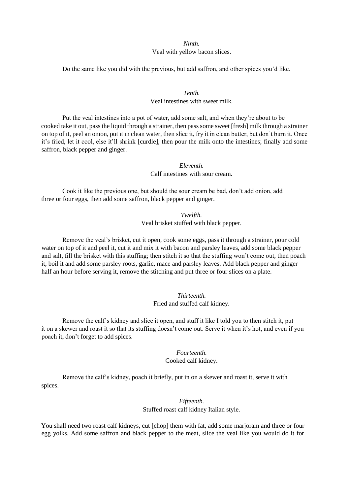## *Ninth.*  Veal with yellow bacon slices.

Do the same like you did with the previous, but add saffron, and other spices you'd like.

## *Tenth.*  Veal intestines with sweet milk.

Put the veal intestines into a pot of water, add some salt, and when they're about to be cooked take it out, pass the liquid through a strainer, then pass some sweet [fresh] milk through a strainer on top of it, peel an onion, put it in clean water, then slice it, fry it in clean butter, but don't burn it. Once it's fried, let it cool, else it'll shrink [curdle], then pour the milk onto the intestines; finally add some saffron, black pepper and ginger.

> *Eleventh.*  Calf intestines with sour cream.

Cook it like the previous one, but should the sour cream be bad, don't add onion, add three or four eggs, then add some saffron, black pepper and ginger.

> *Twelfth.*  Veal brisket stuffed with black pepper.

Remove the veal's brisket, cut it open, cook some eggs, pass it through a strainer, pour cold water on top of it and peel it, cut it and mix it with bacon and parsley leaves, add some black pepper and salt, fill the brisket with this stuffing; then stitch it so that the stuffing won't come out, then poach it, boil it and add some parsley roots, garlic, mace and parsley leaves. Add black pepper and ginger half an hour before serving it, remove the stitching and put three or four slices on a plate.

## *Thirteenth.*  Fried and stuffed calf kidney.

Remove the calf's kidney and slice it open, and stuff it like I told you to then stitch it, put it on a skewer and roast it so that its stuffing doesn't come out. Serve it when it's hot, and even if you poach it, don't forget to add spices.

## *Fourteenth.*  Cooked calf kidney.

Remove the calf's kidney, poach it briefly, put in on a skewer and roast it, serve it with spices.

## *Fifteenth.*

Stuffed roast calf kidney Italian style.

You shall need two roast calf kidneys, cut [chop] them with fat, add some marjoram and three or four egg yolks. Add some saffron and black pepper to the meat, slice the veal like you would do it for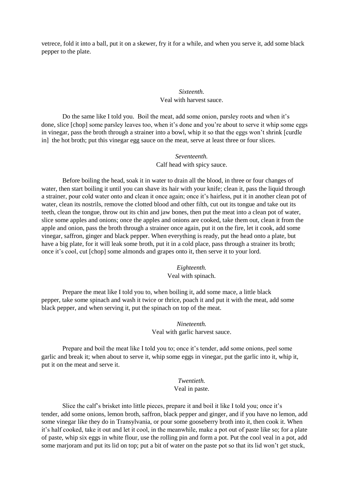vetrece, fold it into a ball, put it on a skewer, fry it for a while, and when you serve it, add some black pepper to the plate.

## *Sixteenth.*  Veal with harvest sauce.

Do the same like I told you. Boil the meat, add some onion, parsley roots and when it's done, slice [chop] some parsley leaves too, when it's done and you're about to serve it whip some eggs in vinegar, pass the broth through a strainer into a bowl, whip it so that the eggs won't shrink [curdle in] the hot broth; put this vinegar egg sauce on the meat, serve at least three or four slices.

## *Seventeenth.*  Calf head with spicy sauce.

Before boiling the head, soak it in water to drain all the blood, in three or four changes of water, then start boiling it until you can shave its hair with your knife; clean it, pass the liquid through a strainer, pour cold water onto and clean it once again; once it's hairless, put it in another clean pot of water, clean its nostrils, remove the clotted blood and other filth, cut out its tongue and take out its teeth, clean the tongue, throw out its chin and jaw bones, then put the meat into a clean pot of water, slice some apples and onions; once the apples and onions are cooked, take them out, clean it from the apple and onion, pass the broth through a strainer once again, put it on the fire, let it cook, add some vinegar, saffron, ginger and black pepper. When everything is ready, put the head onto a plate, but have a big plate, for it will leak some broth, put it in a cold place, pass through a strainer its broth; once it's cool, cut [chop] some almonds and grapes onto it, then serve it to your lord.

#### *Eighteenth.*

Veal with spinach.

Prepare the meat like I told you to, when boiling it, add some mace, a little black pepper, take some spinach and wash it twice or thrice, poach it and put it with the meat, add some black pepper, and when serving it, put the spinach on top of the meat.

## *Nineteenth.*  Veal with garlic harvest sauce.

Prepare and boil the meat like I told you to; once it's tender, add some onions, peel some garlic and break it; when about to serve it, whip some eggs in vinegar, put the garlic into it, whip it, put it on the meat and serve it.

## *Twentieth.*  Veal in paste.

Slice the calf's brisket into little pieces, prepare it and boil it like I told you; once it's tender, add some onions, lemon broth, saffron, black pepper and ginger, and if you have no lemon, add some vinegar like they do in Transylvania, or pour some gooseberry broth into it, then cook it. When it's half cooked, take it out and let it cool, in the meanwhile, make a pot out of paste like so; for a plate of paste, whip six eggs in white flour, use the rolling pin and form a pot. Put the cool veal in a pot, add some marjoram and put its lid on top; put a bit of water on the paste pot so that its lid won't get stuck,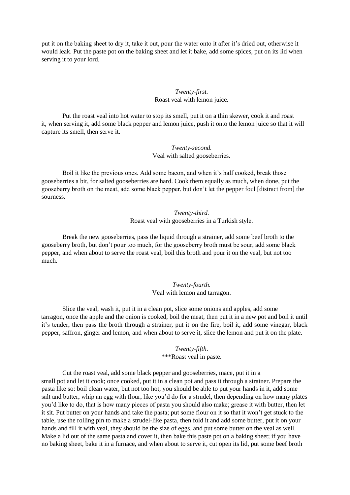put it on the baking sheet to dry it, take it out, pour the water onto it after it's dried out, otherwise it would leak. Put the paste pot on the baking sheet and let it bake, add some spices, put on its lid when serving it to your lord.

#### *Twenty-first.*  Roast veal with lemon juice.

Put the roast veal into hot water to stop its smell, put it on a thin skewer, cook it and roast it, when serving it, add some black pepper and lemon juice, push it onto the lemon juice so that it will capture its smell, then serve it.

> *Twenty-second.*  Veal with salted gooseberries.

Boil it like the previous ones. Add some bacon, and when it's half cooked, break those gooseberries a bit, for salted gooseberries are hard. Cook them equally as much, when done, put the gooseberry broth on the meat, add some black pepper, but don't let the pepper foul [distract from] the sourness.

> *Twenty-third.*  Roast veal with gooseberries in a Turkish style.

Break the new gooseberries, pass the liquid through a strainer, add some beef broth to the gooseberry broth, but don't pour too much, for the gooseberry broth must be sour, add some black pepper, and when about to serve the roast veal, boil this broth and pour it on the veal, but not too much.

> *Twenty-fourth.*  Veal with lemon and tarragon.

Slice the veal, wash it, put it in a clean pot, slice some onions and apples, add some tarragon, once the apple and the onion is cooked, boil the meat, then put it in a new pot and boil it until it's tender, then pass the broth through a strainer, put it on the fire, boil it, add some vinegar, black pepper, saffron, ginger and lemon, and when about to serve it, slice the lemon and put it on the plate.

*Twenty-fifth*.

\*\*\*Roast veal in paste.

Cut the roast veal, add some black pepper and gooseberries, mace, put it in a small pot and let it cook; once cooked, put it in a clean pot and pass it through a strainer. Prepare the pasta like so: boil clean water, but not too hot, you should be able to put your hands in it, add some salt and butter, whip an egg with flour, like you'd do for a strudel, then depending on how many plates you'd like to do, that is how many pieces of pasta you should also make; grease it with butter, then let it sit. Put butter on your hands and take the pasta; put some flour on it so that it won't get stuck to the table, use the rolling pin to make a strudel-like pasta, then fold it and add some butter, put it on your hands and fill it with veal, they should be the size of eggs, and put some butter on the veal as well. Make a lid out of the same pasta and cover it, then bake this paste pot on a baking sheet; if you have no baking sheet, bake it in a furnace, and when about to serve it, cut open its lid, put some beef broth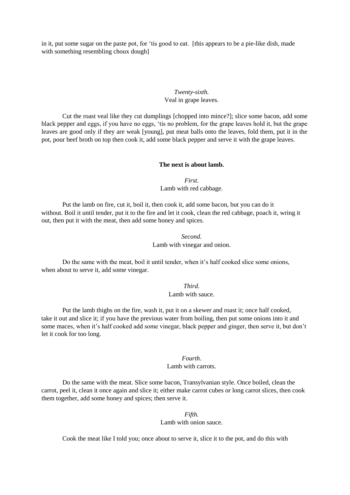in it, put some sugar on the paste pot, for 'tis good to eat. [this appears to be a pie-like dish, made with something resembling choux dough]

## *Twenty-sixth.*  Veal in grape leaves.

Cut the roast veal like they cut dumplings [chopped into mince?]; slice some bacon, add some black pepper and eggs, if you have no eggs, 'tis no problem, for the grape leaves hold it, but the grape leaves are good only if they are weak [young], put meat balls onto the leaves, fold them, put it in the pot, pour beef broth on top then cook it, add some black pepper and serve it with the grape leaves.

#### **The next is about lamb.**

*First*. Lamb with red cabbage.

Put the lamb on fire, cut it, boil it, then cook it, add some bacon, but you can do it without. Boil it until tender, put it to the fire and let it cook, clean the red cabbage, poach it, wring it out, then put it with the meat, then add some honey and spices.

> *Second.*  Lamb with vinegar and onion.

Do the same with the meat, boil it until tender, when it's half cooked slice some onions, when about to serve it, add some vinegar.

> *Third.*  Lamb with sauce.

Put the lamb thighs on the fire, wash it, put it on a skewer and roast it; once half cooked, take it out and slice it; if you have the previous water from boiling, then put some onions into it and some maces, when it's half cooked add some vinegar, black pepper and ginger, then serve it, but don't let it cook for too long.

## *Fourth*.

#### Lamb with carrots.

Do the same with the meat. Slice some bacon, Transylvanian style. Once boiled, clean the carrot, peel it, clean it once again and slice it; either make carrot cubes or long carrot slices, then cook them together, add some honey and spices; then serve it.

## *Fifth.*

Lamb with onion sauce.

Cook the meat like I told you; once about to serve it, slice it to the pot, and do this with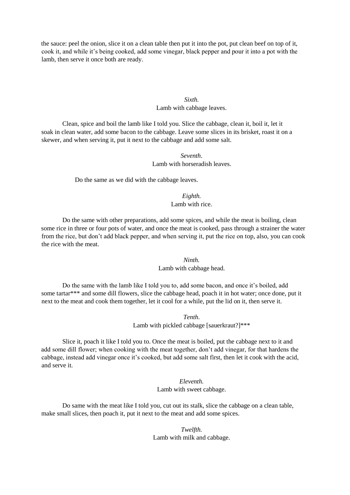the sauce: peel the onion, slice it on a clean table then put it into the pot, put clean beef on top of it, cook it, and while it's being cooked, add some vinegar, black pepper and pour it into a pot with the lamb, then serve it once both are ready.

## *Sixth.*  Lamb with cabbage leaves.

Clean, spice and boil the lamb like I told you. Slice the cabbage, clean it, boil it, let it soak in clean water, add some bacon to the cabbage. Leave some slices in its brisket, roast it on a skewer, and when serving it, put it next to the cabbage and add some salt.

## *Seventh*. Lamb with horseradish leaves.

Do the same as we did with the cabbage leaves.

## *Eighth.*  Lamb with rice.

Do the same with other preparations, add some spices, and while the meat is boiling, clean some rice in three or four pots of water, and once the meat is cooked, pass through a strainer the water from the rice, but don't add black pepper, and when serving it, put the rice on top, also, you can cook the rice with the meat.

## *Ninth.*  Lamb with cabbage head.

Do the same with the lamb like I told you to, add some bacon, and once it's boiled, add some tartar\*\*\* and some dill flowers, slice the cabbage head, poach it in hot water; once done, put it next to the meat and cook them together, let it cool for a while, put the lid on it, then serve it.

> *Tenth*. Lamb with pickled cabbage [sauerkraut?]\*\*\*

Slice it, poach it like I told you to. Once the meat is boiled, put the cabbage next to it and add some dill flower; when cooking with the meat together, don't add vinegar, for that hardens the cabbage, instead add vinegar once it's cooked, but add some salt first, then let it cook with the acid, and serve it.

> *Eleventh.*  Lamb with sweet cabbage.

Do same with the meat like I told you, cut out its stalk, slice the cabbage on a clean table, make small slices, then poach it, put it next to the meat and add some spices.

> *Twelfth.*  Lamb with milk and cabbage.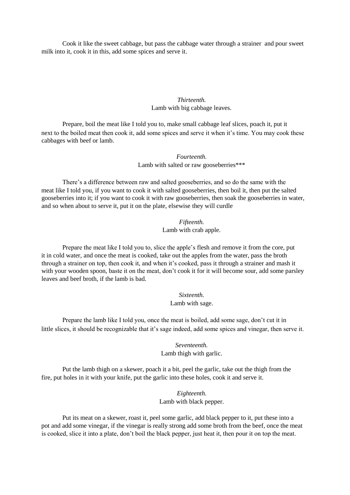Cook it like the sweet cabbage, but pass the cabbage water through a strainer and pour sweet milk into it, cook it in this, add some spices and serve it.

## *Thirteenth.*  Lamb with big cabbage leaves.

Prepare, boil the meat like I told you to, make small cabbage leaf slices, poach it, put it next to the boiled meat then cook it, add some spices and serve it when it's time. You may cook these cabbages with beef or lamb.

> *Fourteenth.*  Lamb with salted or raw gooseberries\*\*\*

There's a difference between raw and salted gooseberries, and so do the same with the meat like I told you, if you want to cook it with salted gooseberries, then boil it, then put the salted gooseberries into it; if you want to cook it with raw gooseberries, then soak the gooseberries in water, and so when about to serve it, put it on the plate, elsewise they will curdle

> *Fifteenth.*  Lamb with crab apple.

Prepare the meat like I told you to, slice the apple's flesh and remove it from the core, put it in cold water, and once the meat is cooked, take out the apples from the water, pass the broth through a strainer on top, then cook it, and when it's cooked, pass it through a strainer and mash it with your wooden spoon, baste it on the meat, don't cook it for it will become sour, add some parsley leaves and beef broth, if the lamb is bad.

*Sixteenth.* 

Lamb with sage.

Prepare the lamb like I told you, once the meat is boiled, add some sage, don't cut it in little slices, it should be recognizable that it's sage indeed, add some spices and vinegar, then serve it.

> *Seventeenth.*  Lamb thigh with garlic.

Put the lamb thigh on a skewer, poach it a bit, peel the garlic, take out the thigh from the fire, put holes in it with your knife, put the garlic into these holes, cook it and serve it.

> *Eighteenth.*  Lamb with black pepper.

Put its meat on a skewer, roast it, peel some garlic, add black pepper to it, put these into a pot and add some vinegar, if the vinegar is really strong add some broth from the beef, once the meat is cooked, slice it into a plate, don't boil the black pepper, just heat it, then pour it on top the meat.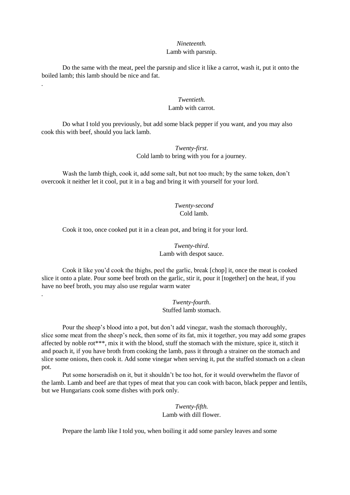## *Nineteenth.*

## Lamb with parsnip.

Do the same with the meat, peel the parsnip and slice it like a carrot, wash it, put it onto the boiled lamb; this lamb should be nice and fat.

.

.

## *Twentieth.*  Lamb with carrot.

Do what I told you previously, but add some black pepper if you want, and you may also cook this with beef, should you lack lamb.

> *Twenty-first*. Cold lamb to bring with you for a journey.

Wash the lamb thigh, cook it, add some salt, but not too much; by the same token, don't overcook it neither let it cool, put it in a bag and bring it with yourself for your lord.

> *Twenty-second* Cold lamb.

Cook it too, once cooked put it in a clean pot, and bring it for your lord.

*Twenty-third*. Lamb with despot sauce.

Cook it like you'd cook the thighs, peel the garlic, break [chop] it, once the meat is cooked slice it onto a plate. Pour some beef broth on the garlic, stir it, pour it [together] on the heat, if you have no beef broth, you may also use regular warm water

> *Twenty-fourth*. Stuffed lamb stomach.

Pour the sheep's blood into a pot, but don't add vinegar, wash the stomach thoroughly, slice some meat from the sheep's neck, then some of its fat, mix it together, you may add some grapes affected by noble rot\*\*\*, mix it with the blood, stuff the stomach with the mixture, spice it, stitch it and poach it, if you have broth from cooking the lamb, pass it through a strainer on the stomach and slice some onions, then cook it. Add some vinegar when serving it, put the stuffed stomach on a clean pot.

Put some horseradish on it, but it shouldn't be too hot, for it would overwhelm the flavor of the lamb. Lamb and beef are that types of meat that you can cook with bacon, black pepper and lentils, but we Hungarians cook some dishes with pork only.

> *Twenty-fifth.*  Lamb with dill flower.

Prepare the lamb like I told you, when boiling it add some parsley leaves and some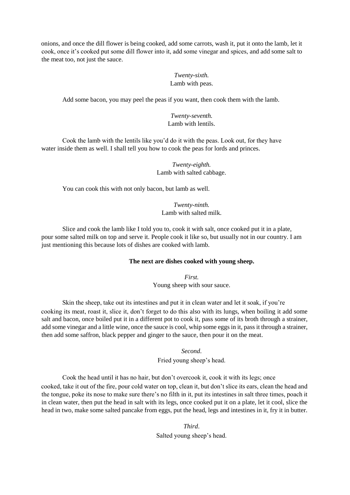onions, and once the dill flower is being cooked, add some carrots, wash it, put it onto the lamb, let it cook, once it's cooked put some dill flower into it, add some vinegar and spices, and add some salt to the meat too, not just the sauce.

## *Twenty-sixth.*  Lamb with peas.

Add some bacon, you may peel the peas if you want, then cook them with the lamb.

## *Twenty-seventh.*  Lamb with lentils.

Cook the lamb with the lentils like you'd do it with the peas. Look out, for they have water inside them as well. I shall tell you how to cook the peas for lords and princes.

> *Twenty-eighth.*  Lamb with salted cabbage.

You can cook this with not only bacon, but lamb as well.

*Twenty-ninth.*  Lamb with salted milk.

Slice and cook the lamb like I told you to, cook it with salt, once cooked put it in a plate, pour some salted milk on top and serve it. People cook it like so, but usually not in our country. I am just mentioning this because lots of dishes are cooked with lamb.

## **The next are dishes cooked with young sheep.**

*First.*  Young sheep with sour sauce.

Skin the sheep, take out its intestines and put it in clean water and let it soak, if you're cooking its meat, roast it, slice it, don't forget to do this also with its lungs, when boiling it add some salt and bacon, once boiled put it in a different pot to cook it, pass some of its broth through a strainer, add some vinegar and a little wine, once the sauce is cool, whip some eggs in it, pass it through a strainer, then add some saffron, black pepper and ginger to the sauce, then pour it on the meat.

*Second*.

Fried young sheep's head.

Cook the head until it has no hair, but don't overcook it, cook it with its legs; once cooked, take it out of the fire, pour cold water on top, clean it, but don't slice its ears, clean the head and the tongue, poke its nose to make sure there's no filth in it, put its intestines in salt three times, poach it in clean water, then put the head in salt with its legs, once cooked put it on a plate, let it cool, slice the head in two, make some salted pancake from eggs, put the head, legs and intestines in it, fry it in butter.

> *Third*. Salted young sheep's head.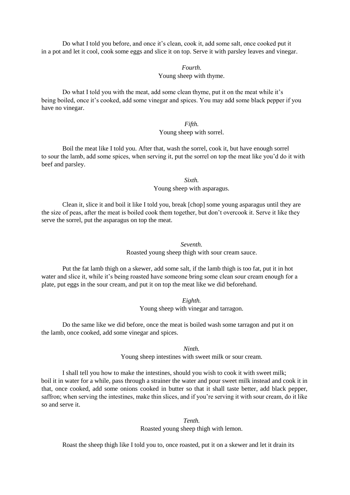Do what I told you before, and once it's clean, cook it, add some salt, once cooked put it in a pot and let it cool, cook some eggs and slice it on top. Serve it with parsley leaves and vinegar.

## *Fourth.*  Young sheep with thyme.

Do what I told you with the meat, add some clean thyme, put it on the meat while it's being boiled, once it's cooked, add some vinegar and spices. You may add some black pepper if you have no vinegar.

## *Fifth.*  Young sheep with sorrel.

Boil the meat like I told you. After that, wash the sorrel, cook it, but have enough sorrel to sour the lamb, add some spices, when serving it, put the sorrel on top the meat like you'd do it with beef and parsley.

*Sixth.* 

Young sheep with asparagus.

Clean it, slice it and boil it like I told you, break [chop] some young asparagus until they are the size of peas, after the meat is boiled cook them together, but don't overcook it. Serve it like they serve the sorrel, put the asparagus on top the meat.

#### *Seventh.*

Roasted young sheep thigh with sour cream sauce.

Put the fat lamb thigh on a skewer, add some salt, if the lamb thigh is too fat, put it in hot water and slice it, while it's being roasted have someone bring some clean sour cream enough for a plate, put eggs in the sour cream, and put it on top the meat like we did beforehand.

> *Eighth.*  Young sheep with vinegar and tarragon.

Do the same like we did before, once the meat is boiled wash some tarragon and put it on the lamb, once cooked, add some vinegar and spices.

> *Ninth.*  Young sheep intestines with sweet milk or sour cream.

I shall tell you how to make the intestines, should you wish to cook it with sweet milk; boil it in water for a while, pass through a strainer the water and pour sweet milk instead and cook it in that, once cooked, add some onions cooked in butter so that it shall taste better, add black pepper, saffron; when serving the intestines, make thin slices, and if you're serving it with sour cream, do it like so and serve it.

> *Tenth.*  Roasted young sheep thigh with lemon.

Roast the sheep thigh like I told you to, once roasted, put it on a skewer and let it drain its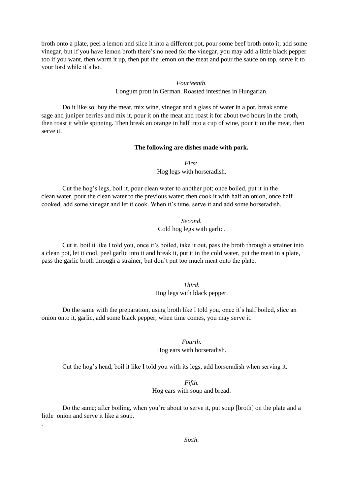broth onto a plate, peel a lemon and slice it into a different pot, pour some beef broth onto it, add some vinegar, but if you have lemon broth there's no need for the vinegar, you may add a little black pepper too if you want, then warm it up, then put the lemon on the meat and pour the sauce on top, serve it to your lord while it's hot.

> *Fourteenth.*  Longum prott in German. Roasted intestines in Hungarian.

Do it like so: buy the meat, mix wine, vinegar and a glass of water in a pot, break some sage and juniper berries and mix it, pour it on the meat and roast it for about two hours in the broth, then roast it while spinning. Then break an orange in half into a cup of wine, pour it on the meat, then serve it.

#### **The following are dishes made with pork.**

*First*. Hog legs with horseradish.

Cut the hog's legs, boil it, pour clean water to another pot; once boiled, put it in the clean water, pour the clean water to the previous water; then cook it with half an onion, once half cooked, add some vinegar and let it cook. When it's time, serve it and add some horseradish.

> *Second.*  Cold hog legs with garlic.

Cut it, boil it like I told you, once it's boiled, take it out, pass the broth through a strainer into a clean pot, let it cool, peel garlic into it and break it, put it in the cold water, put the meat in a plate, pass the garlic broth through a strainer, but don't put too much meat onto the plate.

#### *Third.*  Hog legs with black pepper.

Do the same with the preparation, using broth like I told you, once it's half boiled, slice an onion onto it, garlic, add some black pepper; when time comes, you may serve it.

*Fourth.* 

Hog ears with horseradish.

Cut the hog's head, boil it like I told you with its legs, add horseradish when serving it.

#### *Fifth.*

Hog ears with soup and bread.

Do the same; after boiling, when you're about to serve it, put soup [broth] on the plate and a little onion and serve it like a soup.

.

*Sixth*.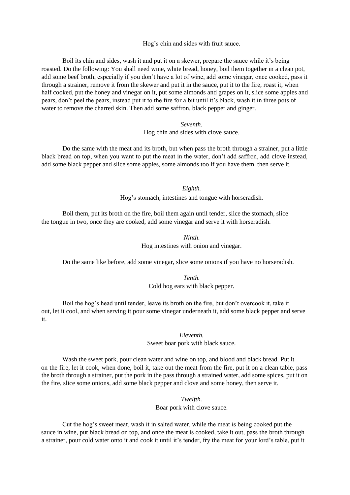Hog's chin and sides with fruit sauce.

Boil its chin and sides, wash it and put it on a skewer, prepare the sauce while it's being roasted. Do the following: You shall need wine, white bread, honey, boil them together in a clean pot, add some beef broth, especially if you don't have a lot of wine, add some vinegar, once cooked, pass it through a strainer, remove it from the skewer and put it in the sauce, put it to the fire, roast it, when half cooked, put the honey and vinegar on it, put some almonds and grapes on it, slice some apples and pears, don't peel the pears, instead put it to the fire for a bit until it's black, wash it in three pots of water to remove the charred skin. Then add some saffron, black pepper and ginger.

> *Seventh.*  Hog chin and sides with clove sauce.

Do the same with the meat and its broth, but when pass the broth through a strainer, put a little black bread on top, when you want to put the meat in the water, don't add saffron, add clove instead, add some black pepper and slice some apples, some almonds too if you have them, then serve it.

*Eighth.* 

Hog's stomach, intestines and tongue with horseradish.

Boil them, put its broth on the fire, boil them again until tender, slice the stomach, slice the tongue in two, once they are cooked, add some vinegar and serve it with horseradish.

## *Ninth*.

Hog intestines with onion and vinegar.

Do the same like before, add some vinegar, slice some onions if you have no horseradish.

*Tenth.*  Cold hog ears with black pepper.

Boil the hog's head until tender, leave its broth on the fire, but don't overcook it, take it out, let it cool, and when serving it pour some vinegar underneath it, add some black pepper and serve it.

> *Eleventh.*  Sweet boar pork with black sauce.

Wash the sweet pork, pour clean water and wine on top, and blood and black bread. Put it on the fire, let it cook, when done, boil it, take out the meat from the fire, put it on a clean table, pass the broth through a strainer, put the pork in the pass through a strained water, add some spices, put it on the fire, slice some onions, add some black pepper and clove and some honey, then serve it.

> *Twelfth.*  Boar pork with clove sauce.

Cut the hog's sweet meat, wash it in salted water, while the meat is being cooked put the sauce in wine, put black bread on top, and once the meat is cooked, take it out, pass the broth through a strainer, pour cold water onto it and cook it until it's tender, fry the meat for your lord's table, put it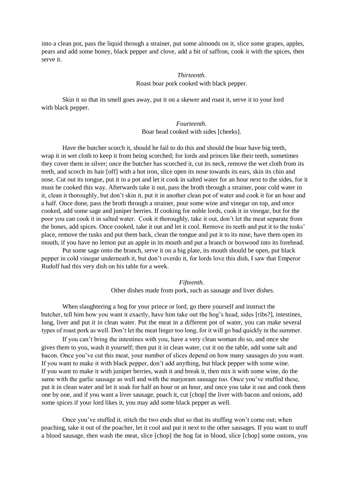into a clean pot, pass the liquid through a strainer, put some almonds on it, slice some grapes, apples, pears and add some honey, black pepper and clove, add a bit of saffron, cook it with the spices, then serve it.

## *Thirteenth.*  Roast boar pork cooked with black pepper.

Skin it so that its smell goes away, put it on a skewer and roast it, serve it to your lord with black pepper.

> *Fourteenth.*  Boar head cooked with sides [cheeks].

Have the butcher scorch it, should he fail to do this and should the boar have big teeth, wrap it in wet cloth to keep it from being scorched; for lords and princes like their teeth, sometimes they cover them in silver; once the butcher has scorched it, cut its neck, remove the wet cloth from its teeth, and scorch its hair [off] with a hot iron, slice open its nose towards its ears, skin its chin and nose. Cut out its tongue, put it in a pot and let it cook in salted water for an hour next to the sides, for it must be cooked this way. Afterwards take it out, pass the broth through a strainer, pour cold water in it, clean it thoroughly, but don't skin it, put it in another clean pot of water and cook it for an hour and a half. Once done, pass the broth through a strainer, pour some wine and vinegar on top, and once cooked, add some sage and juniper berries. If cooking for noble lords, cook it in vinegar, but for the poor you can cook it in salted water. Cook it thoroughly, take it out, don't let the meat separate from the bones, add spices. Once cooked, take it out and let it cool. Remove its teeth and put it to the tusks' place, remove the tusks and put them back, clean the tongue and put it to its nose, have them open its mouth, if you have no lemon put an apple in its mouth and put a branch or boxwood into its forehead.

Put some sage onto the branch, serve it on a big plate, its mouth should be open, put black pepper in cold vinegar underneath it, but don't overdo it, for lords love this dish, I saw that Emperor Rudolf had this very dish on his table for a week.

*Fifteenth.* 

Other dishes made from pork, such as sausage and liver dishes.

When slaughtering a hog for your prince or lord, go there yourself and instruct the butcher, tell him how you want it exactly, have him take out the hog's head, sides [ribs?], intestines, lung, liver and put it in clean water. Put the meat in a different pot of water, you can make several types of roast pork as well. Don't let the meat linger too long, for it will go bad quickly in the summer.

If you can't bring the intestines with you, have a very clean woman do so, and once she gives them to you, wash it yourself; then put it in clean water, cut it on the table, add some salt and bacon. Once you've cut this meat, your number of slices depend on how many sausages do you want. If you want to make it with black pepper, don't add anything, but black pepper with some wine. If you want to make it with juniper berries, wash it and break it, then mix it with some wine, do the same with the garlic sausage as well and with the marjoram sausage too. Once you've stuffed these, put it in clean water and let it soak for half an hour or an hour, and once you take it out and cook them one by one, and if you want a liver sausage, poach it, cut [chop] the liver with bacon and onions, add some spices if your lord likes it, you may add some black pepper as well.

Once you've stuffed it, stitch the two ends shut so that its stuffing won't come out; when poaching, take it out of the poacher, let it cool and put it next to the other sausages. If you want to stuff a blood sausage, then wash the meat, slice [chop] the hog fat in blood, slice [chop] some onions, you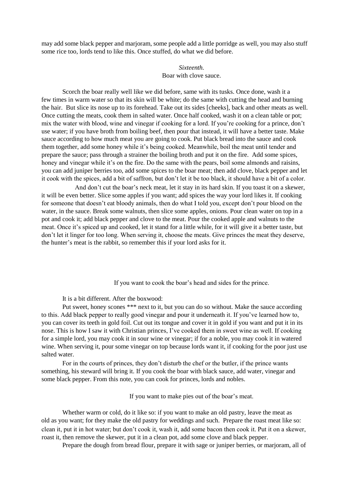may add some black pepper and marjoram, some people add a little porridge as well, you may also stuff some rice too, lords tend to like this. Once stuffed, do what we did before.

## *Sixteenth.*  Boar with clove sauce.

Scorch the boar really well like we did before, same with its tusks. Once done, wash it a few times in warm water so that its skin will be white; do the same with cutting the head and burning the hair. But slice its nose up to its forehead. Take out its sides [cheeks], back and other meats as well. Once cutting the meats, cook them in salted water. Once half cooked, wash it on a clean table or pot; mix the water with blood, wine and vinegar if cooking for a lord. If you're cooking for a prince, don't use water; if you have broth from boiling beef, then pour that instead, it will have a better taste. Make sauce according to how much meat you are going to cook. Put black bread into the sauce and cook them together, add some honey while it's being cooked. Meanwhile, boil the meat until tender and prepare the sauce; pass through a strainer the boiling broth and put it on the fire. Add some spices, honey and vinegar while it's on the fire. Do the same with the pears, boil some almonds and raisins, you can add juniper berries too, add some spices to the boar meat; then add clove, black pepper and let it cook with the spices, add a bit of saffron, but don't let it be too black, it should have a bit of a color.

And don't cut the boar's neck meat, let it stay in its hard skin. If you toast it on a skewer, it will be even better. Slice some apples if you want; add spices the way your lord likes it. If cooking for someone that doesn't eat bloody animals, then do what I told you, except don't pour blood on the water, in the sauce. Break some walnuts, then slice some apples, onions. Pour clean water on top in a pot and cook it; add black pepper and clove to the meat. Pour the cooked apple and walnuts to the meat. Once it's spiced up and cooked, let it stand for a little while, for it will give it a better taste, but don't let it linger for too long. When serving it, choose the meats. Give princes the meat they deserve, the hunter's meat is the rabbit, so remember this if your lord asks for it.

If you want to cook the boar's head and sides for the prince.

It is a bit different. After the boxwood:

Put sweet, honey scones \*\*\* next to it, but you can do so without. Make the sauce according to this. Add black pepper to really good vinegar and pour it underneath it. If you've learned how to, you can cover its teeth in gold foil. Cut out its tongue and cover it in gold if you want and put it in its nose. This is how I saw it with Christian princes, I've cooked them in sweet wine as well. If cooking for a simple lord, you may cook it in sour wine or vinegar; if for a noble, you may cook it in watered wine. When serving it, pour some vinegar on top because lords want it, if cooking for the poor just use salted water.

For in the courts of princes, they don't disturb the chef or the butler, if the prince wants something, his steward will bring it. If you cook the boar with black sauce, add water, vinegar and some black pepper. From this note, you can cook for princes, lords and nobles.

If you want to make pies out of the boar's meat.

Whether warm or cold, do it like so: if you want to make an old pastry, leave the meat as old as you want; for they make the old pastry for weddings and such. Prepare the roast meat like so: clean it, put it in hot water; but don't cook it, wash it, add some bacon then cook it. Put it on a skewer, roast it, then remove the skewer, put it in a clean pot, add some clove and black pepper.

Prepare the dough from bread flour, prepare it with sage or juniper berries, or marjoram, all of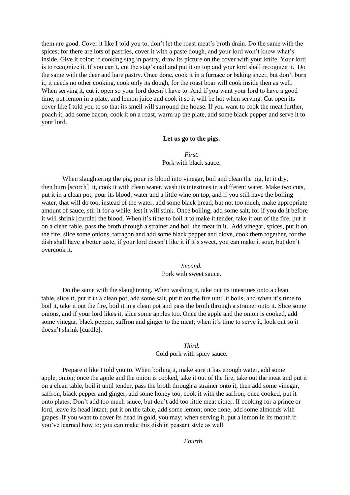them are good. Cover it like I told you to, don't let the roast meat's broth drain. Do the same with the spices; for there are lots of pastries, cover it with a paste dough, and your lord won't know what's inside. Give it color: if cooking stag in pastry, draw its picture on the cover with your knife. Your lord is to recognize it. If you can't, cut the stag's nail and put it on top and your lord shall recognize it. Do the same with the deer and hare pastry. Once done, cook it in a furnace or baking sheet; but don't burn it, it needs no other cooking, cook only its dough, for the roast boar will cook inside then as well. When serving it, cut it open so your lord doesn't have to. And if you want your lord to have a good time, put lemon in a plate, and lemon juice and cook it so it will be hot when serving. Cut open its cover like I told you to so that its smell will surround the house. If you want to cook the meat further, poach it, add some bacon, cook it on a roast, warm up the plate, add some black pepper and serve it to your lord.

## **Let us go to the pigs.**

*First.*  Pork with black sauce.

When slaughtering the pig, pour its blood into vinegar, boil and clean the pig, let it dry, then burn [scorch] it, cook it with clean water, wash its intestines in a different water. Make two cuts, put it in a clean pot, pour its blood, water and a little wine on top, and if you still have the boiling water, that will do too, instead of the water, add some black bread, but not too much, make appropriate amount of sauce, stir it for a while, lest it will stink. Once boiling, add some salt, for if you do it before it will shrink [curdle] the blood. When it's time to boil it to make it tender, take it out of the fire, put it on a clean table, pass the broth through a strainer and boil the meat in it. Add vinegar, spices, put it on the fire, slice some onions, tarragon and add some black pepper and clove, cook them together, for the dish shall have a better taste, if your lord doesn't like it if it's sweet, you can make it sour, but don't overcook it.

> *Second.*  Pork with sweet sauce.

Do the same with the slaughtering. When washing it, take out its intestines onto a clean table, slice it, put it in a clean pot, add some salt, put it on the fire until it boils, and when it's time to boil it, take it out the fire, boil it in a clean pot and pass the broth through a strainer onto it. Slice some onions, and if your lord likes it, slice some apples too. Once the apple and the onion is cooked, add some vinegar, black pepper, saffron and ginger to the meat; when it's time to serve it, look out so it doesn't shrink [curdle].

#### *Third.*

#### Cold pork with spicy sauce.

Prepare it like I told you to. When boiling it, make sure it has enough water, add some apple, onion; once the apple and the onion is cooked, take it out of the fire, take out the meat and put it on a clean table, boil it until tender, pass the broth through a strainer onto it, then add some vinegar, saffron, black pepper and ginger, add some honey too, cook it with the saffron; once cooked, put it onto plates. Don't add too much sauce, but don't add too little meat either. If cooking for a prince or lord, leave its head intact, put it on the table, add some lemon; once done, add some almonds with grapes. If you want to cover its head in gold, you may; when serving it, put a lemon in its mouth if you've learned how to; you can make this dish in peasant style as well.

*Fourth.*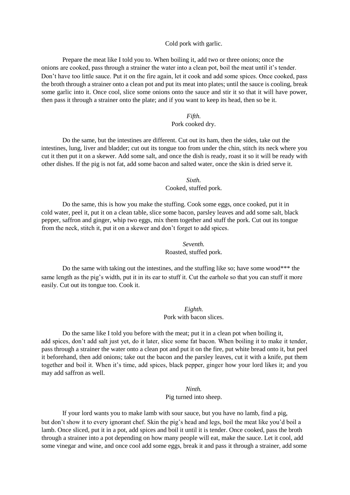#### Cold pork with garlic.

Prepare the meat like I told you to. When boiling it, add two or three onions; once the onions are cooked, pass through a strainer the water into a clean pot, boil the meat until it's tender. Don't have too little sauce. Put it on the fire again, let it cook and add some spices. Once cooked, pass the broth through a strainer onto a clean pot and put its meat into plates; until the sauce is cooling, break some garlic into it. Once cool, slice some onions onto the sauce and stir it so that it will have power, then pass it through a strainer onto the plate; and if you want to keep its head, then so be it.

#### *Fifth.*

#### Pork cooked dry.

Do the same, but the intestines are different. Cut out its ham, then the sides, take out the intestines, lung, liver and bladder; cut out its tongue too from under the chin, stitch its neck where you cut it then put it on a skewer. Add some salt, and once the dish is ready, roast it so it will be ready with other dishes. If the pig is not fat, add some bacon and salted water, once the skin is dried serve it.

*Sixth.* 

Cooked, stuffed pork.

Do the same, this is how you make the stuffing. Cook some eggs, once cooked, put it in cold water, peel it, put it on a clean table, slice some bacon, parsley leaves and add some salt, black pepper, saffron and ginger, whip two eggs, mix them together and stuff the pork. Cut out its tongue from the neck, stitch it, put it on a skewer and don't forget to add spices.

#### *Seventh.*

Roasted, stuffed pork.

Do the same with taking out the intestines, and the stuffing like so; have some wood\*\*\* the same length as the pig's width, put it in its ear to stuff it. Cut the earhole so that you can stuff it more easily. Cut out its tongue too. Cook it.

#### *Eighth.*

#### Pork with bacon slices.

Do the same like I told you before with the meat; put it in a clean pot when boiling it, add spices, don't add salt just yet, do it later, slice some fat bacon. When boiling it to make it tender, pass through a strainer the water onto a clean pot and put it on the fire, put white bread onto it, but peel it beforehand, then add onions; take out the bacon and the parsley leaves, cut it with a knife, put them together and boil it. When it's time, add spices, black pepper, ginger how your lord likes it; and you may add saffron as well.

## *Ninth.*

#### Pig turned into sheep.

If your lord wants you to make lamb with sour sauce, but you have no lamb, find a pig, but don't show it to every ignorant chef. Skin the pig's head and legs, boil the meat like you'd boil a lamb. Once sliced, put it in a pot, add spices and boil it until it is tender. Once cooked, pass the broth through a strainer into a pot depending on how many people will eat, make the sauce. Let it cool, add some vinegar and wine, and once cool add some eggs, break it and pass it through a strainer, add some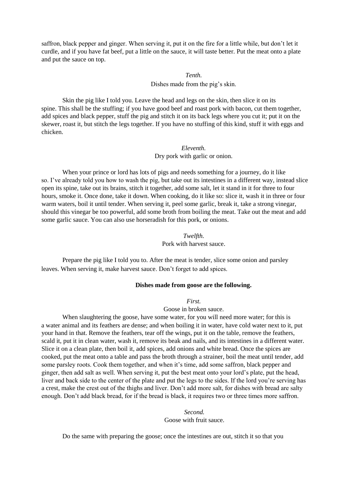saffron, black pepper and ginger. When serving it, put it on the fire for a little while, but don't let it curdle, and if you have fat beef, put a little on the sauce, it will taste better. Put the meat onto a plate and put the sauce on top.

#### *Tenth.*

Dishes made from the pig's skin.

Skin the pig like I told you. Leave the head and legs on the skin, then slice it on its spine. This shall be the stuffing; if you have good beef and roast pork with bacon, cut them together, add spices and black pepper, stuff the pig and stitch it on its back legs where you cut it; put it on the skewer, roast it, but stitch the legs together. If you have no stuffing of this kind, stuff it with eggs and chicken.

## *Eleventh.*

Dry pork with garlic or onion.

When your prince or lord has lots of pigs and needs something for a journey, do it like so. I've already told you how to wash the pig, but take out its intestines in a different way, instead slice open its spine, take out its brains, stitch it together, add some salt, let it stand in it for three to four hours, smoke it. Once done, take it down. When cooking, do it like so: slice it, wash it in three or four warm waters, boil it until tender. When serving it, peel some garlic, break it, take a strong vinegar, should this vinegar be too powerful, add some broth from boiling the meat. Take out the meat and add some garlic sauce. You can also use horseradish for this pork, or onions.

> *Twelfth.*  Pork with harvest sauce.

Prepare the pig like I told you to. After the meat is tender, slice some onion and parsley leaves. When serving it, make harvest sauce. Don't forget to add spices.

#### **Dishes made from goose are the following.**

*First.* 

Goose in broken sauce.

When slaughtering the goose, have some water, for you will need more water; for this is a water animal and its feathers are dense; and when boiling it in water, have cold water next to it, put your hand in that. Remove the feathers, tear off the wings, put it on the table, remove the feathers, scald it, put it in clean water, wash it, remove its beak and nails, and its intestines in a different water. Slice it on a clean plate, then boil it, add spices, add onions and white bread. Once the spices are cooked, put the meat onto a table and pass the broth through a strainer, boil the meat until tender, add some parsley roots. Cook them together, and when it's time, add some saffron, black pepper and ginger, then add salt as well. When serving it, put the best meat onto your lord's plate, put the head, liver and back side to the center of the plate and put the legs to the sides. If the lord you're serving has a crest, make the crest out of the thighs and liver. Don't add more salt, for dishes with bread are salty enough. Don't add black bread, for if the bread is black, it requires two or three times more saffron.

> *Second.*  Goose with fruit sauce.

Do the same with preparing the goose; once the intestines are out, stitch it so that you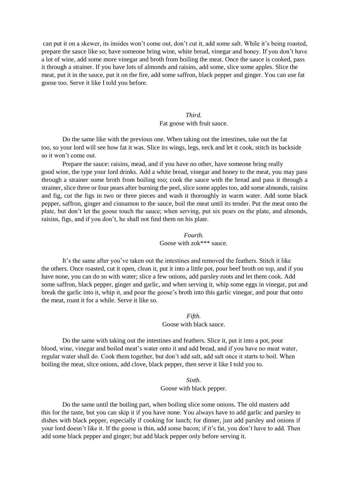can put it on a skewer, its insides won't come out, don't cut it, add some salt. While it's being roasted, prepare the sauce like so; have someone bring wine, white bread, vinegar and honey. If you don't have a lot of wine, add some more vinegar and broth from boiling the meat. Once the sauce is cooked, pass it through a strainer. If you have lots of almonds and raisins, add some, slice some apples. Slice the meat, put it in the sauce, put it on the fire, add some saffron, black pepper and ginger. You can use fat goose too. Serve it like I told you before.

## *Third.*  Fat goose with fruit sauce.

Do the same like with the previous one. When taking out the intestines, take out the fat too, so your lord will see how fat it was. Slice its wings, legs, neck and let it cook, stitch its backside so it won't come out.

Prepare the sauce: raisins, mead, and if you have no other, have someone bring really good wine, the type your lord drinks. Add a white bread, vinegar and honey to the meat, you may pass through a strainer some broth from boiling too; cook the sauce with the bread and pass it through a strainer, slice three or four pears after burning the peel, slice some apples too, add some almonds, raisins and fig, cut the figs in two or three pieces and wash it thoroughly in warm water. Add some black pepper, saffron, ginger and cinnamon to the sauce, boil the meat until its tender. Put the meat onto the plate, but don't let the goose touch the sauce; when serving, put six pears on the plate, and almonds, raisins, figs, and if you don't, he shall not find them on his plate.

#### *Fourth.*  Goose with zok\*\*\* sauce.

It's the same after you've taken out the intestines and removed the feathers. Stitch it like the others. Once roasted, cut it open, clean it, put it into a little pot, pour beef broth on top, and if you have none, you can do so with water; slice a few onions, add parsley roots and let them cook. Add some saffron, black pepper, ginger and garlic, and when serving it, whip some eggs in vinegar, put and break the garlic into it, whip it, and pour the goose's broth into this garlic vinegar, and pour that onto the meat, roast it for a while. Serve it like so.

#### *Fifth.*  Goose with black sauce.

Do the same with taking out the intestines and feathers. Slice it, put it into a pot, pour blood, wine, vinegar and boiled meat's water onto it and add bread, and if you have no meat water, regular water shall do. Cook them together, but don't add salt, add salt once it starts to boil. When boiling the meat, slice onions, add clove, black pepper, then serve it like I told you to.

#### *Sixth.*

#### Goose with black pepper.

Do the same until the boiling part, when boiling slice some onions. The old masters add this for the taste, but you can skip it if you have none. You always have to add garlic and parsley to dishes with black pepper, especially if cooking for lunch; for dinner, just add parsley and onions if your lord doesn't like it. If the goose is thin, add some bacon; if it's fat, you don't have to add. Then add some black pepper and ginger; but add black pepper only before serving it.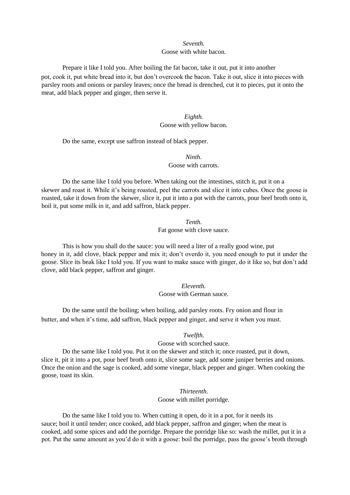## *Seventh.*  Goose with white bacon.

Prepare it like I told you. After boiling the fat bacon, take it out, put it into another pot, cook it, put white bread into it, but don't overcook the bacon. Take it out, slice it into pieces with parsley roots and onions or parsley leaves; once the bread is drenched, cut it to pieces, put it onto the meat, add black pepper and ginger, then serve it.

#### *Eighth.*  Goose with yellow bacon.

Do the same, except use saffron instead of black pepper.

## *Ninth*. Goose with carrots.

Do the same like I told you before. When taking out the intestines, stitch it, put it on a skewer and roast it. While it's being roasted, peel the carrots and slice it into cubes. Once the goose is roasted, take it down from the skewer, slice it, put it into a pot with the carrots, pour beef broth onto it, boil it, put some milk in it, and add saffron, black pepper.

> *Tenth.*  Fat goose with clove sauce.

This is how you shall do the sauce: you will need a liter of a really good wine, put honey in it, add clove, black pepper and mix it; don't overdo it, you need enough to put it under the goose. Slice its beak like I told you. If you want to make sauce with ginger, do it like so, but don't add clove, add black pepper, saffron and ginger.

> *Eleventh.*  Goose with German sauce.

Do the same until the boiling; when boiling, add parsley roots. Fry onion and flour in butter, and when it's time, add saffron, black pepper and ginger, and serve it when you must.

*Twelfth.* 

Goose with scorched sauce.

Do the same like I told you. Put it on the skewer and stitch it; once roasted, put it down, slice it, pit it into a pot, pour beef broth onto it, slice some sage, add some juniper berries and onions. Once the onion and the sage is cooked, add some vinegar, black pepper and ginger. When cooking the goose, toast its skin.

> *Thirteenth*. Goose with millet porridge.

Do the same like I told you to. When cutting it open, do it in a pot, for it needs its sauce; boil it until tender; once cooked, add black pepper, saffron and ginger; when the meat is cooked, add some spices and add the porridge. Prepare the porridge like so: wash the millet, put it in a pot. Put the same amount as you'd do it with a goose: boil the porridge, pass the goose's broth through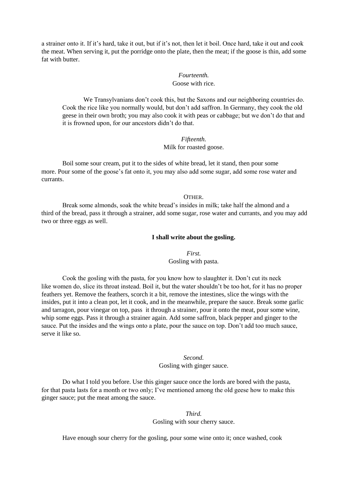a strainer onto it. If it's hard, take it out, but if it's not, then let it boil. Once hard, take it out and cook the meat. When serving it, put the porridge onto the plate, then the meat; if the goose is thin, add some fat with butter.

## *Fourteenth.*  Goose with rice.

We Transylvanians don't cook this, but the Saxons and our neighboring countries do. Cook the rice like you normally would, but don't add saffron. In Germany, they cook the old geese in their own broth; you may also cook it with peas or cabbage; but we don't do that and it is frowned upon, for our ancestors didn't do that.

## *Fifteenth.*  Milk for roasted goose.

Boil some sour cream, put it to the sides of white bread, let it stand, then pour some more. Pour some of the goose's fat onto it, you may also add some sugar, add some rose water and currants.

OTHER.

Break some almonds, soak the white bread's insides in milk; take half the almond and a third of the bread, pass it through a strainer, add some sugar, rose water and currants, and you may add two or three eggs as well.

#### **I shall write about the gosling.**

*First.*  Gosling with pasta.

Cook the gosling with the pasta, for you know how to slaughter it. Don't cut its neck like women do, slice its throat instead. Boil it, but the water shouldn't be too hot, for it has no proper feathers yet. Remove the feathers, scorch it a bit, remove the intestines, slice the wings with the insides, put it into a clean pot, let it cook, and in the meanwhile, prepare the sauce. Break some garlic and tarragon, pour vinegar on top, pass it through a strainer, pour it onto the meat, pour some wine, whip some eggs. Pass it through a strainer again. Add some saffron, black pepper and ginger to the sauce. Put the insides and the wings onto a plate, pour the sauce on top. Don't add too much sauce, serve it like so.

#### *Second.*

Gosling with ginger sauce.

Do what I told you before. Use this ginger sauce once the lords are bored with the pasta, for that pasta lasts for a month or two only; I've mentioned among the old geese how to make this ginger sauce; put the meat among the sauce.

## *Third.*  Gosling with sour cherry sauce.

Have enough sour cherry for the gosling, pour some wine onto it; once washed, cook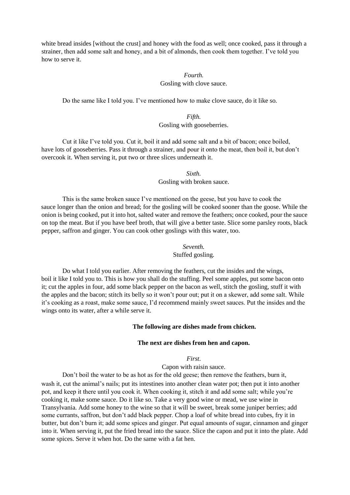white bread insides [without the crust] and honey with the food as well; once cooked, pass it through a strainer, then add some salt and honey, and a bit of almonds, then cook them together. I've told you how to serve it.

## *Fourth.*

## Gosling with clove sauce.

Do the same like I told you. I've mentioned how to make clove sauce, do it like so.

## *Fifth.*  Gosling with gooseberries.

Cut it like I've told you. Cut it, boil it and add some salt and a bit of bacon; once boiled, have lots of gooseberries. Pass it through a strainer, and pour it onto the meat, then boil it, but don't overcook it. When serving it, put two or three slices underneath it.

> *Sixth.*  Gosling with broken sauce.

This is the same broken sauce I've mentioned on the geese, but you have to cook the sauce longer than the onion and bread; for the gosling will be cooked sooner than the goose. While the onion is being cooked, put it into hot, salted water and remove the feathers; once cooked, pour the sauce on top the meat. But if you have beef broth, that will give a better taste. Slice some parsley roots, black pepper, saffron and ginger. You can cook other goslings with this water, too.

#### *Seventh.*  Stuffed gosling.

Do what I told you earlier. After removing the feathers, cut the insides and the wings, boil it like I told you to. This is how you shall do the stuffing. Peel some apples, put some bacon onto it; cut the apples in four, add some black pepper on the bacon as well, stitch the gosling, stuff it with the apples and the bacon; stitch its belly so it won't pour out; put it on a skewer, add some salt. While it's cooking as a roast, make some sauce, I'd recommend mainly sweet sauces. Put the insides and the wings onto its water, after a while serve it.

#### **The following are dishes made from chicken.**

#### **The next are dishes from hen and capon.**

## *First*.

Capon with raisin sauce.

Don't boil the water to be as hot as for the old geese; then remove the feathers, burn it, wash it, cut the animal's nails; put its intestines into another clean water pot; then put it into another pot, and keep it there until you cook it. When cooking it, stitch it and add some salt; while you're cooking it, make some sauce. Do it like so. Take a very good wine or mead, we use wine in Transylvania. Add some honey to the wine so that it will be sweet, break some juniper berries; add some currants, saffron, but don't add black pepper. Chop a loaf of white bread into cubes, fry it in butter, but don't burn it; add some spices and ginger. Put equal amounts of sugar, cinnamon and ginger into it. When serving it, put the fried bread into the sauce. Slice the capon and put it into the plate. Add some spices. Serve it when hot. Do the same with a fat hen.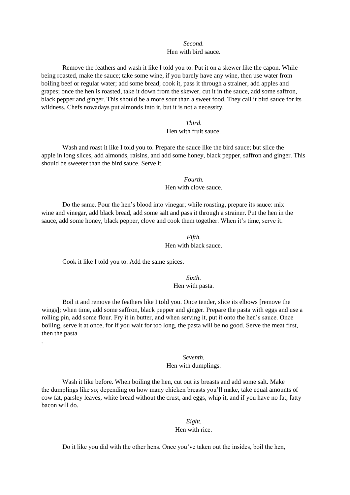## *Second.*

## Hen with bird sauce.

Remove the feathers and wash it like I told you to. Put it on a skewer like the capon. While being roasted, make the sauce; take some wine, if you barely have any wine, then use water from boiling beef or regular water; add some bread; cook it, pass it through a strainer, add apples and grapes; once the hen is roasted, take it down from the skewer, cut it in the sauce, add some saffron, black pepper and ginger. This should be a more sour than a sweet food. They call it bird sauce for its wildness. Chefs nowadays put almonds into it, but it is not a necessity.

## *Third.*

#### Hen with fruit sauce.

Wash and roast it like I told you to. Prepare the sauce like the bird sauce; but slice the apple in long slices, add almonds, raisins, and add some honey, black pepper, saffron and ginger. This should be sweeter than the bird sauce. Serve it.

> *Fourth.*  Hen with clove sauce.

Do the same. Pour the hen's blood into vinegar; while roasting, prepare its sauce: mix wine and vinegar, add black bread, add some salt and pass it through a strainer. Put the hen in the sauce, add some honey, black pepper, clove and cook them together. When it's time, serve it.

## *Fifth.*  Hen with black sauce.

Cook it like I told you to. Add the same spices.

.

*Sixth*. Hen with pasta.

Boil it and remove the feathers like I told you. Once tender, slice its elbows [remove the wings]; when time, add some saffron, black pepper and ginger. Prepare the pasta with eggs and use a rolling pin, add some flour. Fry it in butter, and when serving it, put it onto the hen's sauce. Once boiling, serve it at once, for if you wait for too long, the pasta will be no good. Serve the meat first, then the pasta

### *Seventh.*  Hen with dumplings.

Wash it like before. When boiling the hen, cut out its breasts and add some salt. Make the dumplings like so; depending on how many chicken breasts you'll make, take equal amounts of cow fat, parsley leaves, white bread without the crust, and eggs, whip it, and if you have no fat, fatty bacon will do.

## *Eight.*  Hen with rice.

Do it like you did with the other hens. Once you've taken out the insides, boil the hen,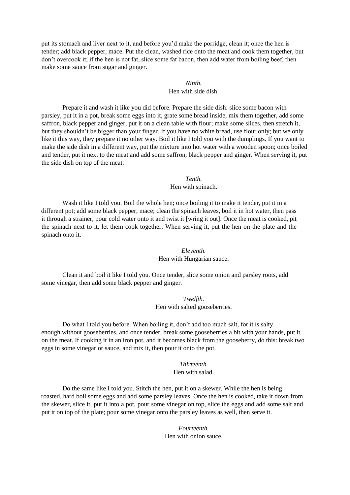put its stomach and liver next to it, and before you'd make the porridge, clean it; once the hen is tender; add black pepper, mace. Put the clean, washed rice onto the meat and cook them together, but don't overcook it; if the hen is not fat, slice some fat bacon, then add water from boiling beef, then make some sauce from sugar and ginger.

### *Ninth.*  Hen with side dish.

Prepare it and wash it like you did before. Prepare the side dish: slice some bacon with parsley, put it in a pot, break some eggs into it, grate some bread inside, mix them together, add some saffron, black pepper and ginger, put it on a clean table with flour; make some slices, then stretch it, but they shouldn't be bigger than your finger. If you have no white bread, use flour only; but we only like it this way, they prepare it no other way. Boil it like I told you with the dumplings. If you want to make the side dish in a different way, put the mixture into hot water with a wooden spoon; once boiled and tender, put it next to the meat and add some saffron, black pepper and ginger. When serving it, put the side dish on top of the meat.

*Tenth.* 

Hen with spinach.

Wash it like I told you. Boil the whole hen; once boiling it to make it tender, put it in a different pot; add some black pepper, mace; clean the spinach leaves, boil it in hot water, then pass it through a strainer, pour cold water onto it and twist it [wring it out]. Once the meat is cooked, pit the spinach next to it, let them cook together. When serving it, put the hen on the plate and the spinach onto it.

# *Eleventh.*  Hen with Hungarian sauce.

Clean it and boil it like I told you. Once tender, slice some onion and parsley roots, add some vinegar, then add some black pepper and ginger.

> *Twelfth.*  Hen with salted gooseberries.

Do what I told you before. When boiling it, don't add too much salt, for it is salty enough without gooseberries, and once tender, break some gooseberries a bit with your hands, put it on the meat. If cooking it in an iron pot, and it becomes black from the gooseberry, do this: break two eggs in some vinegar or sauce, and mix it, then pour it onto the pot.

> *Thirteenth.*  Hen with salad.

Do the same like I told you. Stitch the hen, put it on a skewer. While the hen is being roasted, hard boil some eggs and add some parsley leaves. Once the hen is cooked, take it down from the skewer, slice it, put it into a pot, pour some vinegar on top, slice the eggs and add some salt and put it on top of the plate; pour some vinegar onto the parsley leaves as well, then serve it.

> *Fourteenth.*  Hen with onion sauce.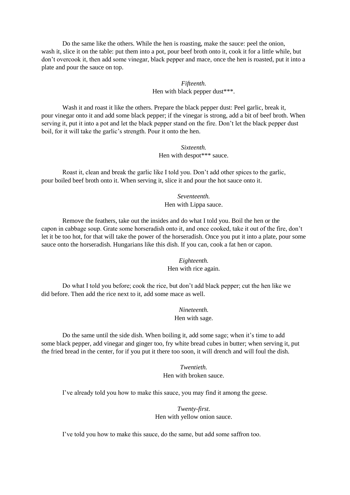Do the same like the others. While the hen is roasting, make the sauce: peel the onion, wash it, slice it on the table: put them into a pot, pour beef broth onto it, cook it for a little while, but don't overcook it, then add some vinegar, black pepper and mace, once the hen is roasted, put it into a plate and pour the sauce on top.

# *Fifteenth.*  Hen with black pepper dust\*\*\*.

Wash it and roast it like the others. Prepare the black pepper dust: Peel garlic, break it, pour vinegar onto it and add some black pepper; if the vinegar is strong, add a bit of beef broth. When serving it, put it into a pot and let the black pepper stand on the fire. Don't let the black pepper dust boil, for it will take the garlic's strength. Pour it onto the hen.

# *Sixteenth.*  Hen with despot\*\*\* sauce.

Roast it, clean and break the garlic like I told you. Don't add other spices to the garlic, pour boiled beef broth onto it. When serving it, slice it and pour the hot sauce onto it.

> *Seventeenth.*  Hen with Lippa sauce.

Remove the feathers, take out the insides and do what I told you. Boil the hen or the capon in cabbage soup. Grate some horseradish onto it, and once cooked, take it out of the fire, don't let it be too hot, for that will take the power of the horseradish. Once you put it into a plate, pour some sauce onto the horseradish. Hungarians like this dish. If you can, cook a fat hen or capon.

# *Eighteenth.*  Hen with rice again.

Do what I told you before; cook the rice, but don't add black pepper; cut the hen like we did before. Then add the rice next to it, add some mace as well.

> *Nineteenth.*  Hen with sage.

Do the same until the side dish. When boiling it, add some sage; when it's time to add some black pepper, add vinegar and ginger too, fry white bread cubes in butter; when serving it, put the fried bread in the center, for if you put it there too soon, it will drench and will foul the dish.

> *Twentieth.*  Hen with broken sauce.

I've already told you how to make this sauce, you may find it among the geese.

*Twenty-first.*  Hen with yellow onion sauce.

I've told you how to make this sauce, do the same, but add some saffron too.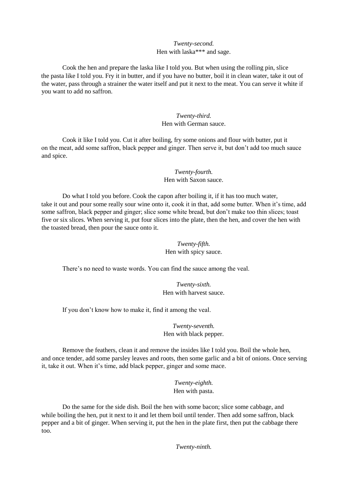### *Twenty-second.*  Hen with laska\*\*\* and sage.

Cook the hen and prepare the laska like I told you. But when using the rolling pin, slice the pasta like I told you. Fry it in butter, and if you have no butter, boil it in clean water, take it out of the water, pass through a strainer the water itself and put it next to the meat. You can serve it white if you want to add no saffron.

### *Twenty-third.*  Hen with German sauce.

Cook it like I told you. Cut it after boiling, fry some onions and flour with butter, put it on the meat, add some saffron, black pepper and ginger. Then serve it, but don't add too much sauce and spice.

# *Twenty-fourth.*  Hen with Saxon sauce.

Do what I told you before. Cook the capon after boiling it, if it has too much water, take it out and pour some really sour wine onto it, cook it in that, add some butter. When it's time, add some saffron, black pepper and ginger; slice some white bread, but don't make too thin slices; toast five or six slices. When serving it, put four slices into the plate, then the hen, and cover the hen with the toasted bread, then pour the sauce onto it.

# *Twenty-fifth.*  Hen with spicy sauce.

There's no need to waste words. You can find the sauce among the veal.

*Twenty-sixth.*  Hen with harvest sauce.

If you don't know how to make it, find it among the veal.

*Twenty-seventh.*  Hen with black pepper.

Remove the feathers, clean it and remove the insides like I told you. Boil the whole hen, and once tender, add some parsley leaves and roots, then some garlic and a bit of onions. Once serving it, take it out. When it's time, add black pepper, ginger and some mace.

> *Twenty-eighth.*  Hen with pasta.

Do the same for the side dish. Boil the hen with some bacon; slice some cabbage, and while boiling the hen, put it next to it and let them boil until tender. Then add some saffron, black pepper and a bit of ginger. When serving it, put the hen in the plate first, then put the cabbage there too.

*Twenty-ninth.*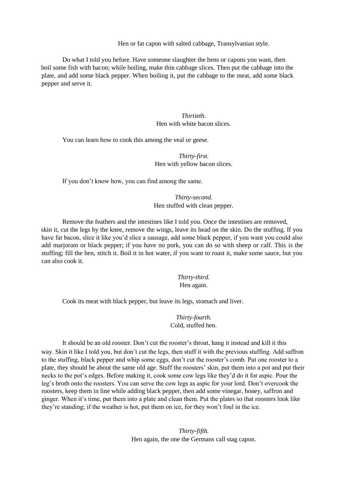Hen or fat capon with salted cabbage, Transylvanian style.

Do what I told you before. Have someone slaughter the hens or capons you want, then boil some fish with bacon; while boiling, make thin cabbage slices. Then put the cabbage into the plate, and add some black pepper. When boiling it, put the cabbage to the meat, add some black pepper and serve it.

> *Thirtieth.*  Hen with white bacon slices.

You can learn how to cook this among the veal or geese.

*Thirty-first.*  Hen with yellow bacon slices.

If you don't know how, you can find among the same.

*Thirty-second.*  Hen stuffed with clean pepper.

Remove the feathers and the intestines like I told you. Once the intestines are removed, skin it, cut the legs by the knee, remove the wings, leave its head on the skin. Do the stuffing. If you have fat bacon, slice it like you'd slice a sausage, add some black pepper, if you want you could also add marjoram or black pepper; if you have no pork, you can do so with sheep or calf. This is the stuffing; fill the hen, stitch it. Boil it in hot water, if you want to roast it, make some sauce, but you can also cook it.

> *Thirty-third.*  Hen again.

Cook its meat with black pepper, but leave its legs, stomach and liver.

*Thirty-fourth.*  Cold, stuffed hen.

It should be an old rooster. Don't cut the rooster's throat, hang it instead and kill it this way. Skin it like I told you, but don't cut the legs, then stuff it with the previous stuffing. Add saffron to the stuffing, black pepper and whip some eggs, don't cut the rooster's comb. Put one rooster to a plate, they should be about the same old age. Stuff the roosters' skin, put them into a pot and put their necks to the pot's edges. Before making it, cook some cow legs like they'd do it for aspic. Pour the leg's broth onto the roosters. You can serve the cow legs as aspic for your lord. Don't overcook the roosters, keep them in line while adding black pepper, then add some vinegar, honey, saffron and ginger. When it's time, put them into a plate and clean them. Put the plates so that roosters look like they're standing; if the weather is hot, put them on ice, for they won't foul in the ice.

> *Thirty-fifth.*  Hen again, the one the Germans call stag capon.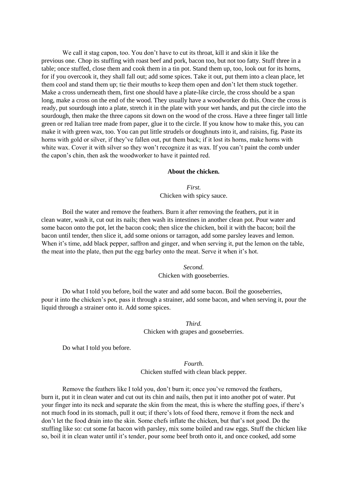We call it stag capon, too. You don't have to cut its throat, kill it and skin it like the previous one. Chop its stuffing with roast beef and pork, bacon too, but not too fatty. Stuff three in a table; once stuffed, close them and cook them in a tin pot. Stand them up, too, look out for its horns, for if you overcook it, they shall fall out; add some spices. Take it out, put them into a clean place, let them cool and stand them up; tie their mouths to keep them open and don't let them stuck together. Make a cross underneath them, first one should have a plate-like circle, the cross should be a span long, make a cross on the end of the wood. They usually have a woodworker do this. Once the cross is ready, put sourdough into a plate, stretch it in the plate with your wet hands, and put the circle into the sourdough, then make the three capons sit down on the wood of the cross. Have a three finger tall little green or red Italian tree made from paper, glue it to the circle. If you know how to make this, you can make it with green wax, too. You can put little strudels or doughnuts into it, and raisins, fig. Paste its horns with gold or silver, if they've fallen out, put them back; if it lost its horns, make horns with white wax. Cover it with silver so they won't recognize it as wax. If you can't paint the comb under the capon's chin, then ask the woodworker to have it painted red.

#### **About the chicken.**

*First.*  Chicken with spicy sauce.

Boil the water and remove the feathers. Burn it after removing the feathers, put it in clean water, wash it, cut out its nails; then wash its intestines in another clean pot. Pour water and some bacon onto the pot, let the bacon cook; then slice the chicken, boil it with the bacon; boil the bacon until tender, then slice it, add some onions or tarragon, add some parsley leaves and lemon. When it's time, add black pepper, saffron and ginger, and when serving it, put the lemon on the table, the meat into the plate, then put the egg barley onto the meat. Serve it when it's hot.

> *Second.*  Chicken with gooseberries.

Do what I told you before, boil the water and add some bacon. Boil the gooseberries, pour it into the chicken's pot, pass it through a strainer, add some bacon, and when serving it, pour the liquid through a strainer onto it. Add some spices.

### *Third.*  Chicken with grapes and gooseberries.

Do what I told you before.

*Fourth*. Chicken stuffed with clean black pepper.

Remove the feathers like I told you, don't burn it; once you've removed the feathers, burn it, put it in clean water and cut out its chin and nails, then put it into another pot of water. Put your finger into its neck and separate the skin from the meat, this is where the stuffing goes, if there's not much food in its stomach, pull it out; if there's lots of food there, remove it from the neck and don't let the food drain into the skin. Some chefs inflate the chicken, but that's not good. Do the stuffing like so: cut some fat bacon with parsley, mix some boiled and raw eggs. Stuff the chicken like so, boil it in clean water until it's tender, pour some beef broth onto it, and once cooked, add some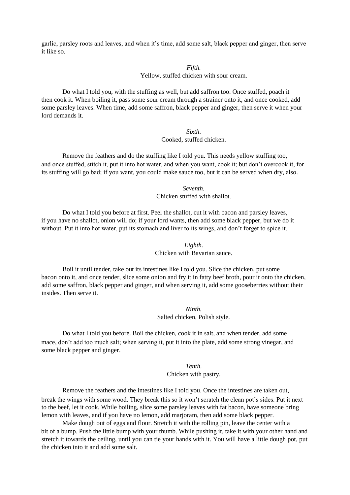garlic, parsley roots and leaves, and when it's time, add some salt, black pepper and ginger, then serve it like so.

#### *Fifth.*

Yellow, stuffed chicken with sour cream.

Do what I told you, with the stuffing as well, but add saffron too. Once stuffed, poach it then cook it. When boiling it, pass some sour cream through a strainer onto it, and once cooked, add some parsley leaves. When time, add some saffron, black pepper and ginger, then serve it when your lord demands it.

> *Sixth*. Cooked, stuffed chicken.

Remove the feathers and do the stuffing like I told you. This needs yellow stuffing too, and once stuffed, stitch it, put it into hot water, and when you want, cook it; but don't overcook it, for its stuffing will go bad; if you want, you could make sauce too, but it can be served when dry, also.

> *Seventh.*  Chicken stuffed with shallot.

Do what I told you before at first. Peel the shallot, cut it with bacon and parsley leaves, if you have no shallot, onion will do; if your lord wants, then add some black pepper, but we do it without. Put it into hot water, put its stomach and liver to its wings, and don't forget to spice it.

> *Eighth.*  Chicken with Bavarian sauce.

Boil it until tender, take out its intestines like I told you. Slice the chicken, put some bacon onto it, and once tender, slice some onion and fry it in fatty beef broth, pour it onto the chicken, add some saffron, black pepper and ginger, and when serving it, add some gooseberries without their insides. Then serve it.

> *Ninth.*  Salted chicken, Polish style.

Do what I told you before. Boil the chicken, cook it in salt, and when tender, add some mace, don't add too much salt; when serving it, put it into the plate, add some strong vinegar, and some black pepper and ginger.

> *Tenth.*  Chicken with pastry.

Remove the feathers and the intestines like I told you. Once the intestines are taken out, break the wings with some wood. They break this so it won't scratch the clean pot's sides. Put it next to the beef, let it cook. While boiling, slice some parsley leaves with fat bacon, have someone bring lemon with leaves, and if you have no lemon, add marjoram, then add some black pepper.

Make dough out of eggs and flour. Stretch it with the rolling pin, leave the center with a bit of a bump. Push the little bump with your thumb. While pushing it, take it with your other hand and stretch it towards the ceiling, until you can tie your hands with it. You will have a little dough pot, put the chicken into it and add some salt.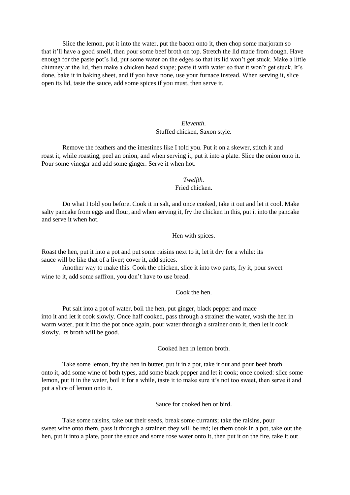Slice the lemon, put it into the water, put the bacon onto it, then chop some marjoram so that it'll have a good smell, then pour some beef broth on top. Stretch the lid made from dough. Have enough for the paste pot's lid, put some water on the edges so that its lid won't get stuck. Make a little chimney at the lid, then make a chicken head shape; paste it with water so that it won't get stuck. It's done, bake it in baking sheet, and if you have none, use your furnace instead. When serving it, slice open its lid, taste the sauce, add some spices if you must, then serve it.

### *Eleventh*. Stuffed chicken, Saxon style.

Remove the feathers and the intestines like I told you. Put it on a skewer, stitch it and roast it, while roasting, peel an onion, and when serving it, put it into a plate. Slice the onion onto it. Pour some vinegar and add some ginger. Serve it when hot.

#### *Twelfth.*  Fried chicken.

Do what I told you before. Cook it in salt, and once cooked, take it out and let it cool. Make salty pancake from eggs and flour, and when serving it, fry the chicken in this, put it into the pancake and serve it when hot.

Hen with spices.

Roast the hen, put it into a pot and put some raisins next to it, let it dry for a while: its sauce will be like that of a liver; cover it, add spices.

Another way to make this. Cook the chicken, slice it into two parts, fry it, pour sweet wine to it, add some saffron, you don't have to use bread.

### Cook the hen.

Put salt into a pot of water, boil the hen, put ginger, black pepper and mace into it and let it cook slowly. Once half cooked, pass through a strainer the water, wash the hen in warm water, put it into the pot once again, pour water through a strainer onto it, then let it cook slowly. Its broth will be good.

Cooked hen in lemon broth.

Take some lemon, fry the hen in butter, put it in a pot, take it out and pour beef broth onto it, add some wine of both types, add some black pepper and let it cook; once cooked: slice some lemon, put it in the water, boil it for a while, taste it to make sure it's not too sweet, then serve it and put a slice of lemon onto it.

Sauce for cooked hen or bird.

Take some raisins, take out their seeds, break some currants; take the raisins, pour sweet wine onto them, pass it through a strainer: they will be red; let them cook in a pot, take out the hen, put it into a plate, pour the sauce and some rose water onto it, then put it on the fire, take it out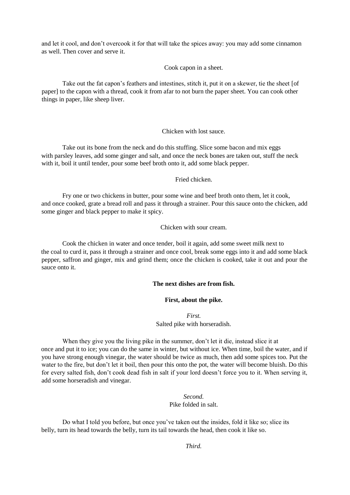and let it cool, and don't overcook it for that will take the spices away: you may add some cinnamon as well. Then cover and serve it.

Cook capon in a sheet.

Take out the fat capon's feathers and intestines, stitch it, put it on a skewer, tie the sheet [of paper] to the capon with a thread, cook it from afar to not burn the paper sheet. You can cook other things in paper, like sheep liver.

Chicken with lost sauce.

Take out its bone from the neck and do this stuffing. Slice some bacon and mix eggs with parsley leaves, add some ginger and salt, and once the neck bones are taken out, stuff the neck with it, boil it until tender, pour some beef broth onto it, add some black pepper.

Fried chicken.

Fry one or two chickens in butter, pour some wine and beef broth onto them, let it cook, and once cooked, grate a bread roll and pass it through a strainer. Pour this sauce onto the chicken, add some ginger and black pepper to make it spicy.

Chicken with sour cream.

Cook the chicken in water and once tender, boil it again, add some sweet milk next to the coal to curd it, pass it through a strainer and once cool, break some eggs into it and add some black pepper, saffron and ginger, mix and grind them; once the chicken is cooked, take it out and pour the sauce onto it.

#### **The next dishes are from fish.**

#### **First, about the pike.**

*First.*  Salted pike with horseradish.

When they give you the living pike in the summer, don't let it die, instead slice it at once and put it to ice; you can do the same in winter, but without ice. When time, boil the water, and if you have strong enough vinegar, the water should be twice as much, then add some spices too. Put the water to the fire, but don't let it boil, then pour this onto the pot, the water will become bluish. Do this for every salted fish, don't cook dead fish in salt if your lord doesn't force you to it. When serving it, add some horseradish and vinegar.

> *Second.*  Pike folded in salt.

Do what I told you before, but once you've taken out the insides, fold it like so; slice its belly, turn its head towards the belly, turn its tail towards the head, then cook it like so.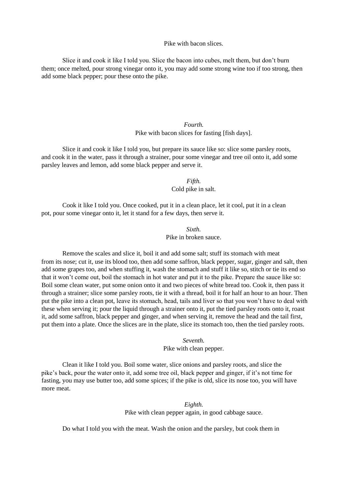### Pike with bacon slices.

Slice it and cook it like I told you. Slice the bacon into cubes, melt them, but don't burn them; once melted, pour strong vinegar onto it, you may add some strong wine too if too strong, then add some black pepper; pour these onto the pike.

# *Fourth.*  Pike with bacon slices for fasting [fish days].

Slice it and cook it like I told you, but prepare its sauce like so: slice some parsley roots, and cook it in the water, pass it through a strainer, pour some vinegar and tree oil onto it, add some parsley leaves and lemon, add some black pepper and serve it.

# *Fifth.*  Cold pike in salt.

Cook it like I told you. Once cooked, put it in a clean place, let it cool, put it in a clean pot, pour some vinegar onto it, let it stand for a few days, then serve it.

> *Sixth.*  Pike in broken sauce.

Remove the scales and slice it, boil it and add some salt; stuff its stomach with meat from its nose; cut it, use its blood too, then add some saffron, black pepper, sugar, ginger and salt, then add some grapes too, and when stuffing it, wash the stomach and stuff it like so, stitch or tie its end so that it won't come out, boil the stomach in hot water and put it to the pike. Prepare the sauce like so: Boil some clean water, put some onion onto it and two pieces of white bread too. Cook it, then pass it through a strainer; slice some parsley roots, tie it with a thread, boil it for half an hour to an hour. Then put the pike into a clean pot, leave its stomach, head, tails and liver so that you won't have to deal with these when serving it; pour the liquid through a strainer onto it, put the tied parsley roots onto it, roast it, add some saffron, black pepper and ginger, and when serving it, remove the head and the tail first, put them into a plate. Once the slices are in the plate, slice its stomach too, then the tied parsley roots.

# *Seventh.*  Pike with clean pepper.

Clean it like I told you. Boil some water, slice onions and parsley roots, and slice the pike's back, pour the water onto it, add some tree oil, black pepper and ginger, if it's not time for fasting, you may use butter too, add some spices; if the pike is old, slice its nose too, you will have more meat.

# *Eighth.*  Pike with clean pepper again, in good cabbage sauce.

Do what I told you with the meat. Wash the onion and the parsley, but cook them in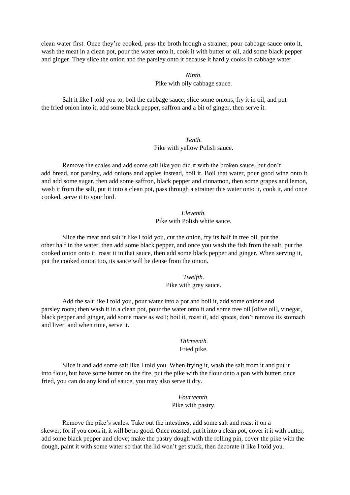clean water first. Once they're cooked, pass the broth hrough a strainer, pour cabbage sauce onto it, wash the meat in a clean pot, pour the water onto it, cook it with butter or oil, add some black pepper and ginger. They slice the onion and the parsley onto it because it hardly cooks in cabbage water.

#### *Ninth.*

### Pike with oily cabbage sauce.

Salt it like I told you to, boil the cabbage sauce, slice some onions, fry it in oil, and put the fried onion into it, add some black pepper, saffron and a bit of ginger, then serve it.

# *Tenth.*  Pike with yellow Polish sauce.

Remove the scales and add some salt like you did it with the broken sauce, but don't add bread, nor parsley, add onions and apples instead, boil it. Boil that water, pour good wine onto it and add some sugar, then add some saffron, black pepper and cinnamon, then some grapes and lemon, wash it from the salt, put it into a clean pot, pass through a strainer this water onto it, cook it, and once cooked, serve it to your lord.

> *Eleventh.*  Pike with Polish white sauce.

Slice the meat and salt it like I told you, cut the onion, fry its half in tree oil, put the other half in the water, then add some black pepper, and once you wash the fish from the salt, put the cooked onion onto it, roast it in that sauce, then add some black pepper and ginger. When serving it, put the cooked onion too, its sauce will be dense from the onion.

> *Twelfth.*  Pike with grey sauce.

Add the salt like I told you, pour water into a pot and boil it, add some onions and parsley roots; then wash it in a clean pot, pour the water onto it and some tree oil [olive oil], vinegar, black pepper and ginger, add some mace as well; boil it, roast it, add spices, don't remove its stomach and liver, and when time, serve it.

#### *Thirteenth.*  Fried pike.

Slice it and add some salt like I told you. When frying it, wash the salt from it and put it into flour, but have some butter on the fire, put the pike with the flour onto a pan with butter; once fried, you can do any kind of sauce, you may also serve it dry.

> *Fourteenth.*  Pike with pastry.

Remove the pike's scales. Take out the intestines, add some salt and roast it on a skewer; for if you cook it, it will be no good. Once roasted, put it into a clean pot, cover it it with butter, add some black pepper and clove; make the pastry dough with the rolling pin, cover the pike with the dough, paint it with some water so that the lid won't get stuck, then decorate it like I told you.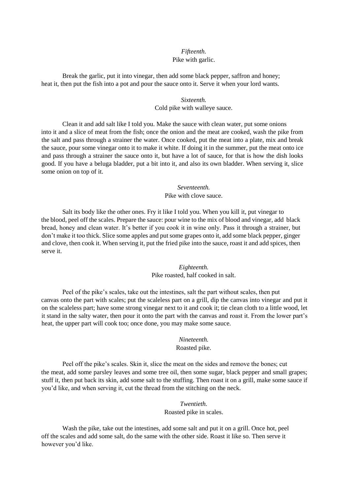# *Fifteenth.*  Pike with garlic.

Break the garlic, put it into vinegar, then add some black pepper, saffron and honey; heat it, then put the fish into a pot and pour the sauce onto it. Serve it when your lord wants.

### *Sixteenth.*  Cold pike with walleye sauce.

Clean it and add salt like I told you. Make the sauce with clean water, put some onions into it and a slice of meat from the fish; once the onion and the meat are cooked, wash the pike from the salt and pass through a strainer the water. Once cooked, put the meat into a plate, mix and break the sauce, pour some vinegar onto it to make it white. If doing it in the summer, put the meat onto ice and pass through a strainer the sauce onto it, but have a lot of sauce, for that is how the dish looks good. If you have a beluga bladder, put a bit into it, and also its own bladder. When serving it, slice some onion on top of it.

### *Seventeenth.*  Pike with clove sauce.

Salt its body like the other ones. Fry it like I told you. When you kill it, put vinegar to the blood, peel off the scales. Prepare the sauce: pour wine to the mix of blood and vinegar, add black bread, honey and clean water. It's better if you cook it in wine only. Pass it through a strainer, but don't make it too thick. Slice some apples and put some grapes onto it, add some black pepper, ginger and clove, then cook it. When serving it, put the fried pike into the sauce, roast it and add spices, then serve it.

# *Eighteenth.*  Pike roasted, half cooked in salt.

Peel of the pike's scales, take out the intestines, salt the part without scales, then put canvas onto the part with scales; put the scaleless part on a grill, dip the canvas into vinegar and put it on the scaleless part; have some strong vinegar next to it and cook it; tie clean cloth to a little wood, let it stand in the salty water, then pour it onto the part with the canvas and roast it. From the lower part's heat, the upper part will cook too; once done, you may make some sauce.

# *Nineteenth.*

### Roasted pike.

Peel off the pike's scales. Skin it, slice the meat on the sides and remove the bones; cut the meat, add some parsley leaves and some tree oil, then some sugar, black pepper and small grapes; stuff it, then put back its skin, add some salt to the stuffing. Then roast it on a grill, make some sauce if you'd like, and when serving it, cut the thread from the stitching on the neck.

### *Twentieth.*

Roasted pike in scales.

Wash the pike, take out the intestines, add some salt and put it on a grill. Once hot, peel off the scales and add some salt, do the same with the other side. Roast it like so. Then serve it however you'd like.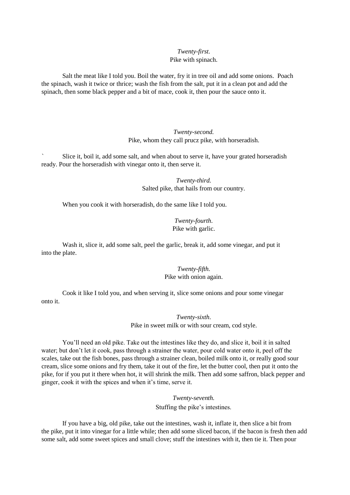### *Twenty-first.*  Pike with spinach.

Salt the meat like I told you. Boil the water, fry it in tree oil and add some onions. Poach the spinach, wash it twice or thrice; wash the fish from the salt, put it in a clean pot and add the spinach, then some black pepper and a bit of mace, cook it, then pour the sauce onto it.

> *Twenty-second.*  Pike, whom they call prucz pike, with horseradish.

Slice it, boil it, add some salt, and when about to serve it, have your grated horseradish ready. Pour the horseradish with vinegar onto it, then serve it.

> *Twenty-third.*  Salted pike, that hails from our country.

When you cook it with horseradish, do the same like I told you.

*Twenty-fourth*. Pike with garlic.

Wash it, slice it, add some salt, peel the garlic, break it, add some vinegar, and put it into the plate.

> *Twenty-fifth.*  Pike with onion again.

Cook it like I told you, and when serving it, slice some onions and pour some vinegar onto it.

> *Twenty-sixth*. Pike in sweet milk or with sour cream, cod style.

You'll need an old pike. Take out the intestines like they do, and slice it, boil it in salted water; but don't let it cook, pass through a strainer the water, pour cold water onto it, peel off the scales, take out the fish bones, pass through a strainer clean, boiled milk onto it, or really good sour cream, slice some onions and fry them, take it out of the fire, let the butter cool, then put it onto the pike, for if you put it there when hot, it will shrink the milk. Then add some saffron, black pepper and ginger, cook it with the spices and when it's time, serve it.

> *Twenty-seventh.*  Stuffing the pike's intestines.

If you have a big, old pike, take out the intestines, wash it, inflate it, then slice a bit from the pike, put it into vinegar for a little while; then add some sliced bacon, if the bacon is fresh then add some salt, add some sweet spices and small clove; stuff the intestines with it, then tie it. Then pour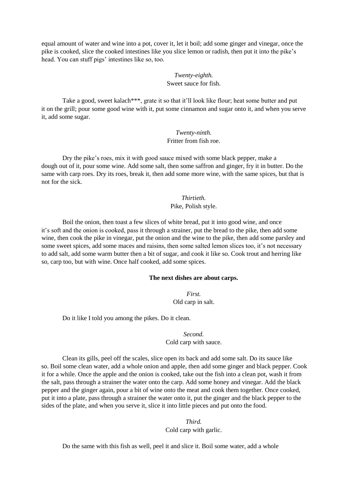equal amount of water and wine into a pot, cover it, let it boil; add some ginger and vinegar, once the pike is cooked, slice the cooked intestines like you slice lemon or radish, then put it into the pike's head. You can stuff pigs' intestines like so, too.

# *Twenty-eighth.*  Sweet sauce for fish.

Take a good, sweet kalach\*\*\*, grate it so that it'll look like flour; heat some butter and put it on the grill; pour some good wine with it, put some cinnamon and sugar onto it, and when you serve it, add some sugar.

> *Twenty-ninth.*  Fritter from fish roe.

Dry the pike's roes, mix it with good sauce mixed with some black pepper, make a dough out of it, pour some wine. Add some salt, then some saffron and ginger, fry it in butter. Do the same with carp roes. Dry its roes, break it, then add some more wine, with the same spices, but that is not for the sick.

> *Thirtieth.*  Pike, Polish style.

Boil the onion, then toast a few slices of white bread, put it into good wine, and once it's soft and the onion is cooked, pass it through a strainer, put the bread to the pike, then add some wine, then cook the pike in vinegar, put the onion and the wine to the pike, then add some parsley and some sweet spices, add some maces and raisins, then some salted lemon slices too, it's not necessary to add salt, add some warm butter then a bit of sugar, and cook it like so. Cook trout and herring like so, carp too, but with wine. Once half cooked, add some spices.

### **The next dishes are about carps.**

*First.*  Old carp in salt.

Do it like I told you among the pikes. Do it clean.

*Second.*  Cold carp with sauce.

Clean its gills, peel off the scales, slice open its back and add some salt. Do its sauce like so. Boil some clean water, add a whole onion and apple, then add some ginger and black pepper. Cook it for a while. Once the apple and the onion is cooked, take out the fish into a clean pot, wash it from the salt, pass through a strainer the water onto the carp. Add some honey and vinegar. Add the black pepper and the ginger again, pour a bit of wine onto the meat and cook them together. Once cooked, put it into a plate, pass through a strainer the water onto it, put the ginger and the black pepper to the sides of the plate, and when you serve it, slice it into little pieces and put onto the food.

> *Third.*  Cold carp with garlic.

Do the same with this fish as well, peel it and slice it. Boil some water, add a whole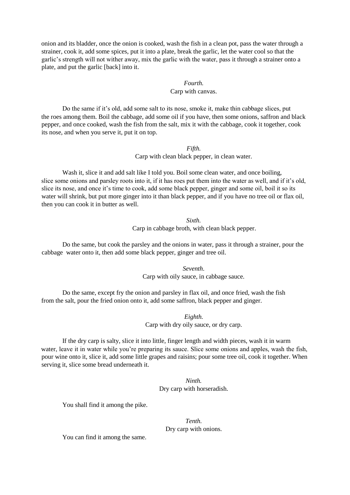onion and its bladder, once the onion is cooked, wash the fish in a clean pot, pass the water through a strainer, cook it, add some spices, put it into a plate, break the garlic, let the water cool so that the garlic's strength will not wither away, mix the garlic with the water, pass it through a strainer onto a plate, and put the garlic [back] into it.

# *Fourth.*  Carp with canvas.

Do the same if it's old, add some salt to its nose, smoke it, make thin cabbage slices, put the roes among them. Boil the cabbage, add some oil if you have, then some onions, saffron and black pepper, and once cooked, wash the fish from the salt, mix it with the cabbage, cook it together, cook its nose, and when you serve it, put it on top.

> *Fifth.*  Carp with clean black pepper, in clean water.

Wash it, slice it and add salt like I told you. Boil some clean water, and once boiling, slice some onions and parsley roots into it, if it has roes put them into the water as well, and if it's old, slice its nose, and once it's time to cook, add some black pepper, ginger and some oil, boil it so its water will shrink, but put more ginger into it than black pepper, and if you have no tree oil or flax oil, then you can cook it in butter as well.

> *Sixth.*  Carp in cabbage broth, with clean black pepper.

Do the same, but cook the parsley and the onions in water, pass it through a strainer, pour the cabbage water onto it, then add some black pepper, ginger and tree oil.

> *Seventh*. Carp with oily sauce, in cabbage sauce.

Do the same, except fry the onion and parsley in flax oil, and once fried, wash the fish from the salt, pour the fried onion onto it, add some saffron, black pepper and ginger.

> *Eighth.*  Carp with dry oily sauce, or dry carp.

If the dry carp is salty, slice it into little, finger length and width pieces, wash it in warm water, leave it in water while you're preparing its sauce. Slice some onions and apples, wash the fish, pour wine onto it, slice it, add some little grapes and raisins; pour some tree oil, cook it together. When serving it, slice some bread underneath it.

> *Ninth.*  Dry carp with horseradish.

You shall find it among the pike.

*Tenth.*  Dry carp with onions.

You can find it among the same.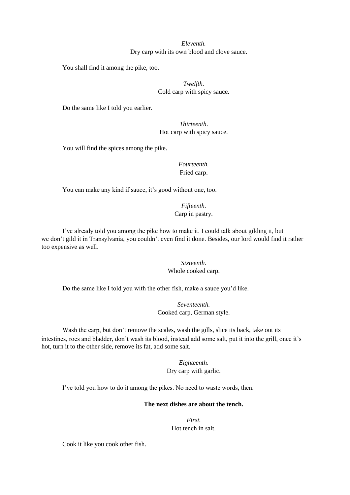*Eleventh.*  Dry carp with its own blood and clove sauce.

You shall find it among the pike, too.

*Twelfth.*  Cold carp with spicy sauce.

Do the same like I told you earlier.

*Thirteenth*. Hot carp with spicy sauce.

You will find the spices among the pike.

*Fourteenth.*  Fried carp.

You can make any kind if sauce, it's good without one, too.

*Fifteenth.*  Carp in pastry.

I've already told you among the pike how to make it. I could talk about gilding it, but we don't gild it in Transylvania, you couldn't even find it done. Besides, our lord would find it rather too expensive as well.

> *Sixteenth.*  Whole cooked carp.

Do the same like I told you with the other fish, make a sauce you'd like.

*Seventeenth.*  Cooked carp, German style.

Wash the carp, but don't remove the scales, wash the gills, slice its back, take out its intestines, roes and bladder, don't wash its blood, instead add some salt, put it into the grill, once it's hot, turn it to the other side, remove its fat, add some salt.

> *Eighteenth*. Dry carp with garlic.

I've told you how to do it among the pikes. No need to waste words, then.

### **The next dishes are about the tench.**

*First.*  Hot tench in salt.

Cook it like you cook other fish.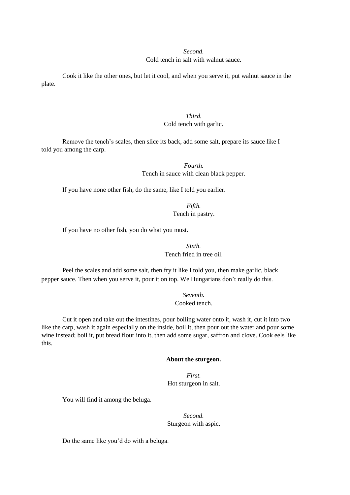#### *Second.*

#### Cold tench in salt with walnut sauce.

Cook it like the other ones, but let it cool, and when you serve it, put walnut sauce in the plate.

# *Third.*  Cold tench with garlic.

Remove the tench's scales, then slice its back, add some salt, prepare its sauce like I told you among the carp.

> *Fourth.*  Tench in sauce with clean black pepper.

If you have none other fish, do the same, like I told you earlier.

*Fifth.*  Tench in pastry.

If you have no other fish, you do what you must.

*Sixth.*  Tench fried in tree oil.

Peel the scales and add some salt, then fry it like I told you, then make garlic, black pepper sauce. Then when you serve it, pour it on top. We Hungarians don't really do this.

> *Seventh.*  Cooked tench.

Cut it open and take out the intestines, pour boiling water onto it, wash it, cut it into two like the carp, wash it again especially on the inside, boil it, then pour out the water and pour some wine instead; boil it, put bread flour into it, then add some sugar, saffron and clove. Cook eels like this.

#### **About the sturgeon.**

*First.*  Hot sturgeon in salt.

You will find it among the beluga.

*Second.*  Sturgeon with aspic.

Do the same like you'd do with a beluga.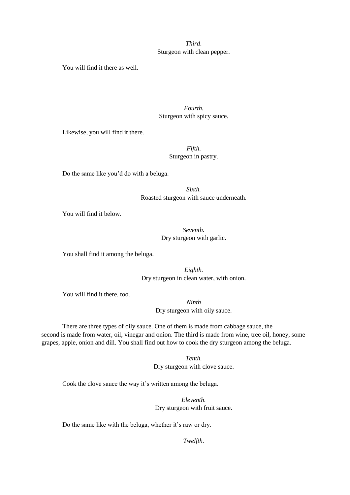# *Third*. Sturgeon with clean pepper.

You will find it there as well.

# *Fourth.*  Sturgeon with spicy sauce.

Likewise, you will find it there.

# *Fifth*. Sturgeon in pastry.

Do the same like you'd do with a beluga.

*Sixth.*  Roasted sturgeon with sauce underneath.

You will find it below.

# *Seventh.*  Dry sturgeon with garlic.

You shall find it among the beluga.

*Eighth.*  Dry sturgeon in clean water, with onion.

You will find it there, too.

*Ninth*  Dry sturgeon with oily sauce.

There are three types of oily sauce. One of them is made from cabbage sauce, the second is made from water, oil, vinegar and onion. The third is made from wine, tree oil, honey, some grapes, apple, onion and dill. You shall find out how to cook the dry sturgeon among the beluga.

> *Tenth.*  Dry sturgeon with clove sauce.

Cook the clove sauce the way it's written among the beluga.

*Eleventh.*  Dry sturgeon with fruit sauce.

Do the same like with the beluga, whether it's raw or dry.

*Twelfth.*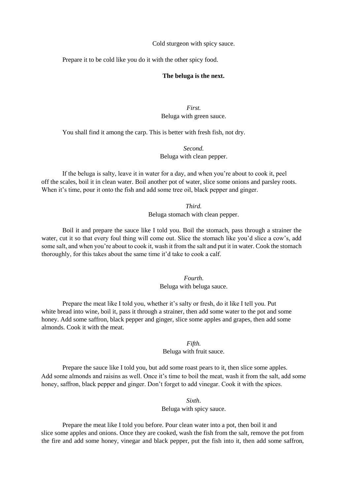Cold sturgeon with spicy sauce.

Prepare it to be cold like you do it with the other spicy food.

#### **The beluga is the next.**

*First.*  Beluga with green sauce.

You shall find it among the carp. This is better with fresh fish, not dry.

*Second.*  Beluga with clean pepper.

If the beluga is salty, leave it in water for a day, and when you're about to cook it, peel off the scales, boil it in clean water. Boil another pot of water, slice some onions and parsley roots. When it's time, pour it onto the fish and add some tree oil, black pepper and ginger.

> *Third.*  Beluga stomach with clean pepper.

Boil it and prepare the sauce like I told you. Boil the stomach, pass through a strainer the water, cut it so that every foul thing will come out. Slice the stomach like you'd slice a cow's, add some salt, and when you're about to cook it, wash it from the salt and put it in water. Cook the stomach thoroughly, for this takes about the same time it'd take to cook a calf.

> *Fourth*. Beluga with beluga sauce.

Prepare the meat like I told you, whether it's salty or fresh, do it like I tell you. Put white bread into wine, boil it, pass it through a strainer, then add some water to the pot and some honey. Add some saffron, black pepper and ginger, slice some apples and grapes, then add some almonds. Cook it with the meat.

*Fifth.* 

Beluga with fruit sauce.

Prepare the sauce like I told you, but add some roast pears to it, then slice some apples. Add some almonds and raisins as well. Once it's time to boil the meat, wash it from the salt, add some honey, saffron, black pepper and ginger. Don't forget to add vinegar. Cook it with the spices.

> *Sixth*. Beluga with spicy sauce.

Prepare the meat like I told you before. Pour clean water into a pot, then boil it and slice some apples and onions. Once they are cooked, wash the fish from the salt, remove the pot from the fire and add some honey, vinegar and black pepper, put the fish into it, then add some saffron,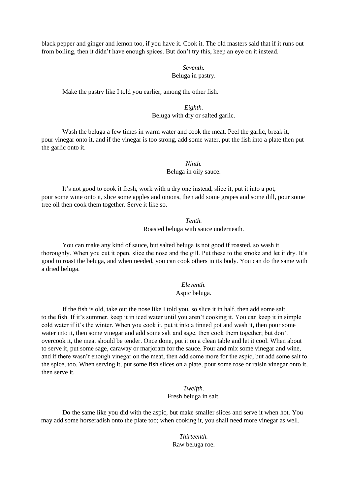black pepper and ginger and lemon too, if you have it. Cook it. The old masters said that if it runs out from boiling, then it didn't have enough spices. But don't try this, keep an eye on it instead.

## *Seventh.*  Beluga in pastry.

Make the pastry like I told you earlier, among the other fish.

*Eighth.*  Beluga with dry or salted garlic.

Wash the beluga a few times in warm water and cook the meat. Peel the garlic, break it, pour vinegar onto it, and if the vinegar is too strong, add some water, put the fish into a plate then put the garlic onto it.

> *Ninth.*  Beluga in oily sauce.

It's not good to cook it fresh, work with a dry one instead, slice it, put it into a pot, pour some wine onto it, slice some apples and onions, then add some grapes and some dill, pour some tree oil then cook them together. Serve it like so.

> *Tenth.*  Roasted beluga with sauce underneath.

You can make any kind of sauce, but salted beluga is not good if roasted, so wash it thoroughly. When you cut it open, slice the nose and the gill. Put these to the smoke and let it dry. It's good to roast the beluga, and when needed, you can cook others in its body. You can do the same with a dried beluga.

> *Eleventh.*  Aspic beluga.

If the fish is old, take out the nose like I told you, so slice it in half, then add some salt to the fish. If it's summer, keep it in iced water until you aren't cooking it. You can keep it in simple cold water if it's the winter. When you cook it, put it into a tinned pot and wash it, then pour some water into it, then some vinegar and add some salt and sage, then cook them together; but don't overcook it, the meat should be tender. Once done, put it on a clean table and let it cool. When about to serve it, put some sage, caraway or marjoram for the sauce. Pour and mix some vinegar and wine, and if there wasn't enough vinegar on the meat, then add some more for the aspic, but add some salt to the spice, too. When serving it, put some fish slices on a plate, pour some rose or raisin vinegar onto it, then serve it.

> *Twelfth.*  Fresh beluga in salt.

Do the same like you did with the aspic, but make smaller slices and serve it when hot. You may add some horseradish onto the plate too; when cooking it, you shall need more vinegar as well.

> *Thirteenth.*  Raw beluga roe.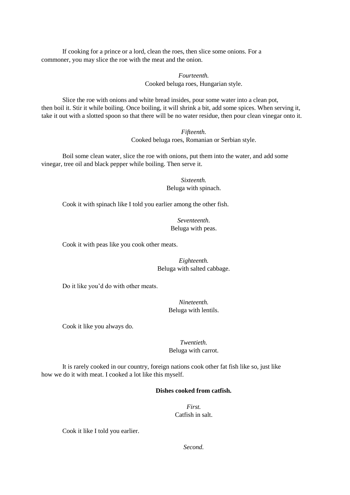If cooking for a prince or a lord, clean the roes, then slice some onions. For a commoner, you may slice the roe with the meat and the onion.

> *Fourteenth.*  Cooked beluga roes, Hungarian style.

Slice the roe with onions and white bread insides, pour some water into a clean pot, then boil it. Stir it while boiling. Once boiling, it will shrink a bit, add some spices. When serving it, take it out with a slotted spoon so that there will be no water residue, then pour clean vinegar onto it.

> *Fifteenth.*  Cooked beluga roes, Romanian or Serbian style.

Boil some clean water, slice the roe with onions, put them into the water, and add some vinegar, tree oil and black pepper while boiling. Then serve it.

> *Sixteenth.*  Beluga with spinach.

Cook it with spinach like I told you earlier among the other fish.

*Seventeenth*. Beluga with peas.

Cook it with peas like you cook other meats.

*Eighteenth.*  Beluga with salted cabbage.

Do it like you'd do with other meats.

*Nineteenth.*  Beluga with lentils.

Cook it like you always do.

*Twentieth.*  Beluga with carrot.

It is rarely cooked in our country, foreign nations cook other fat fish like so, just like how we do it with meat. I cooked a lot like this myself.

### **Dishes cooked from catfish.**

*First.*  Catfish in salt.

Cook it like I told you earlier.

*Second.*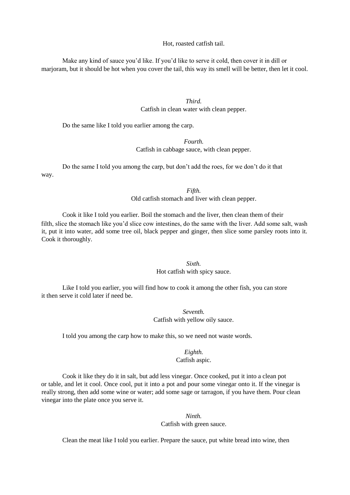Hot, roasted catfish tail.

Make any kind of sauce you'd like. If you'd like to serve it cold, then cover it in dill or marjoram, but it should be hot when you cover the tail, this way its smell will be better, then let it cool.

> *Third.*  Catfish in clean water with clean pepper.

Do the same like I told you earlier among the carp.

### *Fourth.*

Catfish in cabbage sauce, with clean pepper.

Do the same I told you among the carp, but don't add the roes, for we don't do it that way.

> *Fifth.*  Old catfish stomach and liver with clean pepper.

Cook it like I told you earlier. Boil the stomach and the liver, then clean them of their filth, slice the stomach like you'd slice cow intestines, do the same with the liver. Add some salt, wash it, put it into water, add some tree oil, black pepper and ginger, then slice some parsley roots into it. Cook it thoroughly.

### *Sixth.*

#### Hot catfish with spicy sauce.

Like I told you earlier, you will find how to cook it among the other fish, you can store it then serve it cold later if need be.

> *Seventh.*  Catfish with yellow oily sauce.

I told you among the carp how to make this, so we need not waste words.

### *Eighth.*  Catfish aspic.

Cook it like they do it in salt, but add less vinegar. Once cooked, put it into a clean pot or table, and let it cool. Once cool, put it into a pot and pour some vinegar onto it. If the vinegar is really strong, then add some wine or water; add some sage or tarragon, if you have them. Pour clean vinegar into the plate once you serve it.

# *Ninth.*

Catfish with green sauce.

Clean the meat like I told you earlier. Prepare the sauce, put white bread into wine, then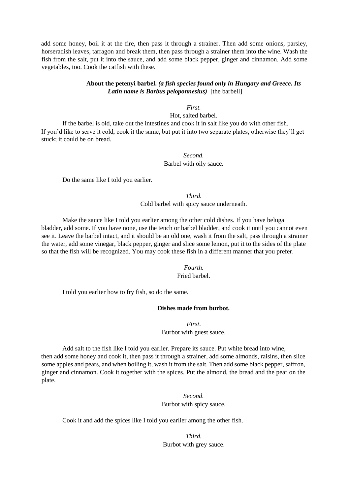add some honey, boil it at the fire, then pass it through a strainer. Then add some onions, parsley, horseradish leaves, tarragon and break them, then pass through a strainer them into the wine. Wash the fish from the salt, put it into the sauce, and add some black pepper, ginger and cinnamon. Add some vegetables, too. Cook the catfish with these.

## **About the petenyi barbel.** *(a fish species found only in Hungary and Greece. Its Latin name is Barbus peloponnesius)* [the barbell]

*First.* 

Hot, salted barbel.

If the barbel is old, take out the intestines and cook it in salt like you do with other fish. If you'd like to serve it cold, cook it the same, but put it into two separate plates, otherwise they'll get stuck; it could be on bread.

### *Second.*  Barbel with oily sauce.

Do the same like I told you earlier.

*Third.*  Cold barbel with spicy sauce underneath.

Make the sauce like I told you earlier among the other cold dishes. If you have beluga bladder, add some. If you have none, use the tench or barbel bladder, and cook it until you cannot even see it. Leave the barbel intact, and it should be an old one, wash it from the salt, pass through a strainer the water, add some vinegar, black pepper, ginger and slice some lemon, put it to the sides of the plate so that the fish will be recognized. You may cook these fish in a different manner that you prefer.

#### *Fourth.*

Fried barbel.

I told you earlier how to fry fish, so do the same.

### **Dishes made from burbot.**

*First*.

Burbot with guest sauce.

Add salt to the fish like I told you earlier. Prepare its sauce. Put white bread into wine, then add some honey and cook it, then pass it through a strainer, add some almonds, raisins, then slice some apples and pears, and when boiling it, wash it from the salt. Then add some black pepper, saffron, ginger and cinnamon. Cook it together with the spices. Put the almond, the bread and the pear on the plate.

> *Second.*  Burbot with spicy sauce.

Cook it and add the spices like I told you earlier among the other fish.

*Third.*  Burbot with grey sauce.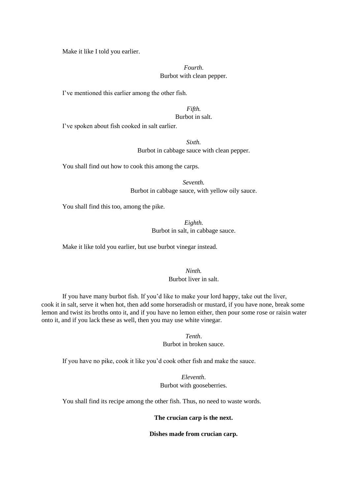Make it like I told you earlier.

# *Fourth*. Burbot with clean pepper.

I've mentioned this earlier among the other fish.

### *Fifth.*  Burbot in salt.

I've spoken about fish cooked in salt earlier.

*Sixth.*  Burbot in cabbage sauce with clean pepper.

You shall find out how to cook this among the carps.

*Seventh.*  Burbot in cabbage sauce, with yellow oily sauce.

You shall find this too, among the pike.

*Eighth.*  Burbot in salt, in cabbage sauce.

Make it like told you earlier, but use burbot vinegar instead.

*Ninth.*  Burbot liver in salt.

If you have many burbot fish. If you'd like to make your lord happy, take out the liver, cook it in salt, serve it when hot, then add some horseradish or mustard, if you have none, break some lemon and twist its broths onto it, and if you have no lemon either, then pour some rose or raisin water onto it, and if you lack these as well, then you may use white vinegar.

> *Tenth*. Burbot in broken sauce.

If you have no pike, cook it like you'd cook other fish and make the sauce.

*Eleventh*. Burbot with gooseberries.

You shall find its recipe among the other fish. Thus, no need to waste words.

#### **The crucian carp is the next.**

**Dishes made from crucian carp.**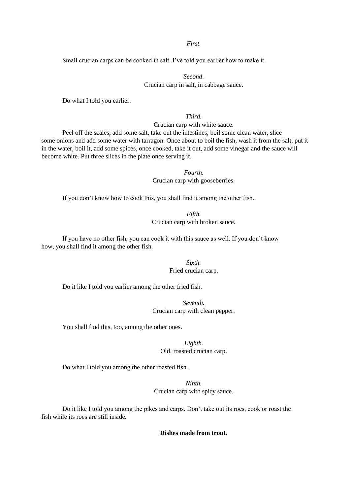### *First.*

Small crucian carps can be cooked in salt. I've told you earlier how to make it.

# *Second*. Crucian carp in salt, in cabbage sauce.

Do what I told you earlier.

# *Third.*

Crucian carp with white sauce.

Peel off the scales, add some salt, take out the intestines, boil some clean water, slice some onions and add some water with tarragon. Once about to boil the fish, wash it from the salt, put it in the water, boil it, add some spices, once cooked, take it out, add some vinegar and the sauce will become white. Put three slices in the plate once serving it.

#### *Fourth.*

Crucian carp with gooseberries.

If you don't know how to cook this, you shall find it among the other fish.

# *Fifth.*  Crucian carp with broken sauce.

If you have no other fish, you can cook it with this sauce as well. If you don't know how, you shall find it among the other fish.

### *Sixth.*  Fried crucian carp.

Do it like I told you earlier among the other fried fish.

# *Seventh.*  Crucian carp with clean pepper.

You shall find this, too, among the other ones.

# *Eighth.*

Old, roasted crucian carp.

Do what I told you among the other roasted fish.

# *Ninth.*  Crucian carp with spicy sauce.

Do it like I told you among the pikes and carps. Don't take out its roes, cook or roast the fish while its roes are still inside.

### **Dishes made from trout.**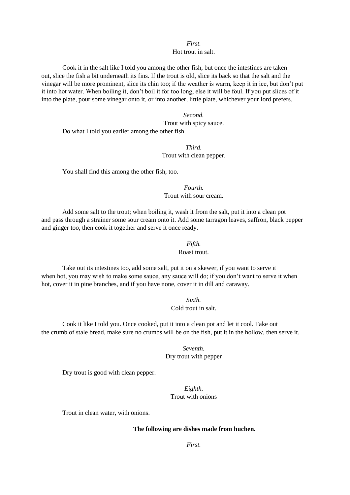#### *First.*  Hot trout in salt.

Cook it in the salt like I told you among the other fish, but once the intestines are taken out, slice the fish a bit underneath its fins. If the trout is old, slice its back so that the salt and the vinegar will be more prominent, slice its chin too; if the weather is warm, keep it in ice, but don't put it into hot water. When boiling it, don't boil it for too long, else it will be foul. If you put slices of it into the plate, pour some vinegar onto it, or into another, little plate, whichever your lord prefers.

*Second.*  Trout with spicy sauce. Do what I told you earlier among the other fish.

> *Third.*  Trout with clean pepper.

You shall find this among the other fish, too.

*Fourth.*  Trout with sour cream.

Add some salt to the trout; when boiling it, wash it from the salt, put it into a clean pot and pass through a strainer some sour cream onto it. Add some tarragon leaves, saffron, black pepper and ginger too, then cook it together and serve it once ready.

### *Fifth.*

#### Roast trout.

Take out its intestines too, add some salt, put it on a skewer, if you want to serve it when hot, you may wish to make some sauce, any sauce will do; if you don't want to serve it when hot, cover it in pine branches, and if you have none, cover it in dill and caraway.

> *Sixth.*  Cold trout in salt.

Cook it like I told you. Once cooked, put it into a clean pot and let it cool. Take out the crumb of stale bread, make sure no crumbs will be on the fish, put it in the hollow, then serve it.

> *Seventh.* Dry trout with pepper

Dry trout is good with clean pepper.

*Eighth.*  Trout with onions

Trout in clean water, with onions.

#### **The following are dishes made from huchen.**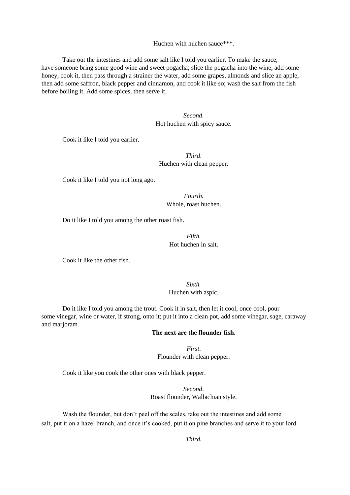#### Huchen with huchen sauce\*\*\*.

Take out the intestines and add some salt like I told you earlier. To make the sauce, have someone bring some good wine and sweet pogacha; slice the pogacha into the wine, add some honey, cook it, then pass through a strainer the water, add some grapes, almonds and slice an apple, then add some saffron, black pepper and cinnamon, and cook it like so; wash the salt from the fish before boiling it. Add some spices, then serve it.

> *Second.*  Hot huchen with spicy sauce.

Cook it like I told you earlier.

# *Third*. Huchen with clean pepper.

Cook it like I told you not long ago.

*Fourth.*  Whole, roast huchen.

Do it like I told you among the other roast fish.

*Fifth.*  Hot huchen in salt.

Cook it like the other fish.

*Sixth.*  Huchen with aspic.

Do it like I told you among the trout. Cook it in salt, then let it cool; once cool, pour some vinegar, wine or water, if strong, onto it; put it into a clean pot, add some vinegar, sage, caraway and marjoram.

# **The next are the flounder fish.**

*First*. Flounder with clean pepper.

Cook it like you cook the other ones with black pepper.

*Second*. Roast flounder, Wallachian style.

Wash the flounder, but don't peel off the scales, take out the intestines and add some salt, put it on a hazel branch, and once it's cooked, put it on pine branches and serve it to your lord.

*Third.*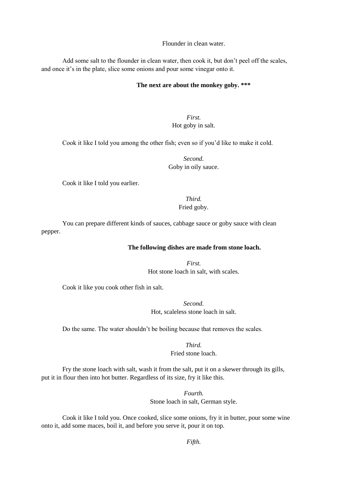Flounder in clean water.

Add some salt to the flounder in clean water, then cook it, but don't peel off the scales, and once it's in the plate, slice some onions and pour some vinegar onto it.

#### **The next are about the monkey goby. \*\*\***

*First.*  Hot goby in salt.

Cook it like I told you among the other fish; even so if you'd like to make it cold.

*Second.*  Goby in oily sauce.

Cook it like I told you earlier.

*Third.*  Fried goby.

You can prepare different kinds of sauces, cabbage sauce or goby sauce with clean pepper.

### **The following dishes are made from stone loach.**

*First.*  Hot stone loach in salt, with scales.

Cook it like you cook other fish in salt.

*Second.*  Hot, scaleless stone loach in salt.

Do the same. The water shouldn't be boiling because that removes the scales.

*Third.*  Fried stone loach.

Fry the stone loach with salt, wash it from the salt, put it on a skewer through its gills, put it in flour then into hot butter. Regardless of its size, fry it like this.

> *Fourth.*  Stone loach in salt, German style.

Cook it like I told you. Once cooked, slice some onions, fry it in butter, pour some wine onto it, add some maces, boil it, and before you serve it, pour it on top.

*Fifth.*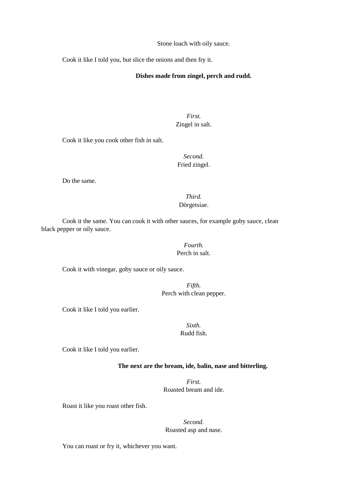Stone loach with oily sauce.

Cook it like I told you, but slice the onions and then fry it.

### **Dishes made from zingel, perch and rudd.**

*First.*  Zingel in salt.

Cook it like you cook other fish in salt.

*Second.*  Fried zingel.

Do the same.

# *Third.*  Dörgetsiae.

Cook it the same. You can cook it with other sauces, for example goby sauce, clean black pepper or oily sauce.

### *Fourth.*  Perch in salt.

Cook it with vinegar, goby sauce or oily sauce.

*Fifth.*  Perch with clean pepper.

Cook it like I told you earlier.

### *Sixth.*  Rudd fish.

Cook it like I told you earlier.

### **The next are the bream, ide, balin, nase and bitterling.**

*First.*  Roasted bream and ide.

Roast it like you roast other fish.

*Second.*  Roasted asp and nase.

You can roast or fry it, whichever you want.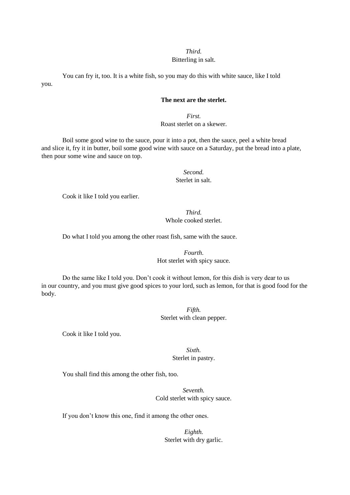### *Third.*  Bitterling in salt.

You can fry it, too. It is a white fish, so you may do this with white sauce, like I told you.

# **The next are the sterlet.**

*First.*  Roast sterlet on a skewer.

Boil some good wine to the sauce, pour it into a pot, then the sauce, peel a white bread and slice it, fry it in butter, boil some good wine with sauce on a Saturday, put the bread into a plate, then pour some wine and sauce on top.

> *Second.*  Sterlet in salt.

Cook it like I told you earlier.

*Third.*  Whole cooked sterlet.

Do what I told you among the other roast fish, same with the sauce.

*Fourth*. Hot sterlet with spicy sauce.

Do the same like I told you. Don't cook it without lemon, for this dish is very dear to us in our country, and you must give good spices to your lord, such as lemon, for that is good food for the body.

> *Fifth.*  Sterlet with clean pepper.

Cook it like I told you.

*Sixth.*  Sterlet in pastry.

You shall find this among the other fish, too.

*Seventh.*  Cold sterlet with spicy sauce.

If you don't know this one, find it among the other ones.

*Eighth.*  Sterlet with dry garlic.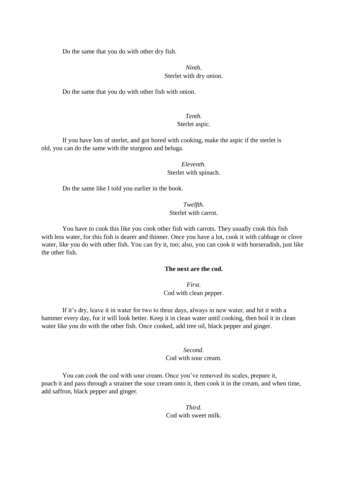Do the same that you do with other dry fish.

# *Ninth*. Sterlet with dry onion.

Do the same that you do with other fish with onion.

# *Tenth.*  Sterlet aspic.

If you have lots of sterlet, and got bored with cooking, make the aspic if the sterlet is old, you can do the same with the sturgeon and beluga.

# *Eleventh.*  Sterlet with spinach.

Do the same like I told you earlier in the book.

*Twelfth.*  Sterlet with carrot.

You have to cook this like you cook other fish with carrots. They usually cook this fish with less water, for this fish is dearer and thinner. Once you have a lot, cook it with cabbage or clove water, like you do with other fish. You can fry it, too; also, you can cook it with horseradish, just like the other fish.

### **The next are the cod.**

*First.*  Cod with clean pepper.

If it's dry, leave it in water for two to three days, always in new water, and hit it with a hammer every day, for it will look better. Keep it in clean water until cooking, then boil it in clean water like you do with the other fish. Once cooked, add tree oil, black pepper and ginger.

# *Second.*  Cod with sour cream.

You can cook the cod with sour cream. Once you've removed its scales, prepare it, poach it and pass through a strainer the sour cream onto it, then cook it in the cream, and when time, add saffron, black pepper and ginger.

# *Third.*  Cod with sweet milk.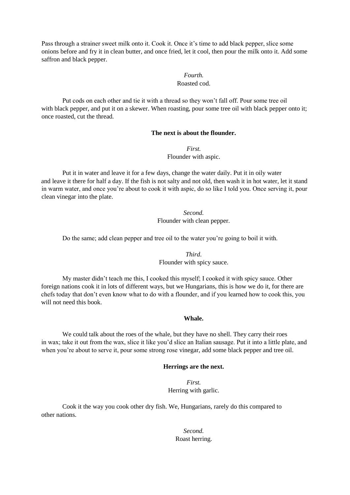Pass through a strainer sweet milk onto it. Cook it. Once it's time to add black pepper, slice some onions before and fry it in clean butter, and once fried, let it cool, then pour the milk onto it. Add some saffron and black pepper.

# *Fourth.*

# Roasted cod.

Put cods on each other and tie it with a thread so they won't fall off. Pour some tree oil with black pepper, and put it on a skewer. When roasting, pour some tree oil with black pepper onto it; once roasted, cut the thread.

# **The next is about the flounder.**

*First.*  Flounder with aspic.

Put it in water and leave it for a few days, change the water daily. Put it in oily water and leave it there for half a day. If the fish is not salty and not old, then wash it in hot water, let it stand in warm water, and once you're about to cook it with aspic, do so like I told you. Once serving it, pour clean vinegar into the plate.

> *Second.*  Flounder with clean pepper.

Do the same; add clean pepper and tree oil to the water you're going to boil it with.

*Third*. Flounder with spicy sauce.

My master didn't teach me this, I cooked this myself; I cooked it with spicy sauce. Other foreign nations cook it in lots of different ways, but we Hungarians, this is how we do it, for there are chefs today that don't even know what to do with a flounder, and if you learned how to cook this, you will not need this book.

### **Whale.**

We could talk about the roes of the whale, but they have no shell. They carry their roes in wax; take it out from the wax, slice it like you'd slice an Italian sausage. Put it into a little plate, and when you're about to serve it, pour some strong rose vinegar, add some black pepper and tree oil.

#### **Herrings are the next.**

*First.*  Herring with garlic.

Cook it the way you cook other dry fish. We, Hungarians, rarely do this compared to other nations.

> *Second.*  Roast herring.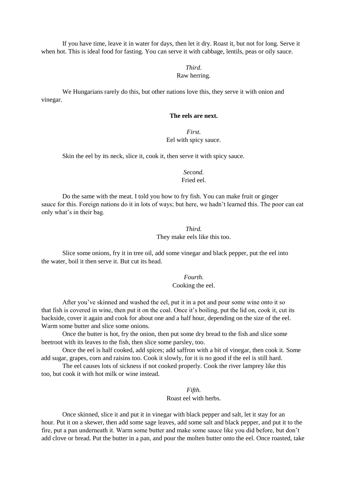If you have time, leave it in water for days, then let it dry. Roast it, but not for long. Serve it when hot. This is ideal food for fasting. You can serve it with cabbage, lentils, peas or oily sauce.

### *Third*. Raw herring.

We Hungarians rarely do this, but other nations love this, they serve it with onion and vinegar.

### **The eels are next.**

# *First.*  Eel with spicy sauce.

Skin the eel by its neck, slice it, cook it, then serve it with spicy sauce.

*Second.*  Fried eel.

Do the same with the meat. I told you how to fry fish. You can make fruit or ginger sauce for this. Foreign nations do it in lots of ways; but here, we hadn't learned this. The poor can eat only what's in their bag.

> *Third.*  They make eels like this too.

Slice some onions, fry it in tree oil, add some vinegar and black pepper, put the eel into the water, boil it then serve it. But cut its head.

> *Fourth.*  Cooking the eel.

After you've skinned and washed the eel, put it in a pot and pour some wine onto it so that fish is covered in wine, then put it on the coal. Once it's boiling, put the lid on, cook it, cut its backside, cover it again and cook for about one and a half hour, depending on the size of the eel. Warm some butter and slice some onions.

Once the butter is hot, fry the onion, then put some dry bread to the fish and slice some beetroot with its leaves to the fish, then slice some parsley, too.

Once the eel is half cooked, add spices; add saffron with a bit of vinegar, then cook it. Some add sugar, grapes, corn and raisins too. Cook it slowly, for it is no good if the eel is still hard.

The eel causes lots of sickness if not cooked properly. Cook the river lamprey like this too, but cook it with hot milk or wine instead.

> *Fifth.*  Roast eel with herbs.

Once skinned, slice it and put it in vinegar with black pepper and salt, let it stay for an hour. Put it on a skewer, then add some sage leaves, add some salt and black pepper, and put it to the fire, put a pan underneath it. Warm some butter and make some sauce like you did before, but don't add clove or bread. Put the butter in a pan, and pour the molten butter onto the eel. Once roasted, take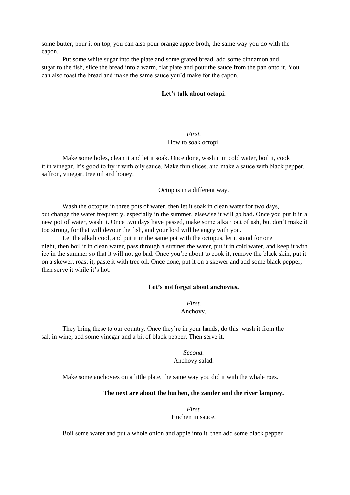some butter, pour it on top, you can also pour orange apple broth, the same way you do with the capon.

Put some white sugar into the plate and some grated bread, add some cinnamon and sugar to the fish, slice the bread into a warm, flat plate and pour the sauce from the pan onto it. You can also toast the bread and make the same sauce you'd make for the capon.

#### **Let's talk about octopi.**

# *First.*  How to soak octopi.

Make some holes, clean it and let it soak. Once done, wash it in cold water, boil it, cook it in vinegar. It's good to fry it with oily sauce. Make thin slices, and make a sauce with black pepper, saffron, vinegar, tree oil and honey.

Octopus in a different way.

Wash the octopus in three pots of water, then let it soak in clean water for two days, but change the water frequently, especially in the summer, elsewise it will go bad. Once you put it in a new pot of water, wash it. Once two days have passed, make some alkali out of ash, but don't make it too strong, for that will devour the fish, and your lord will be angry with you.

Let the alkali cool, and put it in the same pot with the octopus, let it stand for one night, then boil it in clean water, pass through a strainer the water, put it in cold water, and keep it with ice in the summer so that it will not go bad. Once you're about to cook it, remove the black skin, put it on a skewer, roast it, paste it with tree oil. Once done, put it on a skewer and add some black pepper, then serve it while it's hot.

#### **Let's not forget about anchovies.**

*First*. Anchovy.

They bring these to our country. Once they're in your hands, do this: wash it from the salt in wine, add some vinegar and a bit of black pepper. Then serve it.

> *Second.*  Anchovy salad.

Make some anchovies on a little plate, the same way you did it with the whale roes.

### **The next are about the huchen, the zander and the river lamprey.**

*First.*  Huchen in sauce.

Boil some water and put a whole onion and apple into it, then add some black pepper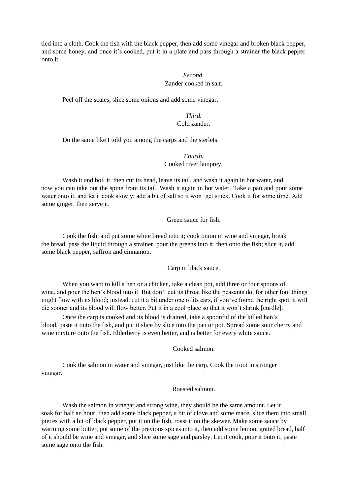tied into a cloth. Cook the fish with the black pepper, then add some vinegar and broken black pepper, and some honey, and once it's cooked, put it in a plate and pass through a strainer the black pepper onto it.

# *Second.*  Zander cooked in salt.

Peel off the scales, slice some onions and add some vinegar.

# *Third.*  Cold zander.

Do the same like I told you among the carps and the sterlets.

### *Fourth.*  Cooked river lamprey.

Wash it and boil it, then cut its head, leave its tail, and wash it again in hot water, and now you can take out the spine from its tail. Wash it again in hot water. Take a pan and pour some water onto it, and let it cook slowly; add a bit of salt so it won 'get stuck. Cook it for some time. Add some ginger, then serve it.

Green sauce for fish.

Cook the fish, and put some white bread into it; cook onion in wine and vinegar, break the bread, pass the liquid through a strainer, pour the greens into it, then onto the fish; slice it, add some black pepper, saffron and cinnamon.

Carp in black sauce.

When you want to kill a hen or a chicken, take a clean pot, add three or four spoons of wine, and pour the hen's blood into it. But don't cut its throat like the peasants do, for other foul things might flow with its blood; instead, cut it a bit under one of its ears, if you've found the right spot, it will die sooner and its blood will flow better. Put it in a cool place so that it won't shrink [curdle].

Once the carp is cooked and its blood is drained, take a spoonful of the killed hen's blood, paste it onto the fish, and put it slice by slice into the pan or pot. Spread some sour cherry and wine mixture onto the fish. Elderberry is even better, and is better for every white sauce.

Cooked salmon.

Cook the salmon in water and vinegar, just like the carp. Cook the trout in stronger vinegar.

Roasted salmon.

Wash the salmon in vinegar and strong wine, they should be the same amount. Let it soak for half an hour, then add some black pepper, a bit of clove and some mace, slice them into small pieces with a bit of black pepper, put it on the fish, roast it on the skewer. Make some sauce by warming some butter, put some of the previous spices into it, then add some lemon, grated bread, half of it should be wine and vinegar, and slice some sage and parsley. Let it cook, pour it onto it, paste some sage onto the fish.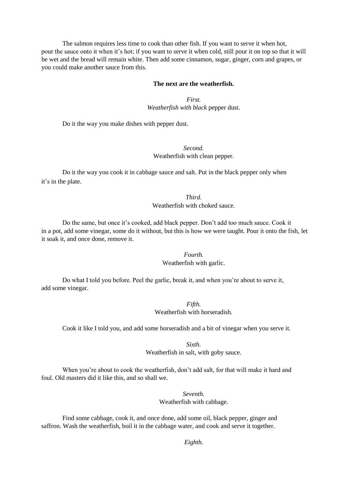The salmon requires less time to cook than other fish. If you want to serve it when hot, pour the sauce onto it when it's hot; if you want to serve it when cold, still pour it on top so that it will be wet and the bread will remain white. Then add some cinnamon, sugar, ginger, corn and grapes, or you could make another sauce from this.

#### **The next are the weatherfish.**

*First. Weatherfish with black* pepper dust.

Do it the way you make dishes with pepper dust.

*Second.*  Weatherfish with clean pepper.

Do it the way you cook it in cabbage sauce and salt. Put in the black pepper only when it's in the plate.

# *Third.*  Weatherfish with choked sauce.

Do the same, but once it's cooked, add black pepper. Don't add too much sauce. Cook it in a pot, add some vinegar, some do it without, but this is how we were taught. Pour it onto the fish, let it soak it, and once done, remove it.

> *Fourth.*  Weatherfish with garlic.

Do what I told you before. Peel the garlic, break it, and when you're about to serve it, add some vinegar.

> *Fifth.*  Weatherfish with horseradish.

Cook it like I told you, and add some horseradish and a bit of vinegar when you serve it.

*Sixth.* 

Weatherfish in salt, with goby sauce.

When you're about to cook the weatherfish, don't add salt, for that will make it hard and foul. Old masters did it like this, and so shall we.

> *Seventh.*  Weatherfish with cabbage.

Find some cabbage, cook it, and once done, add some oil, black pepper, ginger and saffron. Wash the weatherfish, boil it in the cabbage water, and cook and serve it together.

*Eighth*.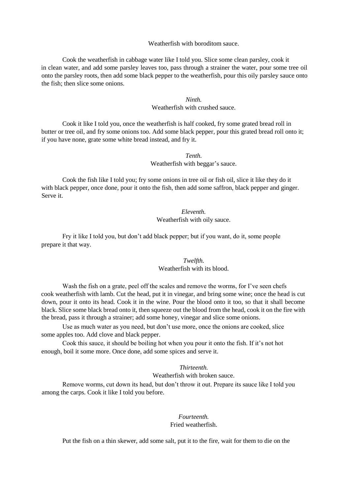#### Weatherfish with boroditom sauce.

Cook the weatherfish in cabbage water like I told you. Slice some clean parsley, cook it in clean water, and add some parsley leaves too, pass through a strainer the water, pour some tree oil onto the parsley roots, then add some black pepper to the weatherfish, pour this oily parsley sauce onto the fish; then slice some onions.

### *Ninth.*  Weatherfish with crushed sauce.

Cook it like I told you, once the weatherfish is half cooked, fry some grated bread roll in butter or tree oil, and fry some onions too. Add some black pepper, pour this grated bread roll onto it; if you have none, grate some white bread instead, and fry it.

### *Tenth.*  Weatherfish with beggar's sauce.

Cook the fish like I told you; fry some onions in tree oil or fish oil, slice it like they do it with black pepper, once done, pour it onto the fish, then add some saffron, black pepper and ginger. Serve it.

> *Eleventh.*  Weatherfish with oily sauce.

Fry it like I told you, but don't add black pepper; but if you want, do it, some people prepare it that way.

# *Twelfth.*  Weatherfish with its blood.

Wash the fish on a grate, peel off the scales and remove the worms, for I've seen chefs cook weatherfish with lamb. Cut the head, put it in vinegar, and bring some wine; once the head is cut down, pour it onto its head. Cook it in the wine. Pour the blood onto it too, so that it shall become black. Slice some black bread onto it, then squeeze out the blood from the head, cook it on the fire with the bread, pass it through a strainer; add some honey, vinegar and slice some onions.

Use as much water as you need, but don't use more, once the onions are cooked, slice some apples too. Add clove and black pepper.

Cook this sauce, it should be boiling hot when you pour it onto the fish. If it's not hot enough, boil it some more. Once done, add some spices and serve it.

#### *Thirteenth.*

### Weatherfish with broken sauce.

Remove worms, cut down its head, but don't throw it out. Prepare its sauce like I told you among the carps. Cook it like I told you before.

# *Fourteenth.*  Fried weatherfish.

Put the fish on a thin skewer, add some salt, put it to the fire, wait for them to die on the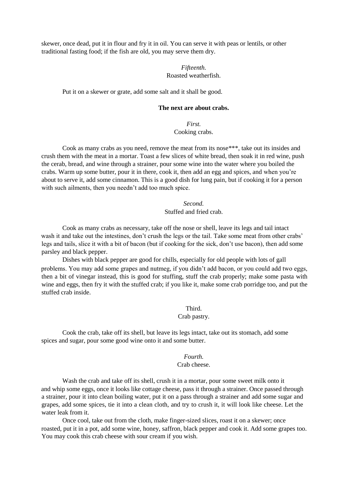skewer, once dead, put it in flour and fry it in oil. You can serve it with peas or lentils, or other traditional fasting food; if the fish are old, you may serve them dry.

## *Fifteenth.*  Roasted weatherfish.

Put it on a skewer or grate, add some salt and it shall be good.

## **The next are about crabs.**

## *First.*  Cooking crabs.

Cook as many crabs as you need, remove the meat from its nose\*\*\*, take out its insides and crush them with the meat in a mortar. Toast a few slices of white bread, then soak it in red wine, push the cerab, bread, and wine through a strainer, pour some wine into the water where you boiled the crabs. Warm up some butter, pour it in there, cook it, then add an egg and spices, and when you're about to serve it, add some cinnamon. This is a good dish for lung pain, but if cooking it for a person with such ailments, then you needn't add too much spice.

## *Second.*  Stuffed and fried crab.

Cook as many crabs as necessary, take off the nose or shell, leave its legs and tail intact wash it and take out the intestines, don't crush the legs or the tail. Take some meat from other crabs' legs and tails, slice it with a bit of bacon (but if cooking for the sick, don't use bacon), then add some parsley and black pepper.

Dishes with black pepper are good for chills, especially for old people with lots of gall problems. You may add some grapes and nutmeg, if you didn't add bacon, or you could add two eggs, then a bit of vinegar instead, this is good for stuffing, stuff the crab properly; make some pasta with wine and eggs, then fry it with the stuffed crab; if you like it, make some crab porridge too, and put the stuffed crab inside.

> Third. Crab pastry.

Cook the crab, take off its shell, but leave its legs intact, take out its stomach, add some spices and sugar, pour some good wine onto it and some butter.

## *Fourth.*  Crab cheese.

Wash the crab and take off its shell, crush it in a mortar, pour some sweet milk onto it and whip some eggs, once it looks like cottage cheese, pass it through a strainer. Once passed through a strainer, pour it into clean boiling water, put it on a pass through a strainer and add some sugar and grapes, add some spices, tie it into a clean cloth, and try to crush it, it will look like cheese. Let the water leak from it.

Once cool, take out from the cloth, make finger-sized slices, roast it on a skewer; once roasted, put it in a pot, add some wine, honey, saffron, black pepper and cook it. Add some grapes too. You may cook this crab cheese with sour cream if you wish.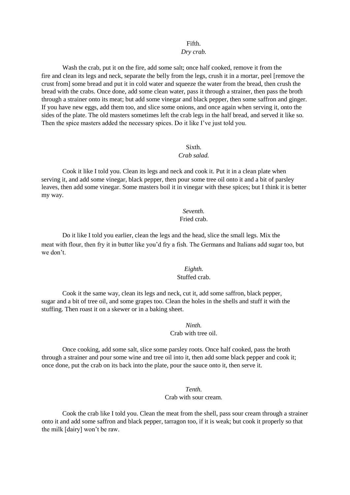## Fifth.

### *Dry crab.*

Wash the crab, put it on the fire, add some salt; once half cooked, remove it from the fire and clean its legs and neck, separate the belly from the legs, crush it in a mortar, peel [remove the crust from] some bread and put it in cold water and squeeze the water from the bread, then crush the bread with the crabs. Once done, add some clean water, pass it through a strainer, then pass the broth through a strainer onto its meat; but add some vinegar and black pepper, then some saffron and ginger. If you have new eggs, add them too, and slice some onions, and once again when serving it, onto the sides of the plate. The old masters sometimes left the crab legs in the half bread, and served it like so. Then the spice masters added the necessary spices. Do it like I've just told you.

#### Sixth. *Crab salad.*

Cook it like I told you. Clean its legs and neck and cook it. Put it in a clean plate when serving it, and add some vinegar, black pepper, then pour some tree oil onto it and a bit of parsley leaves, then add some vinegar. Some masters boil it in vinegar with these spices; but I think it is better my way.

## *Seventh.*  Fried crab.

Do it like I told you earlier, clean the legs and the head, slice the small legs. Mix the meat with flour, then fry it in butter like you'd fry a fish. The Germans and Italians add sugar too, but we don't.

## *Eighth.*  Stuffed crab.

Cook it the same way, clean its legs and neck, cut it, add some saffron, black pepper, sugar and a bit of tree oil, and some grapes too. Clean the holes in the shells and stuff it with the stuffing. Then roast it on a skewer or in a baking sheet.

## *Ninth.*

Crab with tree oil.

Once cooking, add some salt, slice some parsley roots. Once half cooked, pass the broth through a strainer and pour some wine and tree oil into it, then add some black pepper and cook it; once done, put the crab on its back into the plate, pour the sauce onto it, then serve it.

## *Tenth.*

## Crab with sour cream.

Cook the crab like I told you. Clean the meat from the shell, pass sour cream through a strainer onto it and add some saffron and black pepper, tarragon too, if it is weak; but cook it properly so that the milk [dairy] won't be raw.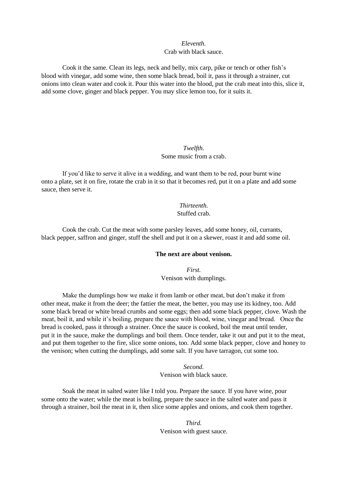## *Eleventh.*  Crab with black sauce.

Cook it the same. Clean its legs, neck and belly, mix carp, pike or tench or other fish's blood with vinegar, add some wine, then some black bread, boil it, pass it through a strainer, cut onions into clean water and cook it. Pour this water into the blood, put the crab meat into this, slice it, add some clove, ginger and black pepper. You may slice lemon too, for it suits it.

## *Twelfth.*  Some music from a crab.

If you'd like to serve it alive in a wedding, and want them to be red, pour burnt wine onto a plate, set it on fire, rotate the crab in it so that it becomes red, put it on a plate and add some sauce, then serve it.

## *Thirteenth.*  Stuffed crab.

Cook the crab. Cut the meat with some parsley leaves, add some honey, oil, currants, black pepper, saffron and ginger, stuff the shell and put it on a skewer, roast it and add some oil.

## **The next are about venison.**

*First.*  Venison with dumplings.

Make the dumplings how we make it from lamb or other meat, but don't make it from other meat, make it from the deer; the fattier the meat, the better, you may use its kidney, too. Add some black bread or white bread crumbs and some eggs; then add some black pepper, clove. Wash the meat, boil it, and while it's boiling, prepare the sauce with blood, wine, vinegar and bread. Once the bread is cooked, pass it through a strainer. Once the sauce is cooked, boil the meat until tender, put it in the sauce, make the dumplings and boil them. Once tender, take it out and put it to the meat, and put them together to the fire, slice some onions, too. Add some black pepper, clove and honey to the venison; when cutting the dumplings, add some salt. If you have tarragon, cut some too.

*Second.* 

Venison with black sauce.

Soak the meat in salted water like I told you. Prepare the sauce. If you have wine, pour some onto the water; while the meat is boiling, prepare the sauce in the salted water and pass it through a strainer, boil the meat in it, then slice some apples and onions, and cook them together.

> *Third.*  Venison with guest sauce.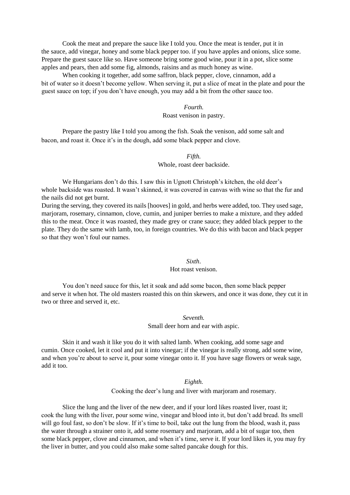Cook the meat and prepare the sauce like I told you. Once the meat is tender, put it in the sauce, add vinegar, honey and some black pepper too. if you have apples and onions, slice some. Prepare the guest sauce like so. Have someone bring some good wine, pour it in a pot, slice some apples and pears, then add some fig, almonds, raisins and as much honey as wine.

When cooking it together, add some saffron, black pepper, clove, cinnamon, add a bit of water so it doesn't become yellow. When serving it, put a slice of meat in the plate and pour the guest sauce on top; if you don't have enough, you may add a bit from the other sauce too.

#### *Fourth.*

## Roast venison in pastry.

Prepare the pastry like I told you among the fish. Soak the venison, add some salt and bacon, and roast it. Once it's in the dough, add some black pepper and clove.

#### *Fifth.*

#### Whole, roast deer backside.

We Hungarians don't do this. I saw this in Ugnott Christoph's kitchen, the old deer's whole backside was roasted. It wasn't skinned, it was covered in canvas with wine so that the fur and the nails did not get burnt.

During the serving, they covered its nails [hooves] in gold, and herbs were added, too. They used sage, marjoram, rosemary, cinnamon, clove, cumin, and juniper berries to make a mixture, and they added this to the meat. Once it was roasted, they made grey or crane sauce; they added black pepper to the plate. They do the same with lamb, too, in foreign countries. We do this with bacon and black pepper so that they won't foul our names.

## *Sixth*.

### Hot roast venison.

You don't need sauce for this, let it soak and add some bacon, then some black pepper and serve it when hot. The old masters roasted this on thin skewers, and once it was done, they cut it in two or three and served it, etc.

> *Seventh.*  Small deer horn and ear with aspic.

Skin it and wash it like you do it with salted lamb. When cooking, add some sage and cumin. Once cooked, let it cool and put it into vinegar; if the vinegar is really strong, add some wine, and when you're about to serve it, pour some vinegar onto it. If you have sage flowers or weak sage, add it too.

#### *Eighth.*

Cooking the deer's lung and liver with marjoram and rosemary.

Slice the lung and the liver of the new deer, and if your lord likes roasted liver, roast it; cook the lung with the liver, pour some wine, vinegar and blood into it, but don't add bread. Its smell will go foul fast, so don't be slow. If it's time to boil, take out the lung from the blood, wash it, pass the water through a strainer onto it, add some rosemary and marjoram, add a bit of sugar too, then some black pepper, clove and cinnamon, and when it's time, serve it. If your lord likes it, you may fry the liver in butter, and you could also make some salted pancake dough for this.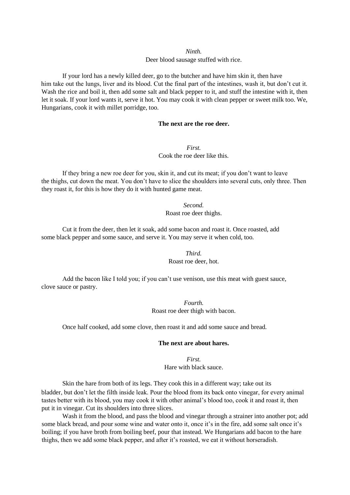#### *Ninth.*

#### Deer blood sausage stuffed with rice.

If your lord has a newly killed deer, go to the butcher and have him skin it, then have him take out the lungs, liver and its blood. Cut the final part of the intestines, wash it, but don't cut it. Wash the rice and boil it, then add some salt and black pepper to it, and stuff the intestine with it, then let it soak. If your lord wants it, serve it hot. You may cook it with clean pepper or sweet milk too. We, Hungarians, cook it with millet porridge, too.

#### **The next are the roe deer.**

*First.*  Cook the roe deer like this.

If they bring a new roe deer for you, skin it, and cut its meat; if you don't want to leave the thighs, cut down the meat. You don't have to slice the shoulders into several cuts, only three. Then they roast it, for this is how they do it with hunted game meat.

## *Second.*  Roast roe deer thighs.

Cut it from the deer, then let it soak, add some bacon and roast it. Once roasted, add some black pepper and some sauce, and serve it. You may serve it when cold, too.

> *Third.*  Roast roe deer, hot.

Add the bacon like I told you; if you can't use venison, use this meat with guest sauce, clove sauce or pastry.

> *Fourth.*  Roast roe deer thigh with bacon.

Once half cooked, add some clove, then roast it and add some sauce and bread.

## **The next are about hares.**

*First.*  Hare with black sauce.

Skin the hare from both of its legs. They cook this in a different way; take out its bladder, but don't let the filth inside leak. Pour the blood from its back onto vinegar, for every animal tastes better with its blood, you may cook it with other animal's blood too, cook it and roast it, then put it in vinegar. Cut its shoulders into three slices.

Wash it from the blood, and pass the blood and vinegar through a strainer into another pot; add some black bread, and pour some wine and water onto it, once it's in the fire, add some salt once it's boiling; if you have broth from boiling beef, pour that instead. We Hungarians add bacon to the hare thighs, then we add some black pepper, and after it's roasted, we eat it without horseradish.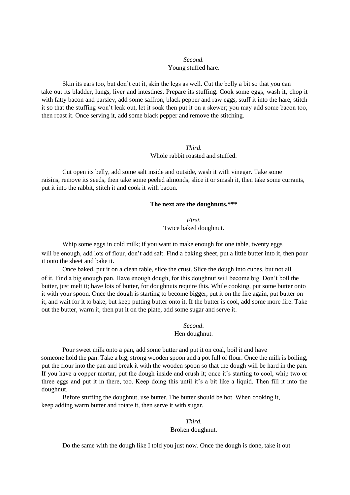## *Second.*  Young stuffed hare.

Skin its ears too, but don't cut it, skin the legs as well. Cut the belly a bit so that you can take out its bladder, lungs, liver and intestines. Prepare its stuffing. Cook some eggs, wash it, chop it with fatty bacon and parsley, add some saffron, black pepper and raw eggs, stuff it into the hare, stitch it so that the stuffing won't leak out, let it soak then put it on a skewer; you may add some bacon too, then roast it. Once serving it, add some black pepper and remove the stitching.

## *Third.*  Whole rabbit roasted and stuffed.

Cut open its belly, add some salt inside and outside, wash it with vinegar. Take some raisins, remove its seeds, then take some peeled almonds, slice it or smash it, then take some currants, put it into the rabbit, stitch it and cook it with bacon.

## **The next are the doughnuts.\*\*\***

*First.*  Twice baked doughnut.

Whip some eggs in cold milk; if you want to make enough for one table, twenty eggs will be enough, add lots of flour, don't add salt. Find a baking sheet, put a little butter into it, then pour it onto the sheet and bake it.

Once baked, put it on a clean table, slice the crust. Slice the dough into cubes, but not all of it. Find a big enough pan. Have enough dough, for this doughnut will become big. Don't boil the butter, just melt it; have lots of butter, for doughnuts require this. While cooking, put some butter onto it with your spoon. Once the dough is starting to become bigger, put it on the fire again, put butter on it, and wait for it to bake, but keep putting butter onto it. If the butter is cool, add some more fire. Take out the butter, warm it, then put it on the plate, add some sugar and serve it.

## *Second*. Hen doughnut.

Pour sweet milk onto a pan, add some butter and put it on coal, boil it and have someone hold the pan. Take a big, strong wooden spoon and a pot full of flour. Once the milk is boiling, put the flour into the pan and break it with the wooden spoon so that the dough will be hard in the pan. If you have a copper mortar, put the dough inside and crush it; once it's starting to cool, whip two or three eggs and put it in there, too. Keep doing this until it's a bit like a liquid. Then fill it into the doughnut.

Before stuffing the doughnut, use butter. The butter should be hot. When cooking it, keep adding warm butter and rotate it, then serve it with sugar.

## *Third.*  Broken doughnut.

Do the same with the dough like I told you just now. Once the dough is done, take it out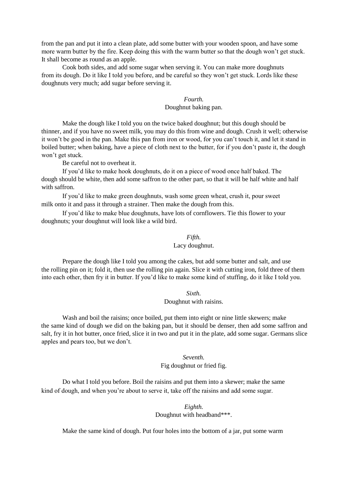from the pan and put it into a clean plate, add some butter with your wooden spoon, and have some more warm butter by the fire. Keep doing this with the warm butter so that the dough won't get stuck. It shall become as round as an apple.

Cook both sides, and add some sugar when serving it. You can make more doughnuts from its dough. Do it like I told you before, and be careful so they won't get stuck. Lords like these doughnuts very much; add sugar before serving it.

# *Fourth.*

## Doughnut baking pan.

Make the dough like I told you on the twice baked doughnut; but this dough should be thinner, and if you have no sweet milk, you may do this from wine and dough. Crush it well; otherwise it won't be good in the pan. Make this pan from iron or wood, for you can't touch it, and let it stand in boiled butter; when baking, have a piece of cloth next to the butter, for if you don't paste it, the dough won't get stuck.

Be careful not to overheat it.

If you'd like to make hook doughnuts, do it on a piece of wood once half baked. The dough should be white, then add some saffron to the other part, so that it will be half white and half with saffron.

If you'd like to make green doughnuts, wash some green wheat, crush it, pour sweet milk onto it and pass it through a strainer. Then make the dough from this.

If you'd like to make blue doughnuts, have lots of cornflowers. Tie this flower to your doughnuts; your doughnut will look like a wild bird.

#### *Fifth.*

## Lacy doughnut.

Prepare the dough like I told you among the cakes, but add some butter and salt, and use the rolling pin on it; fold it, then use the rolling pin again. Slice it with cutting iron, fold three of them into each other, then fry it in butter. If you'd like to make some kind of stuffing, do it like I told you.

#### *Sixth.*

### Doughnut with raisins.

Wash and boil the raisins; once boiled, put them into eight or nine little skewers; make the same kind of dough we did on the baking pan, but it should be denser, then add some saffron and salt, fry it in hot butter, once fried, slice it in two and put it in the plate, add some sugar. Germans slice apples and pears too, but we don't.

## *Seventh.*  Fig doughnut or fried fig.

Do what I told you before. Boil the raisins and put them into a skewer; make the same kind of dough, and when you're about to serve it, take off the raisins and add some sugar.

## *Eighth.*  Doughnut with headband\*\*\*.

Make the same kind of dough. Put four holes into the bottom of a jar, put some warm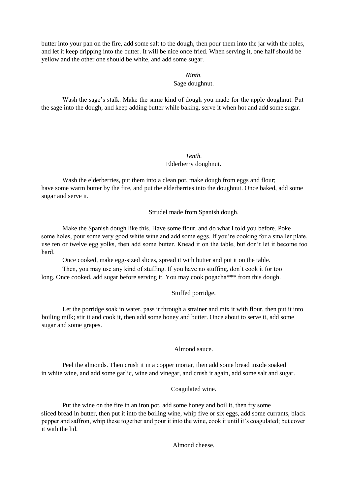butter into your pan on the fire, add some salt to the dough, then pour them into the jar with the holes, and let it keep dripping into the butter. It will be nice once fried. When serving it, one half should be yellow and the other one should be white, and add some sugar.

## *Ninth.*

## Sage doughnut.

Wash the sage's stalk. Make the same kind of dough you made for the apple doughnut. Put the sage into the dough, and keep adding butter while baking, serve it when hot and add some sugar.

## *Tenth.*  Elderberry doughnut.

Wash the elderberries, put them into a clean pot, make dough from eggs and flour; have some warm butter by the fire, and put the elderberries into the doughnut. Once baked, add some sugar and serve it.

Strudel made from Spanish dough.

Make the Spanish dough like this. Have some flour, and do what I told you before. Poke some holes, pour some very good white wine and add some eggs. If you're cooking for a smaller plate, use ten or twelve egg yolks, then add some butter. Knead it on the table, but don't let it become too hard.

Once cooked, make egg-sized slices, spread it with butter and put it on the table.

Then, you may use any kind of stuffing. If you have no stuffing, don't cook it for too long. Once cooked, add sugar before serving it. You may cook pogacha\*\*\* from this dough.

## Stuffed porridge.

Let the porridge soak in water, pass it through a strainer and mix it with flour, then put it into boiling milk; stir it and cook it, then add some honey and butter. Once about to serve it, add some sugar and some grapes.

## Almond sauce.

Peel the almonds. Then crush it in a copper mortar, then add some bread inside soaked in white wine, and add some garlic, wine and vinegar, and crush it again, add some salt and sugar.

## Coagulated wine.

Put the wine on the fire in an iron pot, add some honey and boil it, then fry some sliced bread in butter, then put it into the boiling wine, whip five or six eggs, add some currants, black pepper and saffron, whip these together and pour it into the wine, cook it until it's coagulated; but cover it with the lid.

Almond cheese.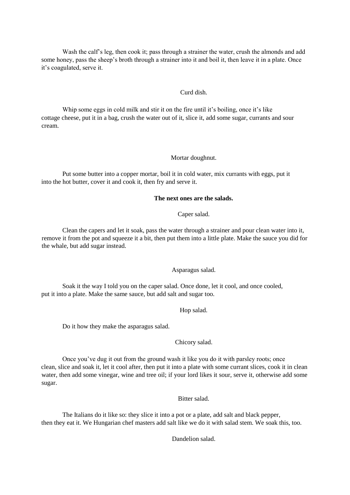Wash the calf's leg, then cook it; pass through a strainer the water, crush the almonds and add some honey, pass the sheep's broth through a strainer into it and boil it, then leave it in a plate. Once it's coagulated, serve it.

### Curd dish.

Whip some eggs in cold milk and stir it on the fire until it's boiling, once it's like cottage cheese, put it in a bag, crush the water out of it, slice it, add some sugar, currants and sour cream.

### Mortar doughnut.

Put some butter into a copper mortar, boil it in cold water, mix currants with eggs, put it into the hot butter, cover it and cook it, then fry and serve it.

#### **The next ones are the salads.**

### Caper salad.

Clean the capers and let it soak, pass the water through a strainer and pour clean water into it, remove it from the pot and squeeze it a bit, then put them into a little plate. Make the sauce you did for the whale, but add sugar instead.

### Asparagus salad.

Soak it the way I told you on the caper salad. Once done, let it cool, and once cooled, put it into a plate. Make the same sauce, but add salt and sugar too.

#### Hop salad.

Do it how they make the asparagus salad.

### Chicory salad.

Once you've dug it out from the ground wash it like you do it with parsley roots; once clean, slice and soak it, let it cool after, then put it into a plate with some currant slices, cook it in clean water, then add some vinegar, wine and tree oil; if your lord likes it sour, serve it, otherwise add some sugar.

Bitter salad.

The Italians do it like so: they slice it into a pot or a plate, add salt and black pepper, then they eat it. We Hungarian chef masters add salt like we do it with salad stem. We soak this, too.

Dandelion salad.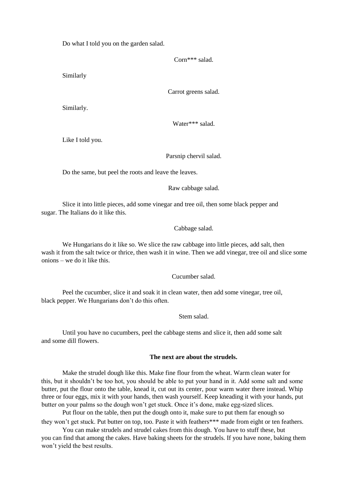Do what I told you on the garden salad.

Corn\*\*\* salad.

Similarly

Carrot greens salad.

Similarly.

Water\*\*\* salad.

Like I told you.

Parsnip chervil salad.

Do the same, but peel the roots and leave the leaves.

Raw cabbage salad.

Slice it into little pieces, add some vinegar and tree oil, then some black pepper and sugar. The Italians do it like this.

Cabbage salad.

We Hungarians do it like so. We slice the raw cabbage into little pieces, add salt, then wash it from the salt twice or thrice, then wash it in wine. Then we add vinegar, tree oil and slice some onions – we do it like this.

Cucumber salad.

Peel the cucumber, slice it and soak it in clean water, then add some vinegar, tree oil, black pepper. We Hungarians don't do this often.

Stem salad.

Until you have no cucumbers, peel the cabbage stems and slice it, then add some salt and some dill flowers.

## **The next are about the strudels.**

Make the strudel dough like this. Make fine flour from the wheat. Warm clean water for this, but it shouldn't be too hot, you should be able to put your hand in it. Add some salt and some butter, put the flour onto the table, knead it, cut out its center, pour warm water there instead. Whip three or four eggs, mix it with your hands, then wash yourself. Keep kneading it with your hands, put butter on your palms so the dough won't get stuck. Once it's done, make egg-sized slices.

Put flour on the table, then put the dough onto it, make sure to put them far enough so they won't get stuck. Put butter on top, too. Paste it with feathers\*\*\* made from eight or ten feathers.

You can make strudels and strudel cakes from this dough. You have to stuff these, but you can find that among the cakes. Have baking sheets for the strudels. If you have none, baking them won't yield the best results.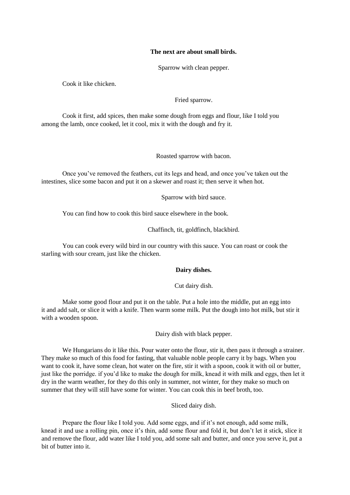#### **The next are about small birds.**

Sparrow with clean pepper.

Cook it like chicken.

Fried sparrow.

Cook it first, add spices, then make some dough from eggs and flour, like I told you among the lamb, once cooked, let it cool, mix it with the dough and fry it.

Roasted sparrow with bacon.

Once you've removed the feathers, cut its legs and head, and once you've taken out the intestines, slice some bacon and put it on a skewer and roast it; then serve it when hot.

Sparrow with bird sauce.

You can find how to cook this bird sauce elsewhere in the book.

Chaffinch, tit, goldfinch, blackbird.

You can cook every wild bird in our country with this sauce. You can roast or cook the starling with sour cream, just like the chicken.

### **Dairy dishes.**

Cut dairy dish.

Make some good flour and put it on the table. Put a hole into the middle, put an egg into it and add salt, or slice it with a knife. Then warm some milk. Put the dough into hot milk, but stir it with a wooden spoon.

Dairy dish with black pepper.

We Hungarians do it like this. Pour water onto the flour, stir it, then pass it through a strainer. They make so much of this food for fasting, that valuable noble people carry it by bags. When you want to cook it, have some clean, hot water on the fire, stir it with a spoon, cook it with oil or butter, just like the porridge. if you'd like to make the dough for milk, knead it with milk and eggs, then let it dry in the warm weather, for they do this only in summer, not winter, for they make so much on summer that they will still have some for winter. You can cook this in beef broth, too.

Sliced dairy dish.

Prepare the flour like I told you. Add some eggs, and if it's not enough, add some milk, knead it and use a rolling pin, once it's thin, add some flour and fold it, but don't let it stick, slice it and remove the flour, add water like I told you, add some salt and butter, and once you serve it, put a bit of butter into it.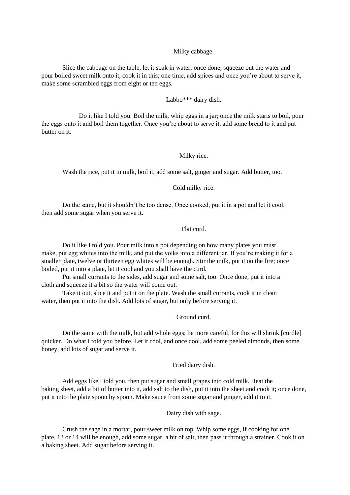## Milky cabbage.

Slice the cabbage on the table, let it soak in water; once done, squeeze out the water and pour boiled sweet milk onto it, cook it in this; one time, add spices and once you're about to serve it, make some scrambled eggs from eight or ten eggs.

## Labbo\*\*\* dairy dish.

Do it like I told you. Boil the milk, whip eggs in a jar; once the milk starts to boil, pour the eggs onto it and boil them together. Once you're about to serve it, add some bread to it and put butter on it.

#### Milky rice.

Wash the rice, put it in milk, boil it, add some salt, ginger and sugar. Add butter, too.

#### Cold milky rice.

Do the same, but it shouldn't be too dense. Once cooked, put it in a pot and let it cool, then add some sugar when you serve it.

## Flat curd.

Do it like I told you. Pour milk into a pot depending on how many plates you must make, put egg whites into the milk, and put the yolks into a different jar. If you're making it for a smaller plate, twelve or thirteen egg whites will be enough. Stir the milk, put it on the fire; once boiled, put it into a plate, let it cool and you shall have the curd.

Put small currants to the sides, add sugar and some salt, too. Once done, put it into a cloth and squeeze it a bit so the water will come out.

Take it out, slice it and put it on the plate. Wash the small currants, cook it in clean water, then put it into the dish. Add lots of sugar, but only before serving it.

#### Ground curd.

Do the same with the milk, but add whole eggs; be more careful, for this will shrink [curdle] quicker. Do what I told you before. Let it cool, and once cool, add some peeled almonds, then some honey, add lots of sugar and serve it.

Fried dairy dish.

Add eggs like I told you, then put sugar and small grapes into cold milk. Heat the baking sheet, add a bit of butter into it, add salt to the dish, put it into the sheet and cook it; once done, put it into the plate spoon by spoon. Make sauce from some sugar and ginger, add it to it.

Dairy dish with sage.

Crush the sage in a mortar, pour sweet milk on top. Whip some eggs, if cooking for one plate, 13 or 14 will be enough, add some sugar, a bit of salt, then pass it through a strainer. Cook it on a baking sheet. Add sugar before serving it.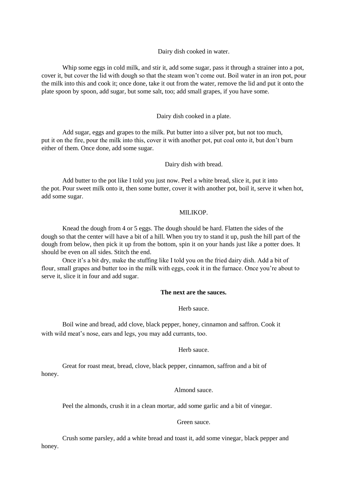Dairy dish cooked in water.

Whip some eggs in cold milk, and stir it, add some sugar, pass it through a strainer into a pot, cover it, but cover the lid with dough so that the steam won't come out. Boil water in an iron pot, pour the milk into this and cook it; once done, take it out from the water, remove the lid and put it onto the plate spoon by spoon, add sugar, but some salt, too; add small grapes, if you have some.

#### Dairy dish cooked in a plate.

Add sugar, eggs and grapes to the milk. Put butter into a silver pot, but not too much, put it on the fire, pour the milk into this, cover it with another pot, put coal onto it, but don't burn either of them. Once done, add some sugar.

Dairy dish with bread.

Add butter to the pot like I told you just now. Peel a white bread, slice it, put it into the pot. Pour sweet milk onto it, then some butter, cover it with another pot, boil it, serve it when hot, add some sugar.

#### MILIKOP.

Knead the dough from 4 or 5 eggs. The dough should be hard. Flatten the sides of the dough so that the center will have a bit of a hill. When you try to stand it up, push the hill part of the dough from below, then pick it up from the bottom, spin it on your hands just like a potter does. It should be even on all sides. Stitch the end.

Once it's a bit dry, make the stuffing like I told you on the fried dairy dish. Add a bit of flour, small grapes and butter too in the milk with eggs, cook it in the furnace. Once you're about to serve it, slice it in four and add sugar.

### **The next are the sauces.**

Herb sauce.

Boil wine and bread, add clove, black pepper, honey, cinnamon and saffron. Cook it with wild meat's nose, ears and legs, you may add currants, too.

#### Herb sauce.

Great for roast meat, bread, clove, black pepper, cinnamon, saffron and a bit of honey.

#### Almond sauce.

Peel the almonds, crush it in a clean mortar, add some garlic and a bit of vinegar.

Green sauce.

Crush some parsley, add a white bread and toast it, add some vinegar, black pepper and honey.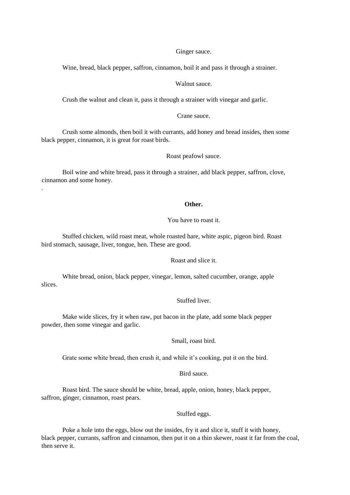#### Ginger sauce.

Wine, bread, black pepper, saffron, cinnamon, boil it and pass it through a strainer.

### Walnut sauce.

Crush the walnut and clean it, pass it through a strainer with vinegar and garlic.

### Crane sauce.

Crush some almonds, then boil it with currants, add honey and bread insides, then some black pepper, cinnamon, it is great for roast birds.

Roast peafowl sauce.

Boil wine and white bread, pass it through a strainer, add black pepper, saffron, clove, cinnamon and some honey.

.

#### **Other.**

## You have to roast it.

Stuffed chicken, wild roast meat, whole roasted hare, white aspic, pigeon bird. Roast bird stomach, sausage, liver, tongue, hen. These are good.

## Roast and slice it.

White bread, onion, black pepper, vinegar, lemon, salted cucumber, orange, apple slices.

## Stuffed liver.

Make wide slices, fry it when raw, put bacon in the plate, add some black pepper powder, then some vinegar and garlic.

### Small, roast bird.

Grate some white bread, then crush it, and while it's cooking, put it on the bird.

## Bird sauce.

Roast bird. The sauce should be white, bread, apple, onion, honey, black pepper, saffron, ginger, cinnamon, roast pears.

Stuffed eggs.

Poke a hole into the eggs, blow out the insides, fry it and slice it, stuff it with honey, black pepper, currants, saffron and cinnamon, then put it on a thin skewer, roast it far from the coal, then serve it.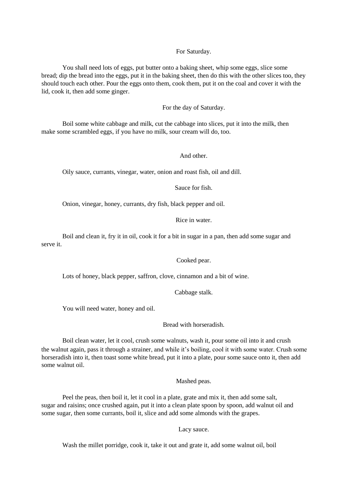### For Saturday.

You shall need lots of eggs, put butter onto a baking sheet, whip some eggs, slice some bread; dip the bread into the eggs, put it in the baking sheet, then do this with the other slices too, they should touch each other. Pour the eggs onto them, cook them, put it on the coal and cover it with the lid, cook it, then add some ginger.

For the day of Saturday.

Boil some white cabbage and milk, cut the cabbage into slices, put it into the milk, then make some scrambled eggs, if you have no milk, sour cream will do, too.

## And other.

Oily sauce, currants, vinegar, water, onion and roast fish, oil and dill.

Sauce for fish.

Onion, vinegar, honey, currants, dry fish, black pepper and oil.

Rice in water.

Boil and clean it, fry it in oil, cook it for a bit in sugar in a pan, then add some sugar and serve it.

Cooked pear.

Lots of honey, black pepper, saffron, clove, cinnamon and a bit of wine.

Cabbage stalk.

You will need water, honey and oil.

Bread with horseradish.

Boil clean water, let it cool, crush some walnuts, wash it, pour some oil into it and crush the walnut again, pass it through a strainer, and while it's boiling, cool it with some water. Crush some horseradish into it, then toast some white bread, put it into a plate, pour some sauce onto it, then add some walnut oil.

Mashed peas.

Peel the peas, then boil it, let it cool in a plate, grate and mix it, then add some salt, sugar and raisins; once crushed again, put it into a clean plate spoon by spoon, add walnut oil and some sugar, then some currants, boil it, slice and add some almonds with the grapes.

Lacy sauce.

Wash the millet porridge, cook it, take it out and grate it, add some walnut oil, boil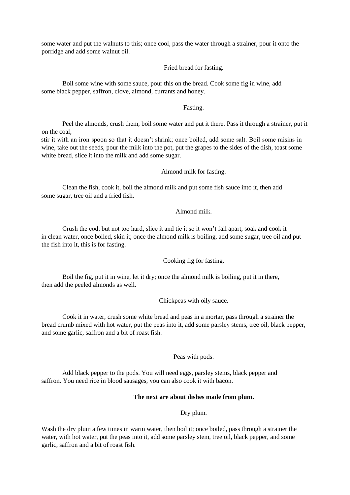some water and put the walnuts to this; once cool, pass the water through a strainer, pour it onto the porridge and add some walnut oil.

### Fried bread for fasting.

Boil some wine with some sauce, pour this on the bread. Cook some fig in wine, add some black pepper, saffron, clove, almond, currants and honey.

#### Fasting.

Peel the almonds, crush them, boil some water and put it there. Pass it through a strainer, put it on the coal,

stir it with an iron spoon so that it doesn't shrink; once boiled, add some salt. Boil some raisins in wine, take out the seeds, pour the milk into the pot, put the grapes to the sides of the dish, toast some white bread, slice it into the milk and add some sugar.

#### Almond milk for fasting.

Clean the fish, cook it, boil the almond milk and put some fish sauce into it, then add some sugar, tree oil and a fried fish.

## Almond milk.

Crush the cod, but not too hard, slice it and tie it so it won't fall apart, soak and cook it in clean water, once boiled, skin it; once the almond milk is boiling, add some sugar, tree oil and put the fish into it, this is for fasting.

Cooking fig for fasting.

Boil the fig, put it in wine, let it dry; once the almond milk is boiling, put it in there, then add the peeled almonds as well.

Chickpeas with oily sauce.

Cook it in water, crush some white bread and peas in a mortar, pass through a strainer the bread crumb mixed with hot water, put the peas into it, add some parsley stems, tree oil, black pepper, and some garlic, saffron and a bit of roast fish.

## Peas with pods.

Add black pepper to the pods. You will need eggs, parsley stems, black pepper and saffron. You need rice in blood sausages, you can also cook it with bacon.

#### **The next are about dishes made from plum.**

#### Dry plum.

Wash the dry plum a few times in warm water, then boil it; once boiled, pass through a strainer the water, with hot water, put the peas into it, add some parsley stem, tree oil, black pepper, and some garlic, saffron and a bit of roast fish.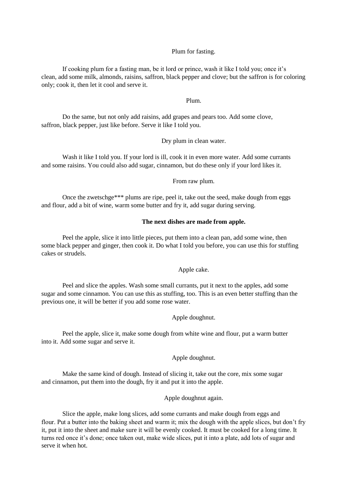## Plum for fasting.

If cooking plum for a fasting man, be it lord or prince, wash it like I told you; once it's clean, add some milk, almonds, raisins, saffron, black pepper and clove; but the saffron is for coloring only; cook it, then let it cool and serve it.

#### Plum.

Do the same, but not only add raisins, add grapes and pears too. Add some clove, saffron, black pepper, just like before. Serve it like I told you.

#### Dry plum in clean water.

Wash it like I told you. If your lord is ill, cook it in even more water. Add some currants and some raisins. You could also add sugar, cinnamon, but do these only if your lord likes it.

From raw plum.

Once the zwetschge\*\*\* plums are ripe, peel it, take out the seed, make dough from eggs and flour, add a bit of wine, warm some butter and fry it, add sugar during serving.

## **The next dishes are made from apple.**

Peel the apple, slice it into little pieces, put them into a clean pan, add some wine, then some black pepper and ginger, then cook it. Do what I told you before, you can use this for stuffing cakes or strudels.

## Apple cake.

Peel and slice the apples. Wash some small currants, put it next to the apples, add some sugar and some cinnamon. You can use this as stuffing, too. This is an even better stuffing than the previous one, it will be better if you add some rose water.

## Apple doughnut.

Peel the apple, slice it, make some dough from white wine and flour, put a warm butter into it. Add some sugar and serve it.

### Apple doughnut.

Make the same kind of dough. Instead of slicing it, take out the core, mix some sugar and cinnamon, put them into the dough, fry it and put it into the apple.

## Apple doughnut again.

Slice the apple, make long slices, add some currants and make dough from eggs and flour. Put a butter into the baking sheet and warm it; mix the dough with the apple slices, but don't fry it, put it into the sheet and make sure it will be evenly cooked. It must be cooked for a long time. It turns red once it's done; once taken out, make wide slices, put it into a plate, add lots of sugar and serve it when hot.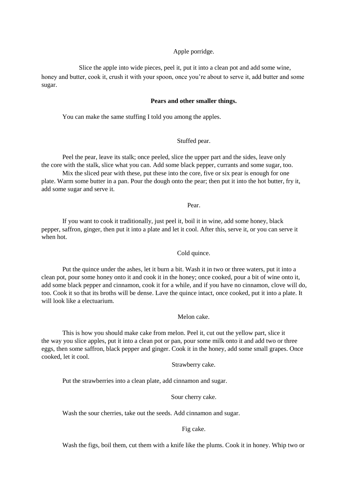## Apple porridge.

Slice the apple into wide pieces, peel it, put it into a clean pot and add some wine, honey and butter, cook it, crush it with your spoon, once you're about to serve it, add butter and some sugar.

## **Pears and other smaller things.**

You can make the same stuffing I told you among the apples.

## Stuffed pear.

Peel the pear, leave its stalk; once peeled, slice the upper part and the sides, leave only the core with the stalk, slice what you can. Add some black pepper, currants and some sugar, too.

Mix the sliced pear with these, put these into the core, five or six pear is enough for one plate. Warm some butter in a pan. Pour the dough onto the pear; then put it into the hot butter, fry it, add some sugar and serve it.

Pear.

If you want to cook it traditionally, just peel it, boil it in wine, add some honey, black pepper, saffron, ginger, then put it into a plate and let it cool. After this, serve it, or you can serve it when hot.

Cold quince.

Put the quince under the ashes, let it burn a bit. Wash it in two or three waters, put it into a clean pot, pour some honey onto it and cook it in the honey; once cooked, pour a bit of wine onto it, add some black pepper and cinnamon, cook it for a while, and if you have no cinnamon, clove will do, too. Cook it so that its broths will be dense. Lave the quince intact, once cooked, put it into a plate. It will look like a electuarium.

Melon cake.

This is how you should make cake from melon. Peel it, cut out the yellow part, slice it the way you slice apples, put it into a clean pot or pan, pour some milk onto it and add two or three eggs, then some saffron, black pepper and ginger. Cook it in the honey, add some small grapes. Once cooked, let it cool.

Strawberry cake.

Put the strawberries into a clean plate, add cinnamon and sugar.

Sour cherry cake.

Wash the sour cherries, take out the seeds. Add cinnamon and sugar.

Fig cake.

Wash the figs, boil them, cut them with a knife like the plums. Cook it in honey. Whip two or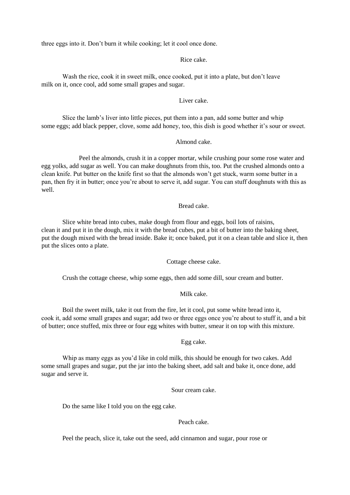three eggs into it. Don't burn it while cooking; let it cool once done.

#### Rice cake.

Wash the rice, cook it in sweet milk, once cooked, put it into a plate, but don't leave milk on it, once cool, add some small grapes and sugar.

## Liver cake.

Slice the lamb's liver into little pieces, put them into a pan, add some butter and whip some eggs; add black pepper, clove, some add honey, too, this dish is good whether it's sour or sweet.

#### Almond cake.

Peel the almonds, crush it in a copper mortar, while crushing pour some rose water and egg yolks, add sugar as well. You can make doughnuts from this, too. Put the crushed almonds onto a clean knife. Put butter on the knife first so that the almonds won't get stuck, warm some butter in a pan, then fry it in butter; once you're about to serve it, add sugar. You can stuff doughnuts with this as well.

### Bread cake.

Slice white bread into cubes, make dough from flour and eggs, boil lots of raisins, clean it and put it in the dough, mix it with the bread cubes, put a bit of butter into the baking sheet, put the dough mixed with the bread inside. Bake it; once baked, put it on a clean table and slice it, then put the slices onto a plate.

Cottage cheese cake.

Crush the cottage cheese, whip some eggs, then add some dill, sour cream and butter.

### Milk cake.

Boil the sweet milk, take it out from the fire, let it cool, put some white bread into it, cook it, add some small grapes and sugar; add two or three eggs once you're about to stuff it, and a bit of butter; once stuffed, mix three or four egg whites with butter, smear it on top with this mixture.

## Egg cake.

Whip as many eggs as you'd like in cold milk, this should be enough for two cakes. Add some small grapes and sugar, put the jar into the baking sheet, add salt and bake it, once done, add sugar and serve it.

Sour cream cake.

Do the same like I told you on the egg cake.

## Peach cake.

Peel the peach, slice it, take out the seed, add cinnamon and sugar, pour rose or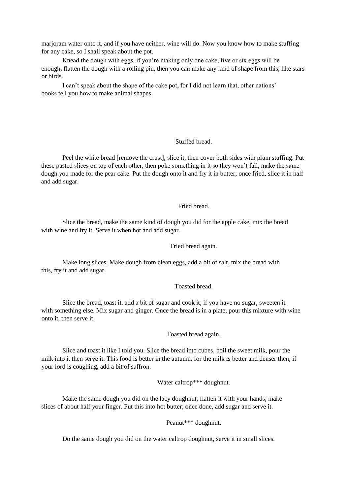marjoram water onto it, and if you have neither, wine will do. Now you know how to make stuffing for any cake, so I shall speak about the pot.

Knead the dough with eggs, if you're making only one cake, five or six eggs will be enough, flatten the dough with a rolling pin, then you can make any kind of shape from this, like stars or birds.

I can't speak about the shape of the cake pot, for I did not learn that, other nations' books tell you how to make animal shapes.

#### Stuffed bread.

Peel the white bread [remove the crust], slice it, then cover both sides with plum stuffing. Put these pasted slices on top of each other, then poke something in it so they won't fall, make the same dough you made for the pear cake. Put the dough onto it and fry it in butter; once fried, slice it in half and add sugar.

## Fried bread.

Slice the bread, make the same kind of dough you did for the apple cake, mix the bread with wine and fry it. Serve it when hot and add sugar.

#### Fried bread again.

Make long slices. Make dough from clean eggs, add a bit of salt, mix the bread with this, fry it and add sugar.

## Toasted bread.

Slice the bread, toast it, add a bit of sugar and cook it; if you have no sugar, sweeten it with something else. Mix sugar and ginger. Once the bread is in a plate, pour this mixture with wine onto it, then serve it.

#### Toasted bread again.

Slice and toast it like I told you. Slice the bread into cubes, boil the sweet milk, pour the milk into it then serve it. This food is better in the autumn, for the milk is better and denser then; if your lord is coughing, add a bit of saffron.

Water caltrop\*\*\* doughnut.

Make the same dough you did on the lacy doughnut; flatten it with your hands, make slices of about half your finger. Put this into hot butter; once done, add sugar and serve it.

Peanut\*\*\* doughnut.

Do the same dough you did on the water caltrop doughnut, serve it in small slices.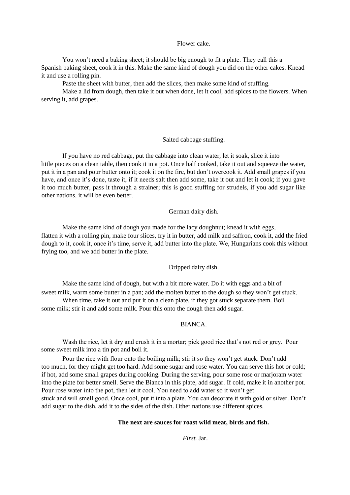### Flower cake.

You won't need a baking sheet; it should be big enough to fit a plate. They call this a Spanish baking sheet, cook it in this. Make the same kind of dough you did on the other cakes. Knead it and use a rolling pin.

Paste the sheet with butter, then add the slices, then make some kind of stuffing.

Make a lid from dough, then take it out when done, let it cool, add spices to the flowers. When serving it, add grapes.

### Salted cabbage stuffing.

If you have no red cabbage, put the cabbage into clean water, let it soak, slice it into little pieces on a clean table, then cook it in a pot. Once half cooked, take it out and squeeze the water, put it in a pan and pour butter onto it; cook it on the fire, but don't overcook it. Add small grapes if you have, and once it's done, taste it, if it needs salt then add some, take it out and let it cook; if you gave it too much butter, pass it through a strainer; this is good stuffing for strudels, if you add sugar like other nations, it will be even better.

## German dairy dish.

Make the same kind of dough you made for the lacy doughnut; knead it with eggs, flatten it with a rolling pin, make four slices, fry it in butter, add milk and saffron, cook it, add the fried dough to it, cook it, once it's time, serve it, add butter into the plate. We, Hungarians cook this without frying too, and we add butter in the plate.

## Dripped dairy dish.

Make the same kind of dough, but with a bit more water. Do it with eggs and a bit of sweet milk, warm some butter in a pan; add the molten butter to the dough so they won't get stuck.

When time, take it out and put it on a clean plate, if they got stuck separate them. Boil some milk; stir it and add some milk. Pour this onto the dough then add sugar.

## BIANCA.

Wash the rice, let it dry and crush it in a mortar; pick good rice that's not red or grey. Pour some sweet milk into a tin pot and boil it.

Pour the rice with flour onto the boiling milk; stir it so they won't get stuck. Don't add too much, for they might get too hard. Add some sugar and rose water. You can serve this hot or cold; if hot, add some small grapes during cooking. During the serving, pour some rose or marjoram water into the plate for better smell. Serve the Bianca in this plate, add sugar. If cold, make it in another pot. Pour rose water into the pot, then let it cool. You need to add water so it won't get stuck and will smell good. Once cool, put it into a plate. You can decorate it with gold or silver. Don't add sugar to the dish, add it to the sides of the dish. Other nations use different spices.

### **The next are sauces for roast wild meat, birds and fish.**

*First.* Jar.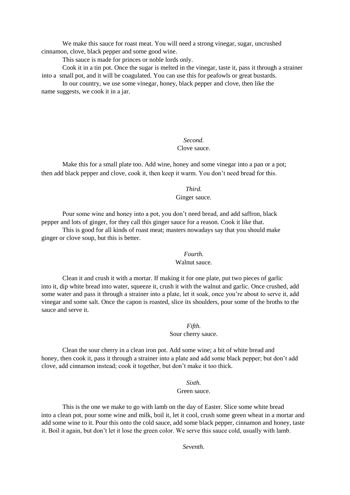We make this sauce for roast meat. You will need a strong vinegar, sugar, uncrushed cinnamon, clove, black pepper and some good wine.

This sauce is made for princes or noble lords only.

Cook it in a tin pot. Once the sugar is melted in the vinegar, taste it, pass it through a strainer into a small pot, and it will be coagulated. You can use this for peafowls or great bustards.

In our country, we use some vinegar, honey, black pepper and clove, then like the name suggests, we cook it in a jar.

## *Second.*  Clove sauce.

Make this for a small plate too. Add wine, honey and some vinegar into a pan or a pot; then add black pepper and clove, cook it, then keep it warm. You don't need bread for this.

## *Third.*  Ginger sauce.

Pour some wine and honey into a pot, you don't need bread, and add saffron, black pepper and lots of ginger, for they call this ginger sauce for a reason. Cook it like that.

This is good for all kinds of roast meat; masters nowadays say that you should make ginger or clove soup, but this is better.

## *Fourth.*  Walnut sauce.

Clean it and crush it with a mortar. If making it for one plate, put two pieces of garlic into it, dip white bread into water, squeeze it, crush it with the walnut and garlic. Once crushed, add some water and pass it through a strainer into a plate, let it soak, once you're about to serve it, add vinegar and some salt. Once the capon is roasted, slice its shoulders, pour some of the broths to the sauce and serve it.

## *Fifth.*

Sour cherry sauce.

Clean the sour cherry in a clean iron pot. Add some wine; a bit of white bread and honey, then cook it, pass it through a strainer into a plate and add some black pepper; but don't add clove, add cinnamon instead; cook it together, but don't make it too thick.

## *Sixth.*

#### Green sauce.

This is the one we make to go with lamb on the day of Easter. Slice some white bread into a clean pot, pour some wine and milk, boil it, let it cool, crush some green wheat in a mortar and add some wine to it. Pour this onto the cold sauce, add some black pepper, cinnamon and honey, taste it. Boil it again, but don't let it lose the green color. We serve this sauce cold, usually with lamb.

*Seventh.*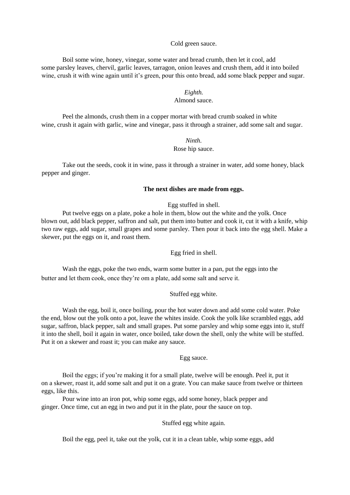#### Cold green sauce.

Boil some wine, honey, vinegar, some water and bread crumb, then let it cool, add some parsley leaves, chervil, garlic leaves, tarragon, onion leaves and crush them, add it into boiled wine, crush it with wine again until it's green, pour this onto bread, add some black pepper and sugar.

## *Eighth.*

## Almond sauce.

Peel the almonds, crush them in a copper mortar with bread crumb soaked in white wine, crush it again with garlic, wine and vinegar, pass it through a strainer, add some salt and sugar.

## *Ninth*. Rose hip sauce.

Take out the seeds, cook it in wine, pass it through a strainer in water, add some honey, black pepper and ginger.

## **The next dishes are made from eggs.**

#### Egg stuffed in shell.

Put twelve eggs on a plate, poke a hole in them, blow out the white and the yolk. Once blown out, add black pepper, saffron and salt, put them into butter and cook it, cut it with a knife, whip two raw eggs, add sugar, small grapes and some parsley. Then pour it back into the egg shell. Make a skewer, put the eggs on it, and roast them.

### Egg fried in shell.

Wash the eggs, poke the two ends, warm some butter in a pan, put the eggs into the butter and let them cook, once they're om a plate, add some salt and serve it.

## Stuffed egg white.

Wash the egg, boil it, once boiling, pour the hot water down and add some cold water. Poke the end, blow out the yolk onto a pot, leave the whites inside. Cook the yolk like scrambled eggs, add sugar, saffron, black pepper, salt and small grapes. Put some parsley and whip some eggs into it, stuff it into the shell, boil it again in water, once boiled, take down the shell, only the white will be stuffed. Put it on a skewer and roast it; you can make any sauce.

### Egg sauce.

Boil the eggs; if you're making it for a small plate, twelve will be enough. Peel it, put it on a skewer, roast it, add some salt and put it on a grate. You can make sauce from twelve or thirteen eggs, like this.

Pour wine into an iron pot, whip some eggs, add some honey, black pepper and ginger. Once time, cut an egg in two and put it in the plate, pour the sauce on top.

## Stuffed egg white again.

Boil the egg, peel it, take out the yolk, cut it in a clean table, whip some eggs, add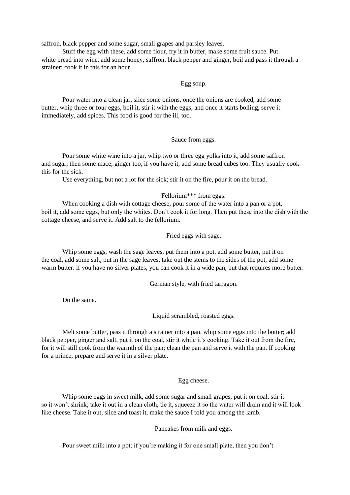saffron, black pepper and some sugar, small grapes and parsley leaves.

Stuff the egg with these, add some flour, fry it in butter, make some fruit sauce. Put white bread into wine, add some honey, saffron, black pepper and ginger, boil and pass it through a strainer; cook it in this for an hour.

### Egg soup.

Pour water into a clean jar, slice some onions, once the onions are cooked, add some butter, whip three or four eggs, boil it, stir it with the eggs, and once it starts boiling, serve it immediately, add spices. This food is good for the ill, too.

### Sauce from eggs.

Pour some white wine into a jar, whip two or three egg yolks into it, add some saffron and sugar, then some mace, ginger too, if you have it, add some bread cubes too. They usually cook this for the sick.

Use everything, but not a lot for the sick; stir it on the fire, pour it on the bread.

## Fellorium\*\*\* from eggs.

When cooking a dish with cottage cheese, pour some of the water into a pan or a pot, boil it, add some eggs, but only the whites. Don't cook it for long. Then put these into the dish with the cottage cheese, and serve it. Add salt to the fellorium.

Fried eggs with sage.

Whip some eggs, wash the sage leaves, put them into a pot, add some butter, put it on the coal, add some salt, put in the sage leaves, take out the stems to the sides of the pot, add some warm butter. if you have no silver plates, you can cook it in a wide pan, but that requires more butter.

German style, with fried tarragon.

Do the same.

Liquid scrambled, roasted eggs.

Melt some butter, pass it through a strainer into a pan, whip some eggs into the butter; add black pepper, ginger and salt, put it on the coal, stir it while it's cooking. Take it out from the fire, for it will still cook from the warmth of the pan; clean the pan and serve it with the pan. If cooking for a prince, prepare and serve it in a silver plate.

## Egg cheese.

Whip some eggs in sweet milk, add some sugar and small grapes, put it on coal, stir it so it won't shrink; take it out in a clean cloth, tie it, squeeze it so the water will drain and it will look like cheese. Take it out, slice and toast it, make the sauce I told you among the lamb.

Pancakes from milk and eggs.

Pour sweet milk into a pot; if you're making it for one small plate, then you don't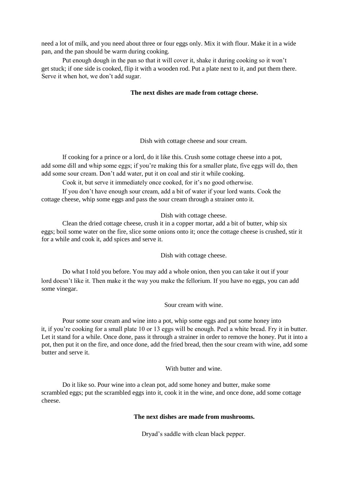need a lot of milk, and you need about three or four eggs only. Mix it with flour. Make it in a wide pan, and the pan should be warm during cooking.

Put enough dough in the pan so that it will cover it, shake it during cooking so it won't get stuck; if one side is cooked, flip it with a wooden rod. Put a plate next to it, and put them there. Serve it when hot, we don't add sugar.

### **The next dishes are made from cottage cheese.**

Dish with cottage cheese and sour cream.

If cooking for a prince or a lord, do it like this. Crush some cottage cheese into a pot, add some dill and whip some eggs; if you're making this for a smaller plate, five eggs will do, then add some sour cream. Don't add water, put it on coal and stir it while cooking.

Cook it, but serve it immediately once cooked, for it's no good otherwise.

If you don't have enough sour cream, add a bit of water if your lord wants. Cook the cottage cheese, whip some eggs and pass the sour cream through a strainer onto it.

Dish with cottage cheese.

Clean the dried cottage cheese, crush it in a copper mortar, add a bit of butter, whip six eggs; boil some water on the fire, slice some onions onto it; once the cottage cheese is crushed, stir it for a while and cook it, add spices and serve it.

Dish with cottage cheese.

Do what I told you before. You may add a whole onion, then you can take it out if your lord doesn't like it. Then make it the way you make the fellorium. If you have no eggs, you can add some vinegar.

Sour cream with wine.

Pour some sour cream and wine into a pot, whip some eggs and put some honey into it, if you're cooking for a small plate 10 or 13 eggs will be enough. Peel a white bread. Fry it in butter. Let it stand for a while. Once done, pass it through a strainer in order to remove the honey. Put it into a pot, then put it on the fire, and once done, add the fried bread, then the sour cream with wine, add some butter and serve it.

With butter and wine.

Do it like so. Pour wine into a clean pot, add some honey and butter, make some scrambled eggs; put the scrambled eggs into it, cook it in the wine, and once done, add some cottage cheese.

## **The next dishes are made from mushrooms.**

Dryad's saddle with clean black pepper.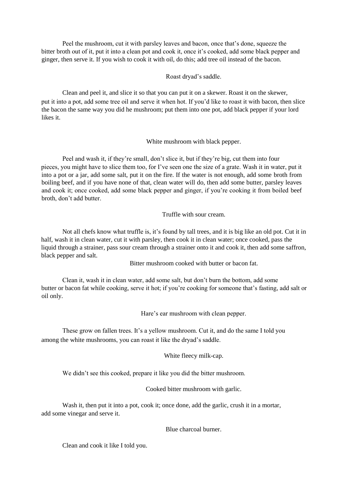Peel the mushroom, cut it with parsley leaves and bacon, once that's done, squeeze the bitter broth out of it, put it into a clean pot and cook it, once it's cooked, add some black pepper and ginger, then serve it. If you wish to cook it with oil, do this; add tree oil instead of the bacon.

Roast dryad's saddle.

Clean and peel it, and slice it so that you can put it on a skewer. Roast it on the skewer, put it into a pot, add some tree oil and serve it when hot. If you'd like to roast it with bacon, then slice the bacon the same way you did he mushroom; put them into one pot, add black pepper if your lord likes it.

White mushroom with black pepper.

Peel and wash it, if they're small, don't slice it, but if they're big, cut them into four pieces, you might have to slice them too, for I've seen one the size of a grate. Wash it in water, put it into a pot or a jar, add some salt, put it on the fire. If the water is not enough, add some broth from boiling beef, and if you have none of that, clean water will do, then add some butter, parsley leaves and cook it; once cooked, add some black pepper and ginger, if you're cooking it from boiled beef broth, don't add butter.

Truffle with sour cream.

Not all chefs know what truffle is, it's found by tall trees, and it is big like an old pot. Cut it in half, wash it in clean water, cut it with parsley, then cook it in clean water; once cooked, pass the liquid through a strainer, pass sour cream through a strainer onto it and cook it, then add some saffron, black pepper and salt.

Bitter mushroom cooked with butter or bacon fat.

Clean it, wash it in clean water, add some salt, but don't burn the bottom, add some butter or bacon fat while cooking, serve it hot; if you're cooking for someone that's fasting, add salt or oil only.

Hare's ear mushroom with clean pepper.

These grow on fallen trees. It's a yellow mushroom. Cut it, and do the same I told you among the white mushrooms, you can roast it like the dryad's saddle.

White fleecy milk-cap.

We didn't see this cooked, prepare it like you did the bitter mushroom.

Cooked bitter mushroom with garlic.

Wash it, then put it into a pot, cook it; once done, add the garlic, crush it in a mortar, add some vinegar and serve it.

Blue charcoal burner.

Clean and cook it like I told you.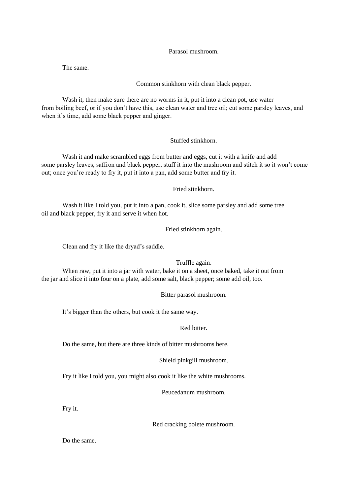Parasol mushroom.

The same.

Common stinkhorn with clean black pepper.

Wash it, then make sure there are no worms in it, put it into a clean pot, use water from boiling beef, or if you don't have this, use clean water and tree oil; cut some parsley leaves, and when it's time, add some black pepper and ginger.

## Stuffed stinkhorn.

Wash it and make scrambled eggs from butter and eggs, cut it with a knife and add some parsley leaves, saffron and black pepper, stuff it into the mushroom and stitch it so it won't come out; once you're ready to fry it, put it into a pan, add some butter and fry it.

Fried stinkhorn.

Wash it like I told you, put it into a pan, cook it, slice some parsley and add some tree oil and black pepper, fry it and serve it when hot.

Fried stinkhorn again.

Clean and fry it like the dryad's saddle.

Truffle again.

When raw, put it into a jar with water, bake it on a sheet, once baked, take it out from the jar and slice it into four on a plate, add some salt, black pepper; some add oil, too.

Bitter parasol mushroom.

It's bigger than the others, but cook it the same way.

Red bitter.

Do the same, but there are three kinds of bitter mushrooms here.

Shield pinkgill mushroom.

Fry it like I told you, you might also cook it like the white mushrooms.

Peucedanum mushroom.

Fry it.

Red cracking bolete mushroom.

Do the same.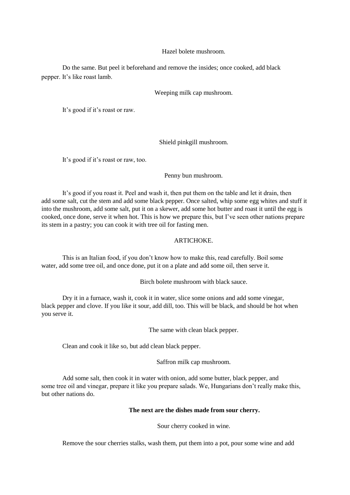Hazel bolete mushroom.

Do the same. But peel it beforehand and remove the insides; once cooked, add black pepper. It's like roast lamb.

Weeping milk cap mushroom.

It's good if it's roast or raw.

Shield pinkgill mushroom.

It's good if it's roast or raw, too.

Penny bun mushroom.

It's good if you roast it. Peel and wash it, then put them on the table and let it drain, then add some salt, cut the stem and add some black pepper. Once salted, whip some egg whites and stuff it into the mushroom, add some salt, put it on a skewer, add some hot butter and roast it until the egg is cooked, once done, serve it when hot. This is how we prepare this, but I've seen other nations prepare its stem in a pastry; you can cook it with tree oil for fasting men.

### ARTICHOKE.

This is an Italian food, if you don't know how to make this, read carefully. Boil some water, add some tree oil, and once done, put it on a plate and add some oil, then serve it.

Birch bolete mushroom with black sauce.

Dry it in a furnace, wash it, cook it in water, slice some onions and add some vinegar, black pepper and clove. If you like it sour, add dill, too. This will be black, and should be hot when you serve it.

The same with clean black pepper.

Clean and cook it like so, but add clean black pepper.

Saffron milk cap mushroom.

Add some salt, then cook it in water with onion, add some butter, black pepper, and some tree oil and vinegar, prepare it like you prepare salads. We, Hungarians don't really make this, but other nations do.

#### **The next are the dishes made from sour cherry.**

Sour cherry cooked in wine.

Remove the sour cherries stalks, wash them, put them into a pot, pour some wine and add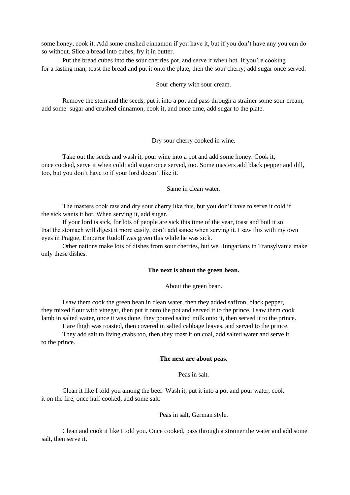some honey, cook it. Add some crushed cinnamon if you have it, but if you don't have any you can do so without. Slice a bread into cubes, fry it in butter.

Put the bread cubes into the sour cherries pot, and serve it when hot. If you're cooking for a fasting man, toast the bread and put it onto the plate, then the sour cherry; add sugar once served.

Sour cherry with sour cream.

Remove the stem and the seeds, put it into a pot and pass through a strainer some sour cream, add some sugar and crushed cinnamon, cook it, and once time, add sugar to the plate.

Dry sour cherry cooked in wine.

Take out the seeds and wash it, pour wine into a pot and add some honey. Cook it, once cooked, serve it when cold; add sugar once served, too. Some masters add black pepper and dill, too, but you don't have to if your lord doesn't like it.

Same in clean water.

The masters cook raw and dry sour cherry like this, but you don't have to serve it cold if the sick wants it hot. When serving it, add sugar.

If your lord is sick, for lots of people are sick this time of the year, toast and boil it so that the stomach will digest it more easily, don't add sauce when serving it. I saw this with my own eyes in Prague, Emperor Rudolf was given this while he was sick.

Other nations make lots of dishes from sour cherries, but we Hungarians in Transylvania make only these dishes.

#### **The next is about the green bean.**

About the green bean.

I saw them cook the green bean in clean water, then they added saffron, black pepper, they mixed flour with vinegar, then put it onto the pot and served it to the prince. I saw them cook lamb in salted water, once it was done, they poured salted milk onto it, then served it to the prince.

Hare thigh was roasted, then covered in salted cabbage leaves, and served to the prince. They add salt to living crabs too, then they roast it on coal, add salted water and serve it to the prince.

#### **The next are about peas.**

Peas in salt.

Clean it like I told you among the beef. Wash it, put it into a pot and pour water, cook it on the fire, once half cooked, add some salt.

## Peas in salt, German style.

Clean and cook it like I told you. Once cooked, pass through a strainer the water and add some salt, then serve it.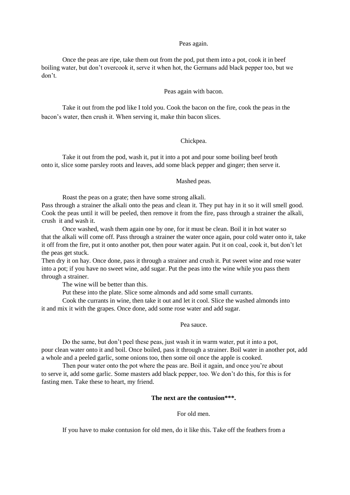#### Peas again.

Once the peas are ripe, take them out from the pod, put them into a pot, cook it in beef boiling water, but don't overcook it, serve it when hot, the Germans add black pepper too, but we don't.

#### Peas again with bacon.

Take it out from the pod like I told you. Cook the bacon on the fire, cook the peas in the bacon's water, then crush it. When serving it, make thin bacon slices.

## Chickpea.

Take it out from the pod, wash it, put it into a pot and pour some boiling beef broth onto it, slice some parsley roots and leaves, add some black pepper and ginger; then serve it.

#### Mashed peas.

Roast the peas on a grate; then have some strong alkali.

Pass through a strainer the alkali onto the peas and clean it. They put hay in it so it will smell good. Cook the peas until it will be peeled, then remove it from the fire, pass through a strainer the alkali, crush it and wash it.

Once washed, wash them again one by one, for it must be clean. Boil it in hot water so that the alkali will come off. Pass through a strainer the water once again, pour cold water onto it, take it off from the fire, put it onto another pot, then pour water again. Put it on coal, cook it, but don't let the peas get stuck.

Then dry it on hay. Once done, pass it through a strainer and crush it. Put sweet wine and rose water into a pot; if you have no sweet wine, add sugar. Put the peas into the wine while you pass them through a strainer.

The wine will be better than this.

Put these into the plate. Slice some almonds and add some small currants.

Cook the currants in wine, then take it out and let it cool. Slice the washed almonds into it and mix it with the grapes. Once done, add some rose water and add sugar.

### Pea sauce.

Do the same, but don't peel these peas, just wash it in warm water, put it into a pot, pour clean water onto it and boil. Once boiled, pass it through a strainer. Boil water in another pot, add a whole and a peeled garlic, some onions too, then some oil once the apple is cooked.

Then pour water onto the pot where the peas are. Boil it again, and once you're about to serve it, add some garlic. Some masters add black pepper, too. We don't do this, for this is for fasting men. Take these to heart, my friend.

## **The next are the contusion\*\*\*.**

#### For old men.

If you have to make contusion for old men, do it like this. Take off the feathers from a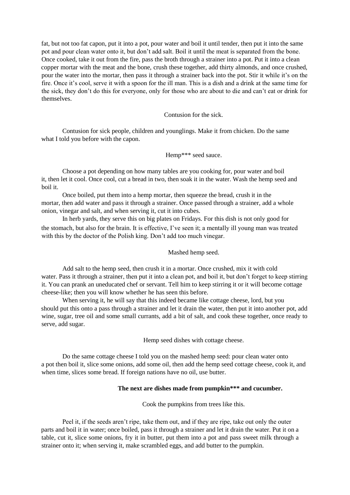fat, but not too fat capon, put it into a pot, pour water and boil it until tender, then put it into the same pot and pour clean water onto it, but don't add salt. Boil it until the meat is separated from the bone. Once cooked, take it out from the fire, pass the broth through a strainer into a pot. Put it into a clean copper mortar with the meat and the bone, crush these together, add thirty almonds, and once crushed, pour the water into the mortar, then pass it through a strainer back into the pot. Stir it while it's on the fire. Once it's cool, serve it with a spoon for the ill man. This is a dish and a drink at the same time for the sick, they don't do this for everyone, only for those who are about to die and can't eat or drink for themselves.

Contusion for the sick.

Contusion for sick people, children and younglings. Make it from chicken. Do the same what I told you before with the capon.

Hemp\*\*\* seed sauce.

Choose a pot depending on how many tables are you cooking for, pour water and boil it, then let it cool. Once cool, cut a bread in two, then soak it in the water. Wash the hemp seed and boil it.

Once boiled, put them into a hemp mortar, then squeeze the bread, crush it in the mortar, then add water and pass it through a strainer. Once passed through a strainer, add a whole onion, vinegar and salt, and when serving it, cut it into cubes.

In herb yards, they serve this on big plates on Fridays. For this dish is not only good for the stomach, but also for the brain. It is effective, I've seen it; a mentally ill young man was treated with this by the doctor of the Polish king. Don't add too much vinegar.

Mashed hemp seed.

Add salt to the hemp seed, then crush it in a mortar. Once crushed, mix it with cold water. Pass it through a strainer, then put it into a clean pot, and boil it, but don't forget to keep stirring it. You can prank an uneducated chef or servant. Tell him to keep stirring it or it will become cottage cheese-like; then you will know whether he has seen this before.

When serving it, he will say that this indeed became like cottage cheese, lord, but you should put this onto a pass through a strainer and let it drain the water, then put it into another pot, add wine, sugar, tree oil and some small currants, add a bit of salt, and cook these together, once ready to serve, add sugar.

Hemp seed dishes with cottage cheese.

Do the same cottage cheese I told you on the mashed hemp seed: pour clean water onto a pot then boil it, slice some onions, add some oil, then add the hemp seed cottage cheese, cook it, and when time, slices some bread. If foreign nations have no oil, use butter.

#### **The next are dishes made from pumpkin\*\*\* and cucumber.**

Cook the pumpkins from trees like this.

Peel it, if the seeds aren't ripe, take them out, and if they are ripe, take out only the outer parts and boil it in water; once boiled, pass it through a strainer and let it drain the water. Put it on a table, cut it, slice some onions, fry it in butter, put them into a pot and pass sweet milk through a strainer onto it; when serving it, make scrambled eggs, and add butter to the pumpkin.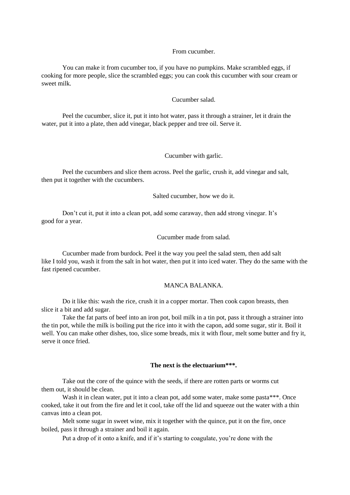### From cucumber.

You can make it from cucumber too, if you have no pumpkins. Make scrambled eggs, if cooking for more people, slice the scrambled eggs; you can cook this cucumber with sour cream or sweet milk.

### Cucumber salad.

Peel the cucumber, slice it, put it into hot water, pass it through a strainer, let it drain the water, put it into a plate, then add vinegar, black pepper and tree oil. Serve it.

### Cucumber with garlic.

Peel the cucumbers and slice them across. Peel the garlic, crush it, add vinegar and salt, then put it together with the cucumbers.

Salted cucumber, how we do it.

Don't cut it, put it into a clean pot, add some caraway, then add strong vinegar. It's good for a year.

Cucumber made from salad.

Cucumber made from burdock. Peel it the way you peel the salad stem, then add salt like I told you, wash it from the salt in hot water, then put it into iced water. They do the same with the fast ripened cucumber.

### MANCA BALANKA.

Do it like this: wash the rice, crush it in a copper mortar. Then cook capon breasts, then slice it a bit and add sugar.

Take the fat parts of beef into an iron pot, boil milk in a tin pot, pass it through a strainer into the tin pot, while the milk is boiling put the rice into it with the capon, add some sugar, stir it. Boil it well. You can make other dishes, too, slice some breads, mix it with flour, melt some butter and fry it, serve it once fried.

### **The next is the electuarium\*\*\*.**

Take out the core of the quince with the seeds, if there are rotten parts or worms cut them out, it should be clean.

Wash it in clean water, put it into a clean pot, add some water, make some pasta\*\*\*. Once cooked, take it out from the fire and let it cool, take off the lid and squeeze out the water with a thin canvas into a clean pot.

Melt some sugar in sweet wine, mix it together with the quince, put it on the fire, once boiled, pass it through a strainer and boil it again.

Put a drop of it onto a knife, and if it's starting to coagulate, you're done with the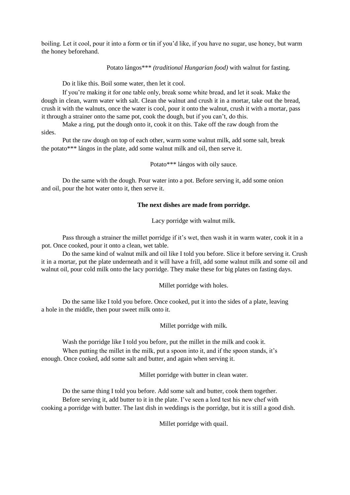boiling. Let it cool, pour it into a form or tin if you'd like, if you have no sugar, use honey, but warm the honey beforehand.

Potato lángos\*\*\* *(traditional Hungarian food)* with walnut for fasting.

Do it like this. Boil some water, then let it cool.

If you're making it for one table only, break some white bread, and let it soak. Make the dough in clean, warm water with salt. Clean the walnut and crush it in a mortar, take out the bread, crush it with the walnuts, once the water is cool, pour it onto the walnut, crush it with a mortar, pass it through a strainer onto the same pot, cook the dough, but if you can't, do this.

Make a ring, put the dough onto it, cook it on this. Take off the raw dough from the sides.

Put the raw dough on top of each other, warm some walnut milk, add some salt, break the potato\*\*\* lángos in the plate, add some walnut milk and oil, then serve it.

Potato\*\*\* lángos with oily sauce.

Do the same with the dough. Pour water into a pot. Before serving it, add some onion and oil, pour the hot water onto it, then serve it.

#### **The next dishes are made from porridge.**

Lacy porridge with walnut milk.

Pass through a strainer the millet porridge if it's wet, then wash it in warm water, cook it in a pot. Once cooked, pour it onto a clean, wet table.

Do the same kind of walnut milk and oil like I told you before. Slice it before serving it. Crush it in a mortar, put the plate underneath and it will have a frill, add some walnut milk and some oil and walnut oil, pour cold milk onto the lacy porridge. They make these for big plates on fasting days.

Millet porridge with holes.

Do the same like I told you before. Once cooked, put it into the sides of a plate, leaving a hole in the middle, then pour sweet milk onto it.

Millet porridge with milk.

Wash the porridge like I told you before, put the millet in the milk and cook it.

When putting the millet in the milk, put a spoon into it, and if the spoon stands, it's enough. Once cooked, add some salt and butter, and again when serving it.

Millet porridge with butter in clean water.

Do the same thing I told you before. Add some salt and butter, cook them together. Before serving it, add butter to it in the plate. I've seen a lord test his new chef with cooking a porridge with butter. The last dish in weddings is the porridge, but it is still a good dish.

Millet porridge with quail.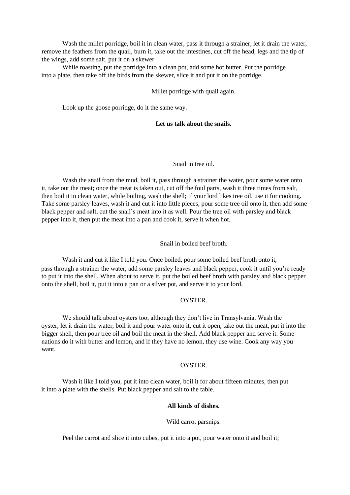Wash the millet porridge, boil it in clean water, pass it through a strainer, let it drain the water, remove the feathers from the quail, burn it, take out the intestines, cut off the head, legs and the tip of the wings, add some salt, put it on a skewer

While roasting, put the porridge into a clean pot, add some hot butter. Put the porridge into a plate, then take off the birds from the skewer, slice it and put it on the porridge.

Millet porridge with quail again.

Look up the goose porridge, do it the same way.

### **Let us talk about the snails.**

### Snail in tree oil.

Wash the snail from the mud, boil it, pass through a strainer the water, pour some water onto it, take out the meat; once the meat is taken out, cut off the foul parts, wash it three times from salt, then boil it in clean water, while boiling, wash the shell; if your lord likes tree oil, use it for cooking. Take some parsley leaves, wash it and cut it into little pieces, pour some tree oil onto it, then add some black pepper and salt, cut the snail's meat into it as well. Pour the tree oil with parsley and black pepper into it, then put the meat into a pan and cook it, serve it when hot.

## Snail in boiled beef broth.

Wash it and cut it like I told you. Once boiled, pour some boiled beef broth onto it, pass through a strainer the water, add some parsley leaves and black pepper, cook it until you're ready to put it into the shell. When about to serve it, put the boiled beef broth with parsley and black pepper onto the shell, boil it, put it into a pan or a silver pot, and serve it to your lord.

## **OYSTER**

We should talk about oysters too, although they don't live in Transylvania. Wash the oyster, let it drain the water, boil it and pour water onto it, cut it open, take out the meat, put it into the bigger shell, then pour tree oil and boil the meat in the shell. Add black pepper and serve it. Some nations do it with butter and lemon, and if they have no lemon, they use wine. Cook any way you want.

## **OYSTER**

Wash it like I told you, put it into clean water, boil it for about fifteen minutes, then put it into a plate with the shells. Put black pepper and salt to the table.

#### **All kinds of dishes.**

Wild carrot parsnips.

Peel the carrot and slice it into cubes, put it into a pot, pour water onto it and boil it;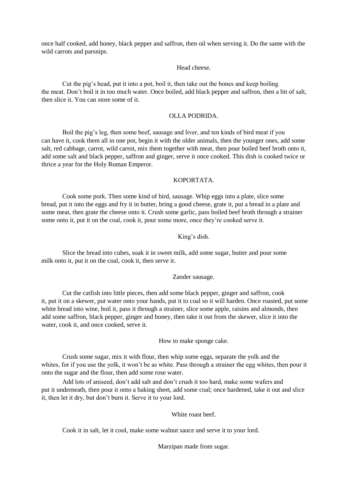once half cooked, add honey, black pepper and saffron, then oil when serving it. Do the same with the wild carrots and parsnips.

### Head cheese.

Cut the pig's head, put it into a pot, boil it, then take out the bones and keep boiling the meat. Don't boil it in too much water. Once boiled, add black pepper and saffron, then a bit of salt, then slice it. You can store some of it.

### OLLA PODRIDA.

Boil the pig's leg, then some beef, sausage and liver, and ten kinds of bird meat if you can have it, cook them all in one pot, begin it with the older animals, then the younger ones, add some salt, red cabbage, carrot, wild carrot, mix them together with meat, then pour boiled beef broth onto it, add some salt and black pepper, saffron and ginger, serve it once cooked. This dish is cooked twice or thrice a year for the Holy Roman Emperor.

### KOPORTATA.

Cook some pork. Then some kind of bird, sausage. Whip eggs into a plate, slice some bread, put it into the eggs and fry it in butter, bring a good cheese, grate it, put a bread in a plate and some meat, then grate the cheese onto it. Crush some garlic, pass boiled beef broth through a strainer some onto it, put it on the coal, cook it, pour some more, once they're cooked serve it.

## King's dish.

Slice the bread into cubes, soak it in sweet milk, add some sugar, butter and pour some milk onto it, put it on the coal, cook it, then serve it.

## Zander sausage.

Cut the catfish into little pieces, then add some black pepper, ginger and saffron, cook it, put it on a skewer, put water onto your hands, put it to coal so it will harden. Once roasted, put some white bread into wine, boil it, pass it through a strainer, slice some apple, raisins and almonds, then add some saffron, black pepper, ginger and honey, then take it out from the skewer, slice it into the water, cook it, and once cooked, serve it.

How to make sponge cake.

Crush some sugar, mix it with flour, then whip some eggs, separate the yolk and the whites, for if you use the yolk, it won't be as white. Pass through a strainer the egg whites, then pour it onto the sugar and the flour, then add some rose water.

Add lots of aniseed, don't add salt and don't crush it too hard, make some wafers and put it underneath, then pour it onto a baking sheet, add some coal; once hardened, take it out and slice it, then let it dry, but don't burn it. Serve it to your lord.

## White roast beef.

Cook it in salt, let it cool, make some walnut sauce and serve it to your lord.

Marzipan made from sugar.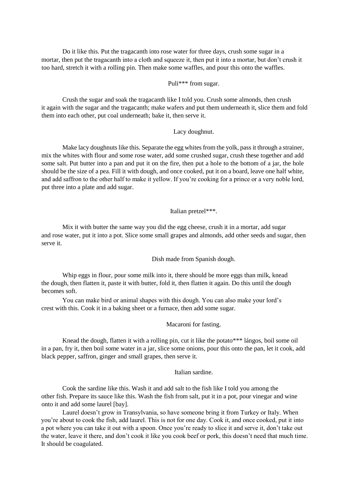Do it like this. Put the tragacanth into rose water for three days, crush some sugar in a mortar, then put the tragacanth into a cloth and squeeze it, then put it into a mortar, but don't crush it too hard, stretch it with a rolling pin. Then make some waffles, and pour this onto the waffles.

## Puli\*\*\* from sugar.

Crush the sugar and soak the tragacanth like I told you. Crush some almonds, then crush it again with the sugar and the tragacanth; make wafers and put them underneath it, slice them and fold them into each other, put coal underneath; bake it, then serve it.

### Lacy doughnut.

Make lacy doughnuts like this. Separate the egg whites from the yolk, pass it through a strainer, mix the whites with flour and some rose water, add some crushed sugar, crush these together and add some salt. Put butter into a pan and put it on the fire, then put a hole to the bottom of a jar, the hole should be the size of a pea. Fill it with dough, and once cooked, put it on a board, leave one half white, and add saffron to the other half to make it yellow. If you're cooking for a prince or a very noble lord, put three into a plate and add sugar.

## Italian pretzel\*\*\*.

Mix it with butter the same way you did the egg cheese, crush it in a mortar, add sugar and rose water, put it into a pot. Slice some small grapes and almonds, add other seeds and sugar, then serve it.

Dish made from Spanish dough.

Whip eggs in flour, pour some milk into it, there should be more eggs than milk, knead the dough, then flatten it, paste it with butter, fold it, then flatten it again. Do this until the dough becomes soft.

You can make bird or animal shapes with this dough. You can also make your lord's crest with this. Cook it in a baking sheet or a furnace, then add some sugar.

### Macaroni for fasting.

Knead the dough, flatten it with a rolling pin, cut it like the potato\*\*\* lángos, boil some oil in a pan, fry it, then boil some water in a jar, slice some onions, pour this onto the pan, let it cook, add black pepper, saffron, ginger and small grapes, then serve it.

## Italian sardine.

Cook the sardine like this. Wash it and add salt to the fish like I told you among the other fish. Prepare its sauce like this. Wash the fish from salt, put it in a pot, pour vinegar and wine onto it and add some laurel [bay].

Laurel doesn't grow in Transylvania, so have someone bring it from Turkey or Italy. When you're about to cook the fish, add laurel. This is not for one day. Cook it, and once cooked, put it into a pot where you can take it out with a spoon. Once you're ready to slice it and serve it, don't take out the water, leave it there, and don't cook it like you cook beef or pork, this doesn't need that much time. It should be coagulated.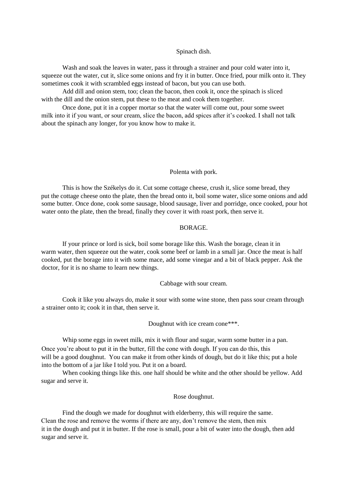#### Spinach dish.

Wash and soak the leaves in water, pass it through a strainer and pour cold water into it, squeeze out the water, cut it, slice some onions and fry it in butter. Once fried, pour milk onto it. They sometimes cook it with scrambled eggs instead of bacon, but you can use both.

Add dill and onion stem, too; clean the bacon, then cook it, once the spinach is sliced with the dill and the onion stem, put these to the meat and cook them together.

Once done, put it in a copper mortar so that the water will come out, pour some sweet milk into it if you want, or sour cream, slice the bacon, add spices after it's cooked. I shall not talk about the spinach any longer, for you know how to make it.

# Polenta with pork.

This is how the Székelys do it. Cut some cottage cheese, crush it, slice some bread, they put the cottage cheese onto the plate, then the bread onto it, boil some water, slice some onions and add some butter. Once done, cook some sausage, blood sausage, liver and porridge, once cooked, pour hot water onto the plate, then the bread, finally they cover it with roast pork, then serve it.

#### BORAGE.

If your prince or lord is sick, boil some borage like this. Wash the borage, clean it in warm water, then squeeze out the water, cook some beef or lamb in a small jar. Once the meat is half cooked, put the borage into it with some mace, add some vinegar and a bit of black pepper. Ask the doctor, for it is no shame to learn new things.

#### Cabbage with sour cream.

Cook it like you always do, make it sour with some wine stone, then pass sour cream through a strainer onto it; cook it in that, then serve it.

Doughnut with ice cream cone\*\*\*.

Whip some eggs in sweet milk, mix it with flour and sugar, warm some butter in a pan. Once you're about to put it in the butter, fill the cone with dough. If you can do this, this will be a good doughnut. You can make it from other kinds of dough, but do it like this; put a hole into the bottom of a jar like I told you. Put it on a board.

When cooking things like this. one half should be white and the other should be yellow. Add sugar and serve it.

Rose doughnut.

Find the dough we made for doughnut with elderberry, this will require the same. Clean the rose and remove the worms if there are any, don't remove the stem, then mix it in the dough and put it in butter. If the rose is small, pour a bit of water into the dough, then add sugar and serve it.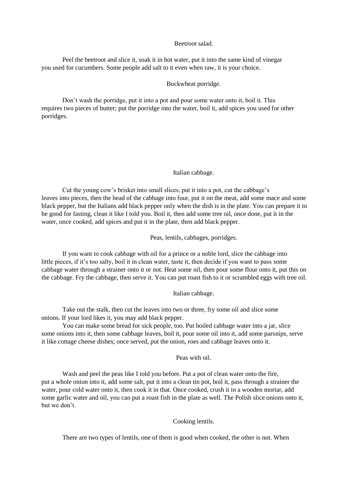#### Beetroot salad.

Peel the beetroot and slice it, soak it in hot water, put it into the same kind of vinegar you used for cucumbers. Some people add salt to it even when raw, it is your choice.

#### Buckwheat porridge.

Don't wash the porridge, put it into a pot and pour some water onto it, boil it. This requires two pieces of butter; put the porridge into the water, boil it, add spices you used for other porridges.

### Italian cabbage.

Cut the young cow's brisket into small slices, put it into a pot, cut the cabbage's leaves into pieces, then the head of the cabbage into four, put it on the meat, add some mace and some black pepper, but the Italians add black pepper only when the dish is in the plate. You can prepare it to be good for fasting, clean it like I told you. Boil it, then add some tree oil, once done, put it in the water, once cooked, add spices and put it in the plate, then add black pepper.

Peas, lentils, cabbages, porridges.

If you want to cook cabbage with oil for a prince or a noble lord, slice the cabbage into little pieces, if it's too salty, boil it in clean water, taste it, then decide if you want to pass some cabbage water through a strainer onto it or not. Heat some oil, then pour some flour onto it, put this on the cabbage. Fry the cabbage, then serve it. You can put roast fish to it or scrambled eggs with tree oil.

# Italian cabbage.

Take out the stalk, then cut the leaves into two or three, fry some oil and slice some onions. If your lord likes it, you may add black pepper.

You can make some bread for sick people, too. Put boiled cabbage water into a jar, slice some onions into it, then some cabbage leaves, boil it, pour some oil into it, add some parsnips, serve it like cottage cheese dishes; once served, put the onion, roes and cabbage leaves onto it.

# Peas with oil.

Wash and peel the peas like I told you before. Put a pot of clean water onto the fire, put a whole onion into it, add some salt, put it into a clean tin pot, boil it, pass through a strainer the water, pour cold water onto it, then cook it in that. Once cooked, crush it in a wooden mortar, add some garlic water and oil, you can put a roast fish in the plate as well. The Polish slice onions onto it, but we don't.

### Cooking lentils.

There are two types of lentils, one of them is good when cooked, the other is not. When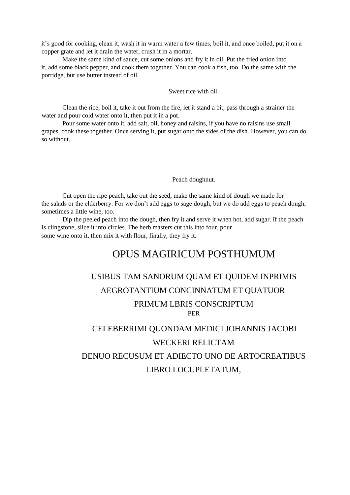it's good for cooking, clean it, wash it in warm water a few times, boil it, and once boiled, put it on a copper grate and let it drain the water, crush it in a mortar.

Make the same kind of sauce, cut some onions and fry it in oil. Put the fried onion into it, add some black pepper, and cook them together. You can cook a fish, too. Do the same with the porridge, but use butter instead of oil.

Sweet rice with oil.

Clean the rice, boil it, take it out from the fire, let it stand a bit, pass through a strainer the water and pour cold water onto it, then put it in a pot.

Pour some water onto it, add salt, oil, honey and raisins, if you have no raisins use small grapes, cook these together. Once serving it, put sugar onto the sides of the dish. However, you can do so without.

### Peach doughnut.

Cut open the ripe peach, take out the seed, make the same kind of dough we made for the salads or the elderberry. For we don't add eggs to sage dough, but we do add eggs to peach dough, sometimes a little wine, too.

Dip the peeled peach into the dough, then fry it and serve it when hot, add sugar. If the peach is clingstone, slice it into circles. The herb masters cut this into four, pour some wine onto it, then mix it with flour, finally, they fry it.

# OPUS MAGIRICUM POSTHUMUM

# USIBUS TAM SANORUM QUAM ET QUIDEM INPRIMIS AEGROTANTIUM CONCINNATUM ET QUATUOR PRIMUM LBRIS CONSCRIPTUM PER

# CELEBERRIMI QUONDAM MEDICI JOHANNIS JACOBI WECKERI RELICTAM DENUO RECUSUM ET ADIECTO UNO DE ARTOCREATIBUS LIBRO LOCUPLETATUM,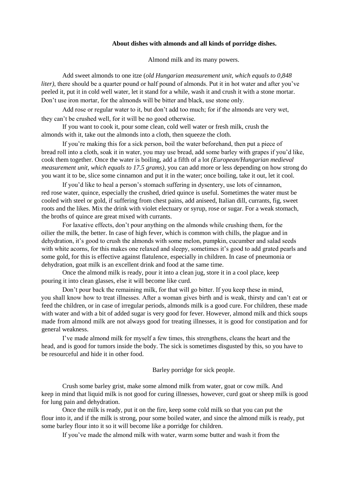# **About dishes with almonds and all kinds of porridge dishes.**

Almond milk and its many powers.

Add sweet almonds to one itze (*old Hungarian measurement unit, which equals to 0,848 liter*), there should be a quarter pound or half pound of almonds. Put it in hot water and after you've peeled it, put it in cold well water, let it stand for a while, wash it and crush it with a stone mortar. Don't use iron mortar, for the almonds will be bitter and black, use stone only.

Add rose or regular water to it, but don't add too much; for if the almonds are very wet, they can't be crushed well, for it will be no good otherwise.

If you want to cook it, pour some clean, cold well water or fresh milk, crush the almonds with it, take out the almonds into a cloth, then squeeze the cloth.

If you're making this for a sick person, boil the water beforehand, then put a piece of bread roll into a cloth, soak it in water, you may use bread, add some barley with grapes if you'd like, cook them together. Once the water is boiling, add a fifth of a lot *(European/Hungarian medieval measurement unit, which equals to 17.5 grams)*, you can add more or less depending on how strong do you want it to be, slice some cinnamon and put it in the water; once boiling, take it out, let it cool.

If you'd like to heal a person's stomach suffering in dysentery, use lots of cinnamon, red rose water, quince, especially the crushed, dried quince is useful. Sometimes the water must be cooled with steel or gold, if suffering from chest pains, add aniseed, Italian dill, currants, fig, sweet roots and the likes. Mix the drink with violet electuary or syrup, rose or sugar. For a weak stomach, the broths of quince are great mixed with currants.

For laxative effects, don't pour anything on the almonds while crushing them, for the oilier the milk, the better. In case of high fever, which is common with chills, the plague and in dehydration, it's good to crush the almonds with some melon, pumpkin, cucumber and salad seeds with white acorns, for this makes one relaxed and sleepy, sometimes it's good to add grated pearls and some gold, for this is effective against flatulence, especially in children. In case of pneumonia or dehydration, goat milk is an excellent drink and food at the same time.

Once the almond milk is ready, pour it into a clean jug, store it in a cool place, keep pouring it into clean glasses, else it will become like curd.

Don't pour back the remaining milk, for that will go bitter. If you keep these in mind, you shall know how to treat illnesses. After a woman gives birth and is weak, thirsty and can't eat or feed the children, or in case of irregular periods, almonds milk is a good cure. For children, these made with water and with a bit of added sugar is very good for fever. However, almond milk and thick soups made from almond milk are not always good for treating illnesses, it is good for constipation and for general weakness.

I've made almond milk for myself a few times, this strengthens, cleans the heart and the head, and is good for tumors inside the body. The sick is sometimes disgusted by this, so you have to be resourceful and hide it in other food.

Barley porridge for sick people.

Crush some barley grist, make some almond milk from water, goat or cow milk. And keep in mind that liquid milk is not good for curing illnesses, however, curd goat or sheep milk is good for lung pain and dehydration.

Once the milk is ready, put it on the fire, keep some cold milk so that you can put the flour into it, and if the milk is strong, pour some boiled water, and since the almond milk is ready, put some barley flour into it so it will become like a porridge for children.

If you've made the almond milk with water, warm some butter and wash it from the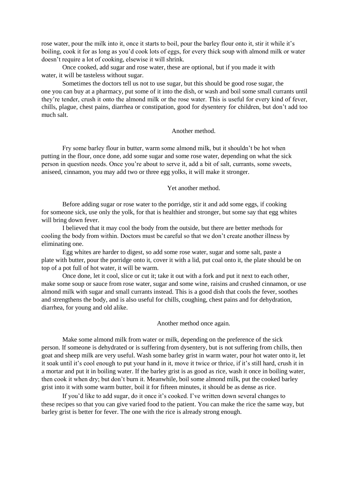rose water, pour the milk into it, once it starts to boil, pour the barley flour onto it, stir it while it's boiling, cook it for as long as you'd cook lots of eggs, for every thick soup with almond milk or water doesn't require a lot of cooking, elsewise it will shrink.

Once cooked, add sugar and rose water, these are optional, but if you made it with water, it will be tasteless without sugar.

Sometimes the doctors tell us not to use sugar, but this should be good rose sugar, the one you can buy at a pharmacy, put some of it into the dish, or wash and boil some small currants until they're tender, crush it onto the almond milk or the rose water. This is useful for every kind of fever, chills, plague, chest pains, diarrhea or constipation, good for dysentery for children, but don't add too much salt.

#### Another method.

Fry some barley flour in butter, warm some almond milk, but it shouldn't be hot when putting in the flour, once done, add some sugar and some rose water, depending on what the sick person in question needs. Once you're about to serve it, add a bit of salt, currants, some sweets, aniseed, cinnamon, you may add two or three egg yolks, it will make it stronger.

#### Yet another method.

Before adding sugar or rose water to the porridge, stir it and add some eggs, if cooking for someone sick, use only the yolk, for that is healthier and stronger, but some say that egg whites will bring down fever.

I believed that it may cool the body from the outside, but there are better methods for cooling the body from within. Doctors must be careful so that we don't create another illness by eliminating one.

Egg whites are harder to digest, so add some rose water, sugar and some salt, paste a plate with butter, pour the porridge onto it, cover it with a lid, put coal onto it, the plate should be on top of a pot full of hot water, it will be warm.

Once done, let it cool, slice or cut it; take it out with a fork and put it next to each other, make some soup or sauce from rose water, sugar and some wine, raisins and crushed cinnamon, or use almond milk with sugar and small currants instead. This is a good dish that cools the fever, soothes and strengthens the body, and is also useful for chills, coughing, chest pains and for dehydration, diarrhea, for young and old alike.

Another method once again.

Make some almond milk from water or milk, depending on the preference of the sick person. If someone is dehydrated or is suffering from dysentery, but is not suffering from chills, then goat and sheep milk are very useful. Wash some barley grist in warm water, pour hot water onto it, let it soak until it's cool enough to put your hand in it, move it twice or thrice, if it's still hard, crush it in a mortar and put it in boiling water. If the barley grist is as good as rice, wash it once in boiling water, then cook it when dry; but don't burn it. Meanwhile, boil some almond milk, put the cooked barley grist into it with some warm butter, boil it for fifteen minutes, it should be as dense as rice.

If you'd like to add sugar, do it once it's cooked. I've written down several changes to these recipes so that you can give varied food to the patient. You can make the rice the same way, but barley grist is better for fever. The one with the rice is already strong enough.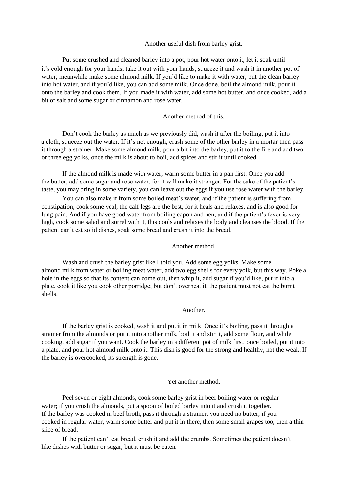# Another useful dish from barley grist.

Put some crushed and cleaned barley into a pot, pour hot water onto it, let it soak until it's cold enough for your hands, take it out with your hands, squeeze it and wash it in another pot of water; meanwhile make some almond milk. If you'd like to make it with water, put the clean barley into hot water, and if you'd like, you can add some milk. Once done, boil the almond milk, pour it onto the barley and cook them. If you made it with water, add some hot butter, and once cooked, add a bit of salt and some sugar or cinnamon and rose water.

#### Another method of this.

Don't cook the barley as much as we previously did, wash it after the boiling, put it into a cloth, squeeze out the water. If it's not enough, crush some of the other barley in a mortar then pass it through a strainer. Make some almond milk, pour a bit into the barley, put it to the fire and add two or three egg yolks, once the milk is about to boil, add spices and stir it until cooked.

If the almond milk is made with water, warm some butter in a pan first. Once you add the butter, add some sugar and rose water, for it will make it stronger. For the sake of the patient's taste, you may bring in some variety, you can leave out the eggs if you use rose water with the barley.

You can also make it from some boiled meat's water, and if the patient is suffering from constipation, cook some veal, the calf legs are the best, for it heals and relaxes, and is also good for lung pain. And if you have good water from boiling capon and hen, and if the patient's fever is very high, cook some salad and sorrel with it, this cools and relaxes the body and cleanses the blood. If the patient can't eat solid dishes, soak some bread and crush it into the bread.

#### Another method.

Wash and crush the barley grist like I told you. Add some egg yolks. Make some almond milk from water or boiling meat water, add two egg shells for every yolk, but this way. Poke a hole in the eggs so that its content can come out, then whip it, add sugar if you'd like, put it into a plate, cook it like you cook other porridge; but don't overheat it, the patient must not eat the burnt shells.

#### Another.

If the barley grist is cooked, wash it and put it in milk. Once it's boiling, pass it through a strainer from the almonds or put it into another milk, boil it and stir it, add some flour, and while cooking, add sugar if you want. Cook the barley in a different pot of milk first, once boiled, put it into a plate, and pour hot almond milk onto it. This dish is good for the strong and healthy, not the weak. If the barley is overcooked, its strength is gone.

#### Yet another method.

Peel seven or eight almonds, cook some barley grist in beef boiling water or regular water; if you crush the almonds, put a spoon of boiled barley into it and crush it together. If the barley was cooked in beef broth, pass it through a strainer, you need no butter; if you cooked in regular water, warm some butter and put it in there, then some small grapes too, then a thin slice of bread.

If the patient can't eat bread, crush it and add the crumbs. Sometimes the patient doesn't like dishes with butter or sugar, but it must be eaten.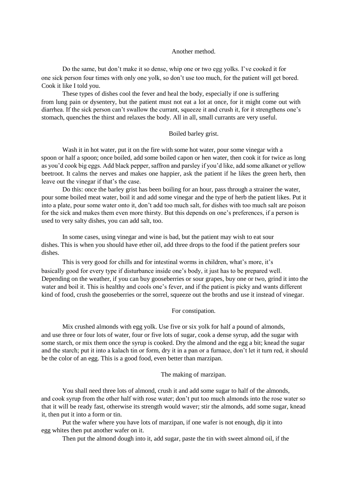#### Another method.

Do the same, but don't make it so dense, whip one or two egg yolks. I've cooked it for one sick person four times with only one yolk, so don't use too much, for the patient will get bored. Cook it like I told you.

These types of dishes cool the fever and heal the body, especially if one is suffering from lung pain or dysentery, but the patient must not eat a lot at once, for it might come out with diarrhea. If the sick person can't swallow the currant, squeeze it and crush it, for it strengthens one's stomach, quenches the thirst and relaxes the body. All in all, small currants are very useful.

#### Boiled barley grist.

Wash it in hot water, put it on the fire with some hot water, pour some vinegar with a spoon or half a spoon; once boiled, add some boiled capon or hen water, then cook it for twice as long as you'd cook big eggs. Add black pepper, saffron and parsley if you'd like, add some alkanet or yellow beetroot. It calms the nerves and makes one happier, ask the patient if he likes the green herb, then leave out the vinegar if that's the case.

Do this: once the barley grist has been boiling for an hour, pass through a strainer the water, pour some boiled meat water, boil it and add some vinegar and the type of herb the patient likes. Put it into a plate, pour some water onto it, don't add too much salt, for dishes with too much salt are poison for the sick and makes them even more thirsty. But this depends on one's preferences, if a person is used to very salty dishes, you can add salt, too.

In some cases, using vinegar and wine is bad, but the patient may wish to eat sour dishes. This is when you should have ether oil, add three drops to the food if the patient prefers sour dishes.

This is very good for chills and for intestinal worms in children, what's more, it's basically good for every type if disturbance inside one's body, it just has to be prepared well. Depending on the weather, if you can buy gooseberries or sour grapes, buy one or two, grind it into the water and boil it. This is healthy and cools one's fever, and if the patient is picky and wants different kind of food, crush the gooseberries or the sorrel, squeeze out the broths and use it instead of vinegar.

#### For constipation.

Mix crushed almonds with egg yolk. Use five or six yolk for half a pound of almonds, and use three or four lots of water, four or five lots of sugar, cook a dense syrup, add the sugar with some starch, or mix them once the syrup is cooked. Dry the almond and the egg a bit; knead the sugar and the starch; put it into a kalach tin or form, dry it in a pan or a furnace, don't let it turn red, it should be the color of an egg. This is a good food, even better than marzipan.

#### The making of marzipan.

You shall need three lots of almond, crush it and add some sugar to half of the almonds, and cook syrup from the other half with rose water; don't put too much almonds into the rose water so that it will be ready fast, otherwise its strength would waver; stir the almonds, add some sugar, knead it, then put it into a form or tin.

Put the wafer where you have lots of marzipan, if one wafer is not enough, dip it into egg whites then put another wafer on it.

Then put the almond dough into it, add sugar, paste the tin with sweet almond oil, if the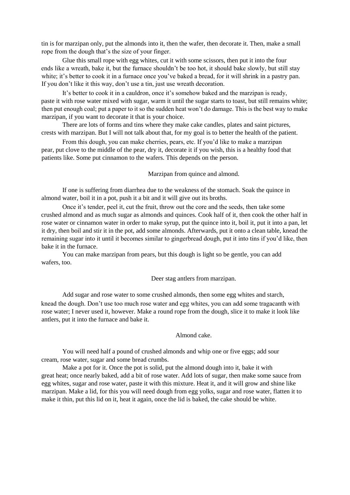tin is for marzipan only, put the almonds into it, then the wafer, then decorate it. Then, make a small rope from the dough that's the size of your finger.

Glue this small rope with egg whites, cut it with some scissors, then put it into the four ends like a wreath, bake it, but the furnace shouldn't be too hot, it should bake slowly, but still stay white; it's better to cook it in a furnace once you've baked a bread, for it will shrink in a pastry pan. If you don't like it this way, don't use a tin, just use wreath decoration.

It's better to cook it in a cauldron, once it's somehow baked and the marzipan is ready, paste it with rose water mixed with sugar, warm it until the sugar starts to toast, but still remains white; then put enough coal; put a paper to it so the sudden heat won't do damage. This is the best way to make marzipan, if you want to decorate it that is your choice.

There are lots of forms and tins where they make cake candles, plates and saint pictures, crests with marzipan. But I will not talk about that, for my goal is to better the health of the patient.

From this dough, you can make cherries, pears, etc. If you'd like to make a marzipan pear, put clove to the middle of the pear, dry it, decorate it if you wish, this is a healthy food that patients like. Some put cinnamon to the wafers. This depends on the person.

Marzipan from quince and almond.

If one is suffering from diarrhea due to the weakness of the stomach. Soak the quince in almond water, boil it in a pot, push it a bit and it will give out its broths.

Once it's tender, peel it, cut the fruit, throw out the core and the seeds, then take some crushed almond and as much sugar as almonds and quinces. Cook half of it, then cook the other half in rose water or cinnamon water in order to make syrup, put the quince into it, boil it, put it into a pan, let it dry, then boil and stir it in the pot, add some almonds. Afterwards, put it onto a clean table, knead the remaining sugar into it until it becomes similar to gingerbread dough, put it into tins if you'd like, then bake it in the furnace.

You can make marzipan from pears, but this dough is light so be gentle, you can add wafers, too.

Deer stag antlers from marzipan.

Add sugar and rose water to some crushed almonds, then some egg whites and starch,

knead the dough. Don't use too much rose water and egg whites, you can add some tragacanth with rose water; I never used it, however. Make a round rope from the dough, slice it to make it look like antlers, put it into the furnace and bake it.

Almond cake.

You will need half a pound of crushed almonds and whip one or five eggs; add sour cream, rose water, sugar and some bread crumbs.

Make a pot for it. Once the pot is solid, put the almond dough into it, bake it with great heat; once nearly baked, add a bit of rose water. Add lots of sugar, then make some sauce from egg whites, sugar and rose water, paste it with this mixture. Heat it, and it will grow and shine like marzipan. Make a lid, for this you will need dough from egg yolks, sugar and rose water, flatten it to make it thin, put this lid on it, heat it again, once the lid is baked, the cake should be white.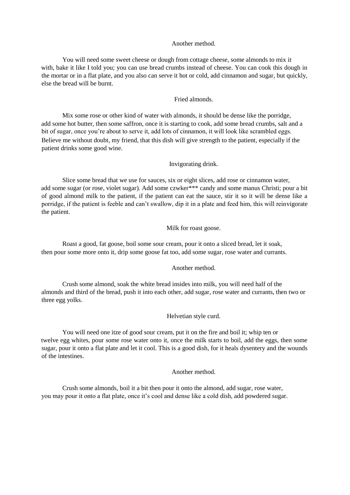# Another method.

You will need some sweet cheese or dough from cottage cheese, some almonds to mix it with, bake it like I told you; you can use bread crumbs instead of cheese. You can cook this dough in the mortar or in a flat plate, and you also can serve it hot or cold, add cinnamon and sugar, but quickly, else the bread will be burnt.

# Fried almonds.

Mix some rose or other kind of water with almonds, it should be dense like the porridge, add some hot butter, then some saffron, once it is starting to cook, add some bread crumbs, salt and a bit of sugar, once you're about to serve it, add lots of cinnamon, it will look like scrambled eggs. Believe me without doubt, my friend, that this dish will give strength to the patient, especially if the patient drinks some good wine.

### Invigorating drink.

Slice some bread that we use for sauces, six or eight slices, add rose or cinnamon water, add some sugar (or rose, violet sugar). Add some czwker\*\*\* candy and some manus Christi; pour a bit of good almond milk to the patient, if the patient can eat the sauce, stir it so it will be dense like a porridge, if the patient is feeble and can't swallow, dip it in a plate and feed him, this will reinvigorate the patient.

#### Milk for roast goose.

Roast a good, fat goose, boil some sour cream, pour it onto a sliced bread, let it soak, then pour some more onto it, drip some goose fat too, add some sugar, rose water and currants.

#### Another method.

Crush some almond, soak the white bread insides into milk, you will need half of the almonds and third of the bread, push it into each other, add sugar, rose water and currants, then two or three egg yolks.

#### Helvetian style curd.

You will need one itze of good sour cream, put it on the fire and boil it; whip ten or twelve egg whites, pour some rose water onto it, once the milk starts to boil, add the eggs, then some sugar, pour it onto a flat plate and let it cool. This is a good dish, for it heals dysentery and the wounds of the intestines.

# Another method.

Crush some almonds, boil it a bit then pour it onto the almond, add sugar, rose water, you may pour it onto a flat plate, once it's cool and dense like a cold dish, add powdered sugar.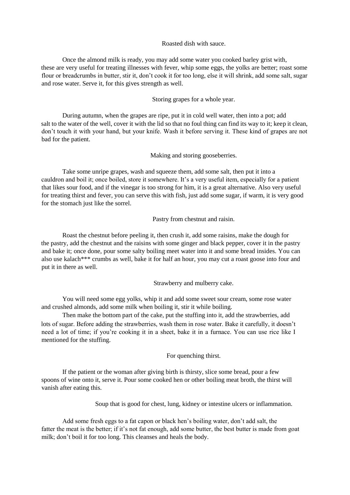#### Roasted dish with sauce.

Once the almond milk is ready, you may add some water you cooked barley grist with, these are very useful for treating illnesses with fever, whip some eggs, the yolks are better; roast some flour or breadcrumbs in butter, stir it, don't cook it for too long, else it will shrink, add some salt, sugar and rose water. Serve it, for this gives strength as well.

# Storing grapes for a whole year.

During autumn, when the grapes are ripe, put it in cold well water, then into a pot; add salt to the water of the well, cover it with the lid so that no foul thing can find its way to it; keep it clean, don't touch it with your hand, but your knife. Wash it before serving it. These kind of grapes are not bad for the patient.

Making and storing gooseberries.

Take some unripe grapes, wash and squeeze them, add some salt, then put it into a cauldron and boil it; once boiled, store it somewhere. It's a very useful item, especially for a patient that likes sour food, and if the vinegar is too strong for him, it is a great alternative. Also very useful for treating thirst and fever, you can serve this with fish, just add some sugar, if warm, it is very good for the stomach just like the sorrel.

Pastry from chestnut and raisin.

Roast the chestnut before peeling it, then crush it, add some raisins, make the dough for the pastry, add the chestnut and the raisins with some ginger and black pepper, cover it in the pastry and bake it; once done, pour some salty boiling meet water into it and some bread insides. You can also use kalach\*\*\* crumbs as well, bake it for half an hour, you may cut a roast goose into four and put it in there as well.

Strawberry and mulberry cake.

You will need some egg yolks, whip it and add some sweet sour cream, some rose water and crushed almonds, add some milk when boiling it, stir it while boiling.

Then make the bottom part of the cake, put the stuffing into it, add the strawberries, add lots of sugar. Before adding the strawberries, wash them in rose water. Bake it carefully, it doesn't need a lot of time; if you're cooking it in a sheet, bake it in a furnace. You can use rice like I mentioned for the stuffing.

For quenching thirst.

If the patient or the woman after giving birth is thirsty, slice some bread, pour a few spoons of wine onto it, serve it. Pour some cooked hen or other boiling meat broth, the thirst will vanish after eating this.

Soup that is good for chest, lung, kidney or intestine ulcers or inflammation.

Add some fresh eggs to a fat capon or black hen's boiling water, don't add salt, the fatter the meat is the better; if it's not fat enough, add some butter, the best butter is made from goat milk; don't boil it for too long. This cleanses and heals the body.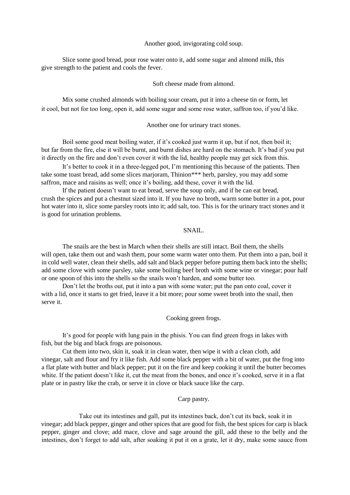Another good, invigorating cold soup.

Slice some good bread, pour rose water onto it, add some sugar and almond milk, this give strength to the patient and cools the fever.

#### Soft cheese made from almond.

Mix some crushed almonds with boiling sour cream, put it into a cheese tin or form, let it cool, but not for too long, open it, add some sugar and some rose water, saffron too, if you'd like.

Another one for urinary tract stones.

Boil some good meat boiling water, if it's cooked just warm it up, but if not, then boil it; but far from the fire, else it will be burnt, and burnt dishes are hard on the stomach. It's bad if you put it directly on the fire and don't even cover it with the lid, healthy people may get sick from this.

It's better to cook it in a three-legged pot, I'm mentioning this because of the patients. Then take some toast bread, add some slices marjoram, Thinion\*\*\* herb, parsley, you may add some saffron, mace and raisins as well; once it's boiling, add these, cover it with the lid.

If the patient doesn't want to eat bread, serve the soup only, and if he can eat bread, crush the spices and put a chestnut sized into it. If you have no broth, warm some butter in a pot, pour hot water into it, slice some parsley roots into it; add salt, too. This is for the urinary tract stones and it is good for urination problems.

# SNAIL.

The snails are the best in March when their shells are still intact. Boil them, the shells will open, take them out and wash them, pour some warm water onto them. Put them into a pan, boil it in cold well water, clean their shells, add salt and black pepper before putting them back into the shells; add some clove with some parsley, take some boiling beef broth with some wine or vinegar; pour half or one spoon of this into the shells so the snails won't harden, and some butter too.

Don't let the broths out, put it into a pan with some water; put the pan onto coal, cover it with a lid, once it starts to get fried, leave it a bit more; pour some sweet broth into the snail, then serve it.

Cooking green frogs.

It's good for people with lung pain in the phisis. You can find green frogs in lakes with fish, but the big and black frogs are poisonous.

Cut them into two, skin it, soak it in clean water, then wipe it with a clean cloth, add vinegar, salt and flour and fry it like fish. Add some black pepper with a bit of water, put the frog into a flat plate with butter and black pepper; put it on the fire and keep cooking it until the butter becomes white. If the patient doesn't like it, cut the meat from the bones, and once it's cooked, serve it in a flat plate or in pastry like the crab, or serve it in clove or black sauce like the carp.

Carp pastry.

Take out its intestines and gall, put its intestines back, don't cut its back, soak it in vinegar; add black pepper, ginger and other spices that are good for fish, the best spices for carp is black pepper, ginger and clove; add mace, clove and sage around the gill, add these to the belly and the intestines, don't forget to add salt, after soaking it put it on a grate, let it dry, make some sauce from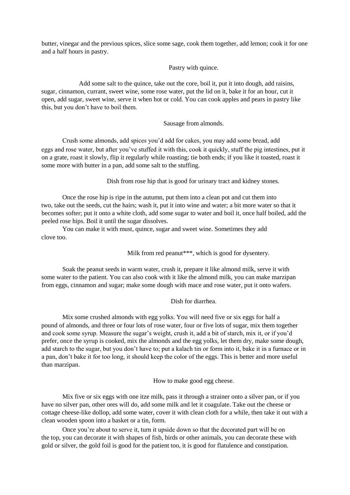butter, vinegar and the previous spices, slice some sage, cook them together, add lemon; cook it for one and a half hours in pastry.

Pastry with quince.

Add some salt to the quince, take out the core, boil it, put it into dough, add raisins, sugar, cinnamon, currant, sweet wine, some rose water, put the lid on it, bake it for an hour, cut it open, add sugar, sweet wine, serve it when hot or cold. You can cook apples and pears in pastry like this, but you don't have to boil them.

### Sausage from almonds.

Crush some almonds, add spices you'd add for cakes, you may add some bread, add eggs and rose water, but after you've stuffed it with this, cook it quickly, stuff the pig intestines, put it on a grate, roast it slowly, flip it regularly while roasting; tie both ends; if you like it toasted, roast it some more with butter in a pan, add some salt to the stuffing.

Dish from rose hip that is good for urinary tract and kidney stones.

Once the rose hip is ripe in the autumn, put them into a clean pot and cut them into two, take out the seeds, cut the hairs; wash it, put it into wine and water; a bit more water so that it becomes softer; put it onto a white cloth, add some sugar to water and boil it, once half boiled, add the peeled rose hips. Boil it until the sugar dissolves.

You can make it with must, quince, sugar and sweet wine. Sometimes they add clove too.

Milk from red peanut\*\*\*, which is good for dysentery.

Soak the peanut seeds in warm water, crush it, prepare it like almond milk, serve it with some water to the patient. You can also cook with it like the almond milk, you can make marzipan from eggs, cinnamon and sugar; make some dough with mace and rose water, put it onto wafers.

# Dish for diarrhea.

Mix some crushed almonds with egg yolks. You will need five or six eggs for half a pound of almonds, and three or four lots of rose water, four or five lots of sugar, mix them together and cook some syrup. Measure the sugar's weight, crush it, add a bit of starch, mix it, or if you'd prefer, once the syrup is cooked, mix the almonds and the egg yolks, let them dry, make some dough, add starch to the sugar, but you don't have to; put a kalach tin or form into it, bake it in a furnace or in a pan, don't bake it for too long, it should keep the color of the eggs. This is better and more useful than marzipan.

How to make good egg cheese.

Mix five or six eggs with one itze milk, pass it through a strainer onto a silver pan, or if you have no silver pan, other ores will do, add some milk and let it coagulate. Take out the cheese or cottage cheese-like dollop, add some water, cover it with clean cloth for a while, then take it out with a clean wooden spoon into a basket or a tin, form.

Once you're about to serve it, turn it upside down so that the decorated part will be on the top, you can decorate it with shapes of fish, birds or other animals, you can decorate these with gold or silver, the gold foil is good for the patient too, it is good for flatulence and constipation.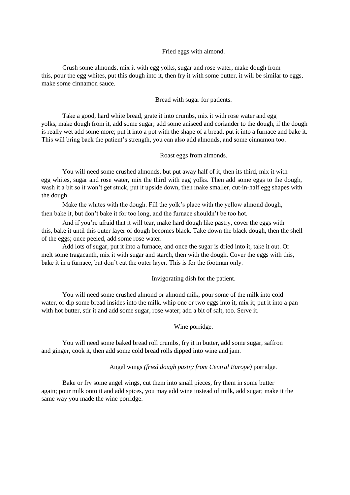# Fried eggs with almond.

Crush some almonds, mix it with egg yolks, sugar and rose water, make dough from this, pour the egg whites, put this dough into it, then fry it with some butter, it will be similar to eggs, make some cinnamon sauce.

# Bread with sugar for patients.

Take a good, hard white bread, grate it into crumbs, mix it with rose water and egg yolks, make dough from it, add some sugar; add some aniseed and coriander to the dough, if the dough is really wet add some more; put it into a pot with the shape of a bread, put it into a furnace and bake it. This will bring back the patient's strength, you can also add almonds, and some cinnamon too.

### Roast eggs from almonds.

You will need some crushed almonds, but put away half of it, then its third, mix it with egg whites, sugar and rose water, mix the third with egg yolks. Then add some eggs to the dough, wash it a bit so it won't get stuck, put it upside down, then make smaller, cut-in-half egg shapes with the dough.

Make the whites with the dough. Fill the yolk's place with the yellow almond dough, then bake it, but don't bake it for too long, and the furnace shouldn't be too hot.

And if you're afraid that it will tear, make hard dough like pastry, cover the eggs with this, bake it until this outer layer of dough becomes black. Take down the black dough, then the shell of the eggs; once peeled, add some rose water.

Add lots of sugar, put it into a furnace, and once the sugar is dried into it, take it out. Or melt some tragacanth, mix it with sugar and starch, then with the dough. Cover the eggs with this, bake it in a furnace, but don't eat the outer layer. This is for the footman only.

Invigorating dish for the patient.

You will need some crushed almond or almond milk, pour some of the milk into cold water, or dip some bread insides into the milk, whip one or two eggs into it, mix it; put it into a pan with hot butter, stir it and add some sugar, rose water; add a bit of salt, too. Serve it.

#### Wine porridge.

You will need some baked bread roll crumbs, fry it in butter, add some sugar, saffron and ginger, cook it, then add some cold bread rolls dipped into wine and jam.

#### Angel wings *(fried dough pastry from Central Europe)* porridge.

Bake or fry some angel wings, cut them into small pieces, fry them in some butter again; pour milk onto it and add spices, you may add wine instead of milk, add sugar; make it the same way you made the wine porridge.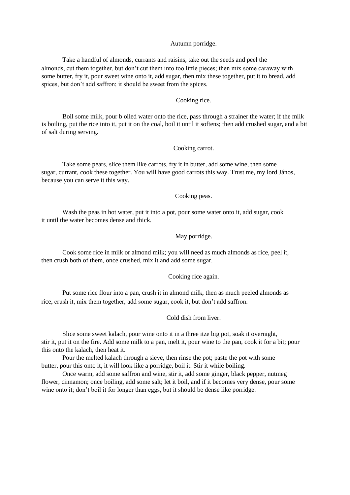#### Autumn porridge.

Take a handful of almonds, currants and raisins, take out the seeds and peel the almonds, cut them together, but don't cut them into too little pieces; then mix some caraway with some butter, fry it, pour sweet wine onto it, add sugar, then mix these together, put it to bread, add spices, but don't add saffron; it should be sweet from the spices.

#### Cooking rice.

Boil some milk, pour b oiled water onto the rice, pass through a strainer the water; if the milk is boiling, put the rice into it, put it on the coal, boil it until it softens; then add crushed sugar, and a bit of salt during serving.

#### Cooking carrot.

Take some pears, slice them like carrots, fry it in butter, add some wine, then some sugar, currant, cook these together. You will have good carrots this way. Trust me, my lord János, because you can serve it this way.

#### Cooking peas.

Wash the peas in hot water, put it into a pot, pour some water onto it, add sugar, cook it until the water becomes dense and thick.

# May porridge.

Cook some rice in milk or almond milk; you will need as much almonds as rice, peel it, then crush both of them, once crushed, mix it and add some sugar.

#### Cooking rice again.

Put some rice flour into a pan, crush it in almond milk, then as much peeled almonds as rice, crush it, mix them together, add some sugar, cook it, but don't add saffron.

# Cold dish from liver.

Slice some sweet kalach, pour wine onto it in a three itze big pot, soak it overnight, stir it, put it on the fire. Add some milk to a pan, melt it, pour wine to the pan, cook it for a bit; pour this onto the kalach, then heat it.

Pour the melted kalach through a sieve, then rinse the pot; paste the pot with some butter, pour this onto it, it will look like a porridge, boil it. Stir it while boiling.

Once warm, add some saffron and wine, stir it, add some ginger, black pepper, nutmeg flower, cinnamon; once boiling, add some salt; let it boil, and if it becomes very dense, pour some wine onto it; don't boil it for longer than eggs, but it should be dense like porridge.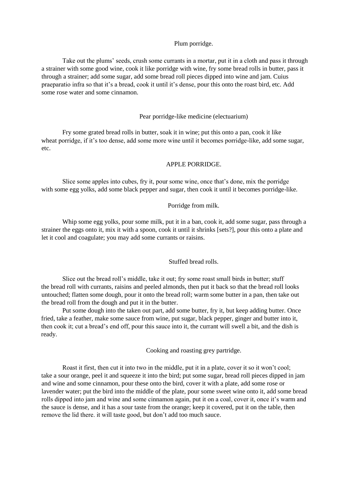# Plum porridge.

Take out the plums' seeds, crush some currants in a mortar, put it in a cloth and pass it through a strainer with some good wine, cook it like porridge with wine, fry some bread rolls in butter, pass it through a strainer; add some sugar, add some bread roll pieces dipped into wine and jam. Cuius praeparatio infra so that it's a bread, cook it until it's dense, pour this onto the roast bird, etc. Add some rose water and some cinnamon.

#### Pear porridge-like medicine (electuarium)

Fry some grated bread rolls in butter, soak it in wine; put this onto a pan, cook it like wheat porridge, if it's too dense, add some more wine until it becomes porridge-like, add some sugar, etc.

#### APPLE PORRIDGE.

Slice some apples into cubes, fry it, pour some wine, once that's done, mix the porridge with some egg yolks, add some black pepper and sugar, then cook it until it becomes porridge-like.

# Porridge from milk.

Whip some egg yolks, pour some milk, put it in a ban, cook it, add some sugar, pass through a strainer the eggs onto it, mix it with a spoon, cook it until it shrinks [sets?], pour this onto a plate and let it cool and coagulate; you may add some currants or raisins.

# Stuffed bread rolls.

Slice out the bread roll's middle, take it out; fry some roast small birds in butter; stuff the bread roll with currants, raisins and peeled almonds, then put it back so that the bread roll looks untouched; flatten some dough, pour it onto the bread roll; warm some butter in a pan, then take out the bread roll from the dough and put it in the butter.

Put some dough into the taken out part, add some butter, fry it, but keep adding butter. Once fried, take a feather, make some sauce from wine, put sugar, black pepper, ginger and butter into it, then cook it; cut a bread's end off, pour this sauce into it, the currant will swell a bit, and the dish is ready.

Cooking and roasting grey partridge.

Roast it first, then cut it into two in the middle, put it in a plate, cover it so it won't cool; take a sour orange, peel it and squeeze it into the bird; put some sugar, bread roll pieces dipped in jam and wine and some cinnamon, pour these onto the bird, cover it with a plate, add some rose or lavender water; put the bird into the middle of the plate, pour some sweet wine onto it, add some bread rolls dipped into jam and wine and some cinnamon again, put it on a coal, cover it, once it's warm and the sauce is dense, and it has a sour taste from the orange; keep it covered, put it on the table, then remove the lid there. it will taste good, but don't add too much sauce.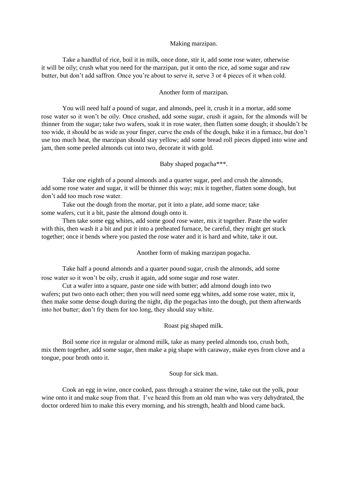#### Making marzipan.

Take a handful of rice, boil it in milk, once done, stir it, add some rose water, otherwise it will be oily; crush what you need for the marzipan, put it onto the rice, ad some sugar and raw butter, but don't add saffron. Once you're about to serve it, serve 3 or 4 pieces of it when cold.

#### Another form of marzipan.

You will need half a pound of sugar, and almonds, peel it, crush it in a mortar, add some rose water so it won't be oily. Once crushed, add some sugar, crush it again, for the almonds will be thinner from the sugar; take two wafers, soak it in rose water, then flatten some dough; it shouldn't be too wide, it should be as wide as your finger, curve the ends of the dough, bake it in a furnace, but don't use too much heat, the marzipan should stay yellow; add some bread roll pieces dipped into wine and jam, then some peeled almonds cut into two, decorate it with gold.

# Baby shaped pogacha\*\*\*.

Take one eighth of a pound almonds and a quarter sugar, peel and crush the almonds, add some rose water and sugar, it will be thinner this way; mix it together, flatten some dough, but don't add too much rose water.

Take out the dough from the mortar, put it into a plate, add some mace; take some wafers, cut it a bit, paste the almond dough onto it.

Then take some egg whites, add some good rose water, mix it together. Paste the wafer with this, then wash it a bit and put it into a preheated furnace, be careful, they might get stuck together; once it bends where you pasted the rose water and it is hard and white, take it out.

Another form of making marzipan pogacha.

Take half a pound almonds and a quarter pound sugar, crush the almonds, add some rose water so it won't be oily, crush it again, add some sugar and rose water.

Cut a wafer into a square, paste one side with butter; add almond dough into two wafers; put two onto each other; then you will need some egg whites, add some rose water, mix it, then make some dense dough during the night, dip the pogachas into the dough, put them afterwards into hot butter; don't fry them for too long, they should stay white.

Roast pig shaped milk.

Boil some rice in regular or almond milk, take as many peeled almonds too, crush both, mix them together, add some sugar, then make a pig shape with caraway, make eyes from clove and a tongue, pour broth onto it.

#### Soup for sick man.

Cook an egg in wine, once cooked, pass through a strainer the wine, take out the yolk, pour wine onto it and make soup from that. I've heard this from an old man who was very dehydrated, the doctor ordered him to make this every morning, and his strength, health and blood came back.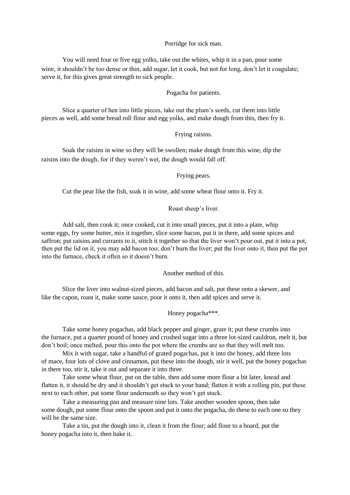#### Porridge for sick man.

You will need four or five egg yolks, take out the whites, whip it in a pan, pour some wine, it shouldn't be too dense or thin, add sugar, let it cook, but not for long, don't let it coagulate; serve it, for this gives great strength to sick people.

#### Pogacha for patients.

Slice a quarter of hen into little pieces, take out the plum's seeds, cut them into little pieces as well, add some bread roll flour and egg yolks, and make dough from this, then fry it.

# Frying raisins.

Soak the raisins in wine so they will be swollen; make dough from this wine, dip the raisins into the dough, for if they weren't wet, the dough would fall off.

Frying pears.

Cut the pear like the fish, soak it in wine, add some wheat flour onto it. Fry it.

Roast sheep's liver.

Add salt, then cook it; once cooked, cut it into small pieces, put it into a plate, whip some eggs, fry some butter, mix it together, slice some bacon, put it in there, add some spices and saffron; put raisins and currants to it, stitch it together so that the liver won't pour out, put it into a pot, then put the lid on it, you may add bacon too; don't burn the liver; put the liver onto it, then put the pot into the furnace, check it often so it doesn't burn.

Another method of this.

Slice the liver into walnut-sized pieces, add bacon and salt, put these onto a skewer, and like the capon, roast it, make some sauce, pour it onto it, then add spices and serve it.

Honey pogacha\*\*\*.

Take some honey pogachas, add black pepper and ginger, grate it; put these crumbs into the furnace, put a quarter pound of honey and crushed sugar into a three lot-sized cauldron, melt it, but don't boil; once melted, pour this onto the pot where the crumbs are so that they will melt too.

Mix it with sugar, take a handful of grated pogachas, put it into the honey, add three lots of mace, four lots of clove and cinnamon, put these into the dough, stir it well, put the honey pogachas in there too, stir it, take it out and separate it into three.

Take some wheat flour, put on the table, then add some more flour a bit later, knead and flatten it, it should be dry and it shouldn't get stuck to your hand; flatten it with a rolling pin, put these next to each other, put some flour underneath so they won't get stuck.

Take a measuring pan and measure nine lots. Take another wooden spoon, then take some dough, put some flour onto the spoon and put it onto the pogacha, do these to each one so they will be the same size.

Take a tin, put the dough into it, clean it from the flour; add flour to a board, put the honey pogacha into it, then bake it.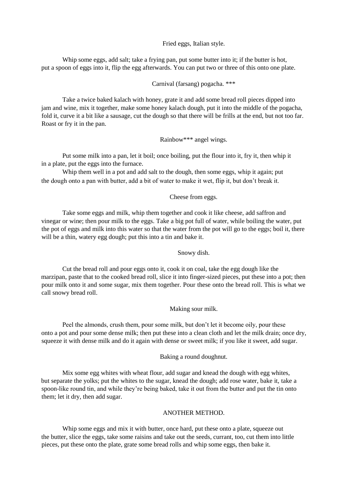Fried eggs, Italian style.

Whip some eggs, add salt; take a frying pan, put some butter into it; if the butter is hot, put a spoon of eggs into it, flip the egg afterwards. You can put two or three of this onto one plate.

#### Carnival (farsang) pogacha. \*\*\*

Take a twice baked kalach with honey, grate it and add some bread roll pieces dipped into jam and wine, mix it together, make some honey kalach dough, put it into the middle of the pogacha, fold it, curve it a bit like a sausage, cut the dough so that there will be frills at the end, but not too far. Roast or fry it in the pan.

### Rainbow\*\*\* angel wings.

Put some milk into a pan, let it boil; once boiling, put the flour into it, fry it, then whip it in a plate, put the eggs into the furnace.

Whip them well in a pot and add salt to the dough, then some eggs, whip it again; put the dough onto a pan with butter, add a bit of water to make it wet, flip it, but don't break it.

# Cheese from eggs.

Take some eggs and milk, whip them together and cook it like cheese, add saffron and vinegar or wine; then pour milk to the eggs. Take a big pot full of water, while boiling the water, put the pot of eggs and milk into this water so that the water from the pot will go to the eggs; boil it, there will be a thin, watery egg dough; put this into a tin and bake it.

# Snowy dish.

Cut the bread roll and pour eggs onto it, cook it on coal, take the egg dough like the marzipan, paste that to the cooked bread roll, slice it into finger-sized pieces, put these into a pot; then pour milk onto it and some sugar, mix them together. Pour these onto the bread roll. This is what we call snowy bread roll.

#### Making sour milk.

Peel the almonds, crush them, pour some milk, but don't let it become oily, pour these onto a pot and pour some dense milk; then put these into a clean cloth and let the milk drain; once dry, squeeze it with dense milk and do it again with dense or sweet milk; if you like it sweet, add sugar.

# Baking a round doughnut.

Mix some egg whites with wheat flour, add sugar and knead the dough with egg whites, but separate the yolks; put the whites to the sugar, knead the dough; add rose water, bake it, take a spoon-like round tin, and while they're being baked, take it out from the butter and put the tin onto them; let it dry, then add sugar.

#### ANOTHER METHOD.

Whip some eggs and mix it with butter, once hard, put these onto a plate, squeeze out the butter, slice the eggs, take some raisins and take out the seeds, currant, too, cut them into little pieces, put these onto the plate, grate some bread rolls and whip some eggs, then bake it.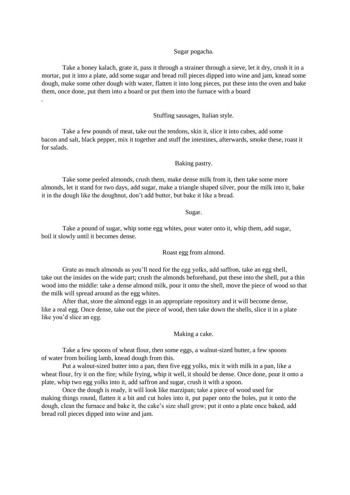# Sugar pogacha.

Take a honey kalach, grate it, pass it through a strainer through a sieve, let it dry, crush it in a mortar, put it into a plate, add some sugar and bread roll pieces dipped into wine and jam, knead some dough, make some other dough with water, flatten it into long pieces, put these into the oven and bake them, once done, put them into a board or put them into the furnace with a board

.

#### Stuffing sausages, Italian style.

Take a few pounds of meat, take out the tendons, skin it, slice it into cubes, add some bacon and salt, black pepper, mix it together and stuff the intestines, afterwards, smoke these, roast it for salads.

### Baking pastry.

Take some peeled almonds, crush them, make dense milk from it, then take some more almonds, let it stand for two days, add sugar, make a triangle shaped silver, pour the milk into it, bake it in the dough like the doughnut, don't add butter, but bake it like a bread.

#### Sugar.

Take a pound of sugar, whip some egg whites, pour water onto it, whip them, add sugar, boil it slowly until it becomes dense.

Roast egg from almond.

Grate as much almonds as you'll need for the egg yolks, add saffron, take an egg shell, take out the insides on the wide part; crush the almonds beforehand, put these into the shell, put a thin wood into the middle: take a dense almond milk, pour it onto the shell, move the piece of wood so that the milk will spread around as the egg whites.

After that, store the almond eggs in an appropriate repository and it will become dense, like a real egg. Once dense, take out the piece of wood, then take down the shells, slice it in a plate like you'd slice an egg.

Making a cake.

Take a few spoons of wheat flour, then some eggs, a walnut-sized butter, a few spoons of water from boiling lamb, knead dough from this.

Put a walnut-sized butter into a pan, then five egg yolks, mix it with milk in a pan, like a wheat flour, fry it on the fire; while frying, whip it well, it should be dense. Once done, pour it onto a plate, whip two egg yolks into it, add saffron and sugar, crush it with a spoon.

Once the dough is ready, it will look like marzipan; take a piece of wood used for making things round, flatten it a bit and cut holes into it, put paper onto the holes, put it onto the dough, clean the furnace and bake it, the cake's size shall grow; put it onto a plate once baked, add bread roll pieces dipped into wine and jam.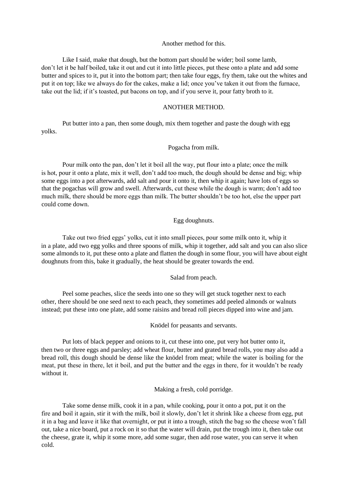# Another method for this.

Like I said, make that dough, but the bottom part should be wider; boil some lamb, don't let it be half boiled, take it out and cut it into little pieces, put these onto a plate and add some butter and spices to it, put it into the bottom part; then take four eggs, fry them, take out the whites and put it on top; like we always do for the cakes, make a lid; once you've taken it out from the furnace, take out the lid; if it's toasted, put bacons on top, and if you serve it, pour fatty broth to it.

# ANOTHER METHOD.

Put butter into a pan, then some dough, mix them together and paste the dough with egg yolks.

#### Pogacha from milk.

Pour milk onto the pan, don't let it boil all the way, put flour into a plate; once the milk is hot, pour it onto a plate, mix it well, don't add too much, the dough should be dense and big; whip some eggs into a pot afterwards, add salt and pour it onto it, then whip it again; have lots of eggs so that the pogachas will grow and swell. Afterwards, cut these while the dough is warm; don't add too much milk, there should be more eggs than milk. The butter shouldn't be too hot, else the upper part could come down.

# Egg doughnuts.

Take out two fried eggs' yolks, cut it into small pieces, pour some milk onto it, whip it in a plate, add two egg yolks and three spoons of milk, whip it together, add salt and you can also slice some almonds to it, put these onto a plate and flatten the dough in some flour, you will have about eight doughnuts from this, bake it gradually, the heat should be greater towards the end.

Salad from peach.

Peel some peaches, slice the seeds into one so they will get stuck together next to each other, there should be one seed next to each peach, they sometimes add peeled almonds or walnuts instead; put these into one plate, add some raisins and bread roll pieces dipped into wine and jam.

Knödel for peasants and servants.

Put lots of black pepper and onions to it, cut these into one, put very hot butter onto it, then two or three eggs and parsley; add wheat flour, butter and grated bread rolls, you may also add a bread roll, this dough should be dense like the knödel from meat; while the water is boiling for the meat, put these in there, let it boil, and put the butter and the eggs in there, for it wouldn't be ready without it.

Making a fresh, cold porridge.

Take some dense milk, cook it in a pan, while cooking, pour it onto a pot, put it on the fire and boil it again, stir it with the milk, boil it slowly, don't let it shrink like a cheese from egg, put it in a bag and leave it like that overnight, or put it into a trough, stitch the bag so the cheese won't fall out, take a nice board, put a rock on it so that the water will drain, put the trough into it, then take out the cheese, grate it, whip it some more, add some sugar, then add rose water, you can serve it when cold.